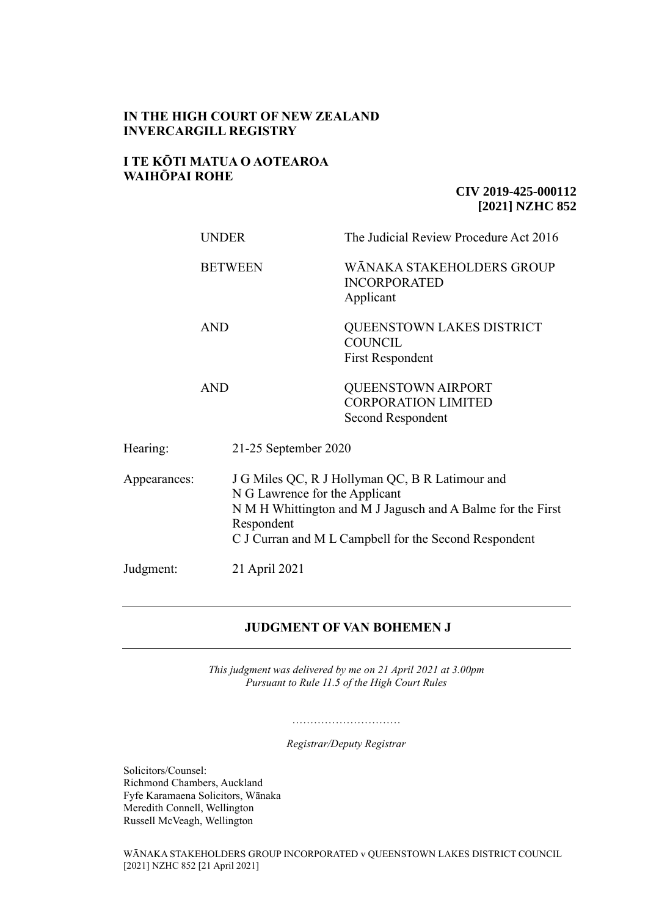# **IN THE HIGH COURT OF NEW ZEALAND INVERCARGILL REGISTRY**

# **I TE KŌTI MATUA O AOTEAROA WAIHŌPAI ROHE**

# **CIV 2019-425-000112 [2021] NZHC 852**

|              | <b>UNDER</b>         | The Judicial Review Procedure Act 2016                                                                                                                                                                    |  |
|--------------|----------------------|-----------------------------------------------------------------------------------------------------------------------------------------------------------------------------------------------------------|--|
|              | <b>BETWEEN</b>       | WĀNAKA STAKEHOLDERS GROUP<br><b>INCORPORATED</b><br>Applicant                                                                                                                                             |  |
|              | <b>AND</b>           | QUEENSTOWN LAKES DISTRICT<br><b>COUNCIL</b><br><b>First Respondent</b>                                                                                                                                    |  |
|              | <b>AND</b>           | <b>QUEENSTOWN AIRPORT</b><br><b>CORPORATION LIMITED</b><br>Second Respondent                                                                                                                              |  |
| Hearing:     | 21-25 September 2020 |                                                                                                                                                                                                           |  |
| Appearances: | Respondent           | J G Miles QC, R J Hollyman QC, B R Latimour and<br>N G Lawrence for the Applicant<br>N M H Whittington and M J Jagusch and A Balme for the First<br>C J Curran and M L Campbell for the Second Respondent |  |
| Judgment:    | 21 April 2021        |                                                                                                                                                                                                           |  |

# **JUDGMENT OF VAN BOHEMEN J**

*This judgment was delivered by me on 21 April 2021 at 3.00pm Pursuant to Rule 11.5 of the High Court Rules*

> ………………………… *Registrar/Deputy Registrar*

Solicitors/Counsel: Richmond Chambers, Auckland Fyfe Karamaena Solicitors, Wānaka Meredith Connell, Wellington Russell McVeagh, Wellington

WĀNAKA STAKEHOLDERS GROUP INCORPORATED v QUEENSTOWN LAKES DISTRICT COUNCIL [2021] NZHC 852 [21 April 2021]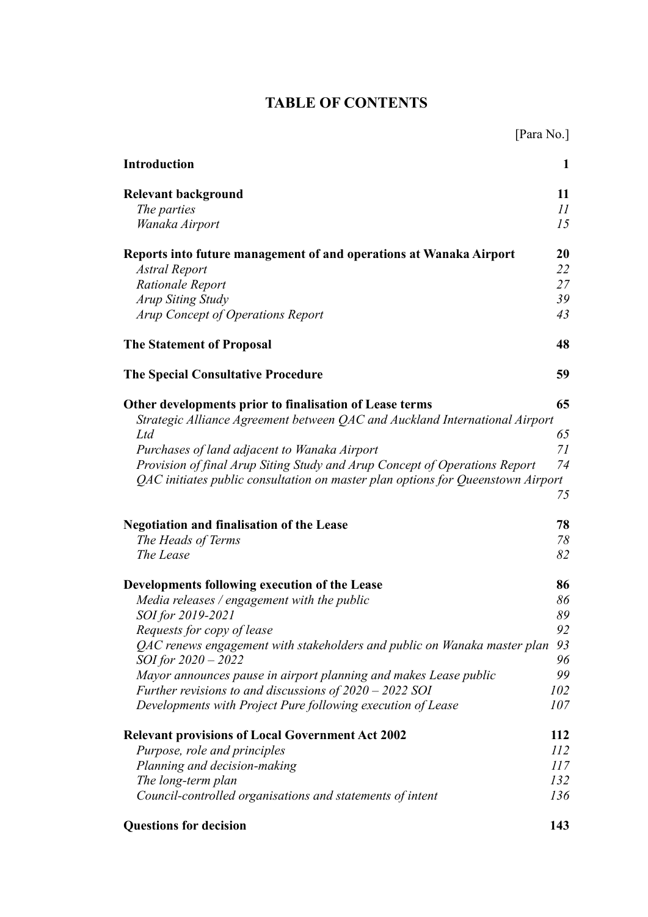# **TABLE OF CONTENTS**

| [Para No.]                                                                      |     |  |  |
|---------------------------------------------------------------------------------|-----|--|--|
| <b>Introduction</b>                                                             | 1   |  |  |
| <b>Relevant background</b>                                                      | 11  |  |  |
| The parties                                                                     | 11  |  |  |
| Wanaka Airport                                                                  | 15  |  |  |
| Reports into future management of and operations at Wanaka Airport              | 20  |  |  |
| Astral Report                                                                   | 22  |  |  |
| Rationale Report                                                                | 27  |  |  |
| <b>Arup Siting Study</b>                                                        | 39  |  |  |
| Arup Concept of Operations Report                                               | 43  |  |  |
| <b>The Statement of Proposal</b>                                                | 48  |  |  |
| <b>The Special Consultative Procedure</b>                                       | 59  |  |  |
| Other developments prior to finalisation of Lease terms                         | 65  |  |  |
| Strategic Alliance Agreement between QAC and Auckland International Airport     |     |  |  |
| Ltd                                                                             | 65  |  |  |
| Purchases of land adjacent to Wanaka Airport                                    | 71  |  |  |
| Provision of final Arup Siting Study and Arup Concept of Operations Report      | 74  |  |  |
| QAC initiates public consultation on master plan options for Queenstown Airport |     |  |  |
|                                                                                 | 75  |  |  |
| <b>Negotiation and finalisation of the Lease</b>                                | 78  |  |  |
| The Heads of Terms                                                              | 78  |  |  |
| The Lease                                                                       | 82  |  |  |
| Developments following execution of the Lease                                   | 86  |  |  |
| Media releases / engagement with the public                                     | 86  |  |  |
| SOI for 2019-2021                                                               | 89  |  |  |
| Requests for copy of lease                                                      | 92  |  |  |
| QAC renews engagement with stakeholders and public on Wanaka master plan        | 93  |  |  |
| SOI for 2020 - 2022                                                             | 96  |  |  |
| Mayor announces pause in airport planning and makes Lease public                | 99  |  |  |
| Further revisions to and discussions of $2020 - 2022$ SOI                       | 102 |  |  |
| Developments with Project Pure following execution of Lease                     | 107 |  |  |
| <b>Relevant provisions of Local Government Act 2002</b>                         | 112 |  |  |
| Purpose, role and principles                                                    | 112 |  |  |
| Planning and decision-making                                                    | 117 |  |  |
| The long-term plan                                                              | 132 |  |  |
| Council-controlled organisations and statements of intent                       | 136 |  |  |
| <b>Questions for decision</b>                                                   | 143 |  |  |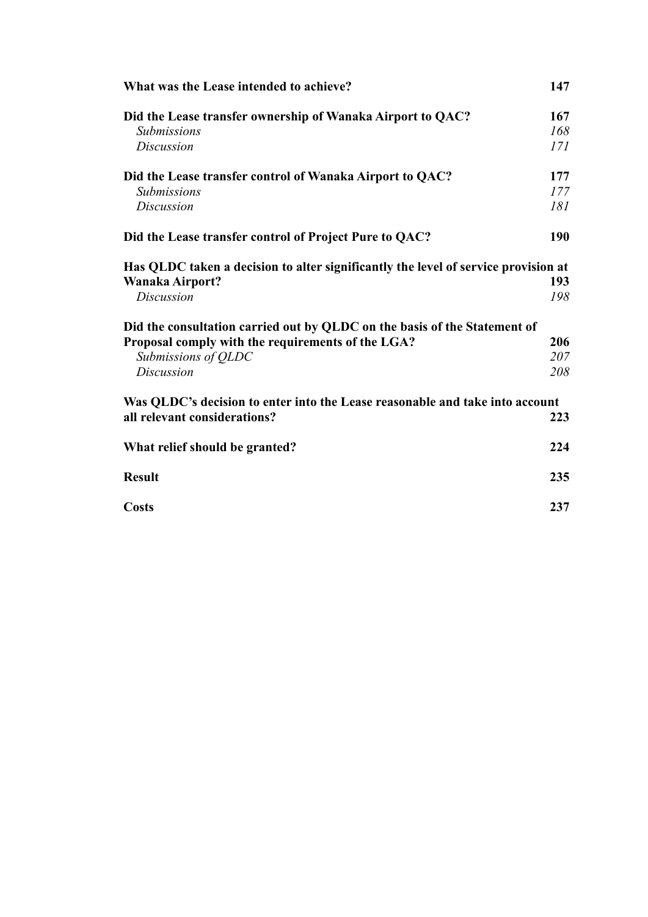| What was the Lease intended to achieve?                                            |     |  |
|------------------------------------------------------------------------------------|-----|--|
| Did the Lease transfer ownership of Wanaka Airport to QAC?                         | 167 |  |
| <b>Submissions</b>                                                                 | 168 |  |
| <b>Discussion</b>                                                                  | 171 |  |
| Did the Lease transfer control of Wanaka Airport to QAC?                           | 177 |  |
| <i>Submissions</i>                                                                 | 177 |  |
| <b>Discussion</b>                                                                  | 181 |  |
| Did the Lease transfer control of Project Pure to QAC?                             | 190 |  |
| Has QLDC taken a decision to alter significantly the level of service provision at |     |  |
| Wanaka Airport?                                                                    | 193 |  |
| <b>Discussion</b>                                                                  | 198 |  |
| Did the consultation carried out by QLDC on the basis of the Statement of          |     |  |
| Proposal comply with the requirements of the LGA?                                  | 206 |  |
| Submissions of QLDC                                                                | 207 |  |
| <b>Discussion</b>                                                                  | 208 |  |
| Was QLDC's decision to enter into the Lease reasonable and take into account       |     |  |
| all relevant considerations?                                                       | 223 |  |
| What relief should be granted?                                                     | 224 |  |
| <b>Result</b>                                                                      | 235 |  |
| <b>Costs</b>                                                                       | 237 |  |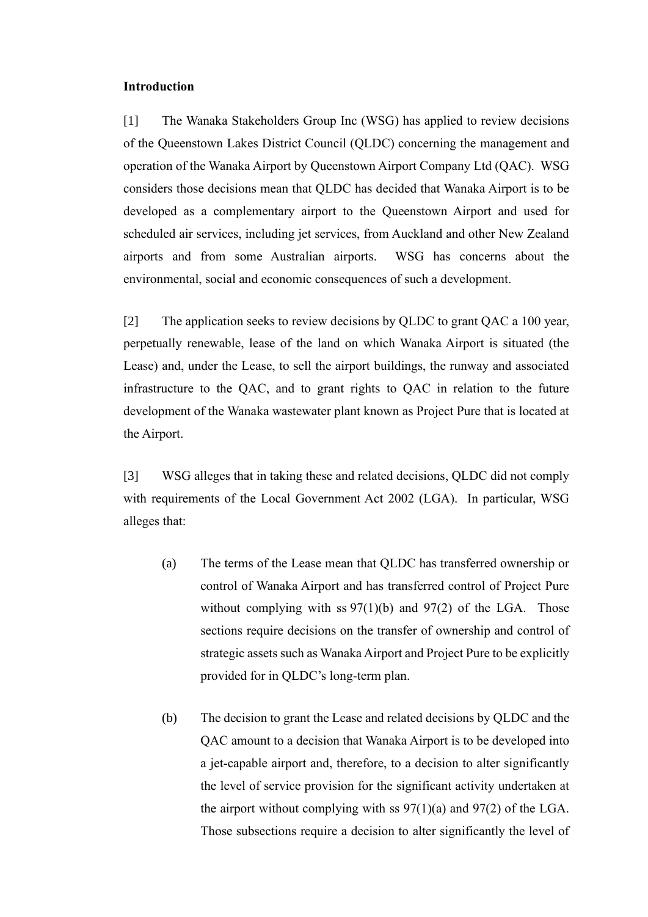#### <span id="page-3-0"></span>**Introduction**

[1] The Wanaka Stakeholders Group Inc (WSG) has applied to review decisions of the Queenstown Lakes District Council (QLDC) concerning the management and operation of the Wanaka Airport by Queenstown Airport Company Ltd (QAC). WSG considers those decisions mean that QLDC has decided that Wanaka Airport is to be developed as a complementary airport to the Queenstown Airport and used for scheduled air services, including jet services, from Auckland and other New Zealand airports and from some Australian airports. WSG has concerns about the environmental, social and economic consequences of such a development.

[2] The application seeks to review decisions by QLDC to grant QAC a 100 year, perpetually renewable, lease of the land on which Wanaka Airport is situated (the Lease) and, under the Lease, to sell the airport buildings, the runway and associated infrastructure to the QAC, and to grant rights to QAC in relation to the future development of the Wanaka wastewater plant known as Project Pure that is located at the Airport.

[3] WSG alleges that in taking these and related decisions, QLDC did not comply with requirements of the Local Government Act 2002 (LGA). In particular, WSG alleges that:

- (a) The terms of the Lease mean that QLDC has transferred ownership or control of Wanaka Airport and has transferred control of Project Pure without complying with ss  $97(1)(b)$  and  $97(2)$  of the LGA. Those sections require decisions on the transfer of ownership and control of strategic assets such as Wanaka Airport and Project Pure to be explicitly provided for in QLDC's long-term plan.
- (b) The decision to grant the Lease and related decisions by QLDC and the QAC amount to a decision that Wanaka Airport is to be developed into a jet-capable airport and, therefore, to a decision to alter significantly the level of service provision for the significant activity undertaken at the airport without complying with ss  $97(1)(a)$  and  $97(2)$  of the LGA. Those subsections require a decision to alter significantly the level of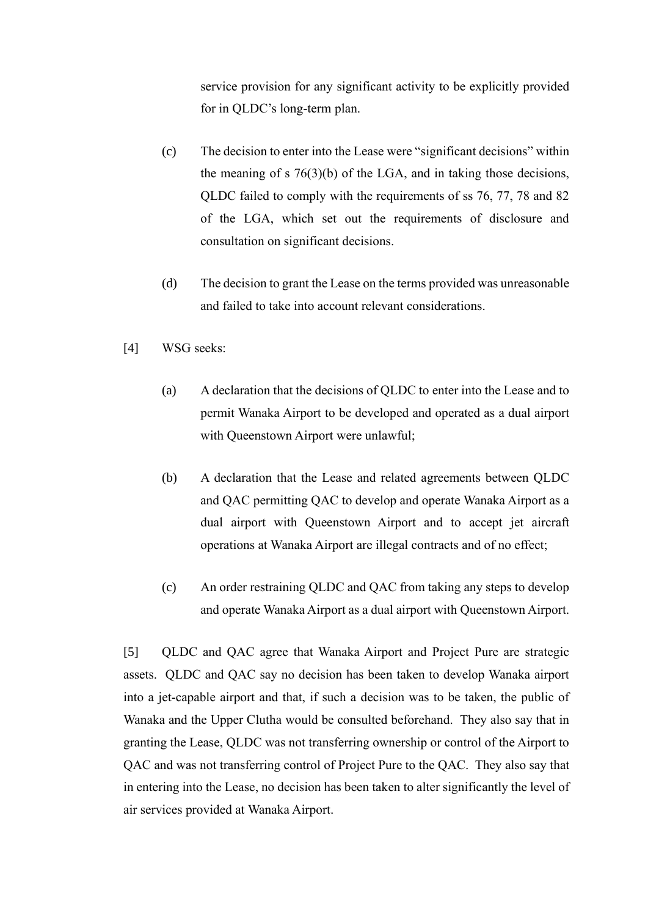service provision for any significant activity to be explicitly provided for in QLDC's long-term plan.

- (c) The decision to enter into the Lease were "significant decisions" within the meaning of s 76(3)(b) of the LGA, and in taking those decisions, QLDC failed to comply with the requirements of ss 76, 77, 78 and 82 of the LGA, which set out the requirements of disclosure and consultation on significant decisions.
- (d) The decision to grant the Lease on the terms provided was unreasonable and failed to take into account relevant considerations.
- [4] WSG seeks:
	- (a) A declaration that the decisions of QLDC to enter into the Lease and to permit Wanaka Airport to be developed and operated as a dual airport with Queenstown Airport were unlawful;
	- (b) A declaration that the Lease and related agreements between QLDC and QAC permitting QAC to develop and operate Wanaka Airport as a dual airport with Queenstown Airport and to accept jet aircraft operations at Wanaka Airport are illegal contracts and of no effect;
	- (c) An order restraining QLDC and QAC from taking any steps to develop and operate Wanaka Airport as a dual airport with Queenstown Airport.

[5] QLDC and QAC agree that Wanaka Airport and Project Pure are strategic assets. QLDC and QAC say no decision has been taken to develop Wanaka airport into a jet-capable airport and that, if such a decision was to be taken, the public of Wanaka and the Upper Clutha would be consulted beforehand. They also say that in granting the Lease, QLDC was not transferring ownership or control of the Airport to QAC and was not transferring control of Project Pure to the QAC. They also say that in entering into the Lease, no decision has been taken to alter significantly the level of air services provided at Wanaka Airport.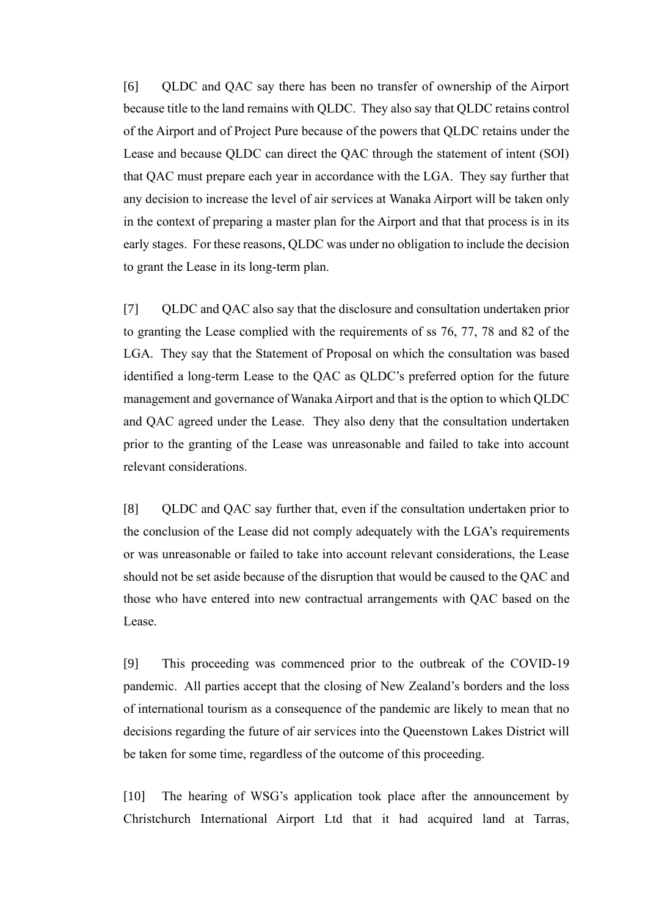[6] QLDC and QAC say there has been no transfer of ownership of the Airport because title to the land remains with QLDC. They also say that QLDC retains control of the Airport and of Project Pure because of the powers that QLDC retains under the Lease and because QLDC can direct the QAC through the statement of intent (SOI) that QAC must prepare each year in accordance with the LGA. They say further that any decision to increase the level of air services at Wanaka Airport will be taken only in the context of preparing a master plan for the Airport and that that process is in its early stages. For these reasons, QLDC was under no obligation to include the decision to grant the Lease in its long-term plan.

[7] QLDC and QAC also say that the disclosure and consultation undertaken prior to granting the Lease complied with the requirements of ss 76, 77, 78 and 82 of the LGA. They say that the Statement of Proposal on which the consultation was based identified a long-term Lease to the QAC as QLDC's preferred option for the future management and governance of Wanaka Airport and that is the option to which QLDC and QAC agreed under the Lease. They also deny that the consultation undertaken prior to the granting of the Lease was unreasonable and failed to take into account relevant considerations.

[8] QLDC and QAC say further that, even if the consultation undertaken prior to the conclusion of the Lease did not comply adequately with the LGA's requirements or was unreasonable or failed to take into account relevant considerations, the Lease should not be set aside because of the disruption that would be caused to the QAC and those who have entered into new contractual arrangements with QAC based on the Lease.

[9] This proceeding was commenced prior to the outbreak of the COVID-19 pandemic. All parties accept that the closing of New Zealand's borders and the loss of international tourism as a consequence of the pandemic are likely to mean that no decisions regarding the future of air services into the Queenstown Lakes District will be taken for some time, regardless of the outcome of this proceeding.

[10] The hearing of WSG's application took place after the announcement by Christchurch International Airport Ltd that it had acquired land at Tarras,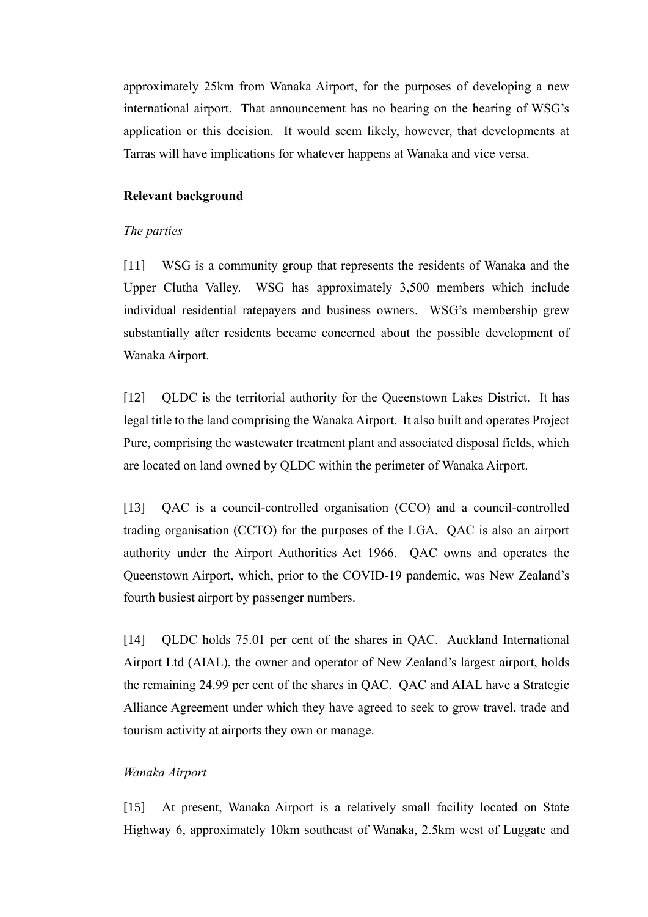approximately 25km from Wanaka Airport, for the purposes of developing a new international airport. That announcement has no bearing on the hearing of WSG's application or this decision. It would seem likely, however, that developments at Tarras will have implications for whatever happens at Wanaka and vice versa.

### <span id="page-6-0"></span>**Relevant background**

#### <span id="page-6-1"></span>*The parties*

[11] WSG is a community group that represents the residents of Wanaka and the Upper Clutha Valley. WSG has approximately 3,500 members which include individual residential ratepayers and business owners. WSG's membership grew substantially after residents became concerned about the possible development of Wanaka Airport.

[12] QLDC is the territorial authority for the Queenstown Lakes District. It has legal title to the land comprising the Wanaka Airport. It also built and operates Project Pure, comprising the wastewater treatment plant and associated disposal fields, which are located on land owned by QLDC within the perimeter of Wanaka Airport.

[13] QAC is a council-controlled organisation (CCO) and a council-controlled trading organisation (CCTO) for the purposes of the LGA. QAC is also an airport authority under the Airport Authorities Act 1966. QAC owns and operates the Queenstown Airport, which, prior to the COVID-19 pandemic, was New Zealand's fourth busiest airport by passenger numbers.

[14] QLDC holds 75.01 per cent of the shares in QAC. Auckland International Airport Ltd (AIAL), the owner and operator of New Zealand's largest airport, holds the remaining 24.99 per cent of the shares in QAC. QAC and AIAL have a Strategic Alliance Agreement under which they have agreed to seek to grow travel, trade and tourism activity at airports they own or manage.

# <span id="page-6-2"></span>*Wanaka Airport*

[15] At present, Wanaka Airport is a relatively small facility located on State Highway 6, approximately 10km southeast of Wanaka, 2.5km west of Luggate and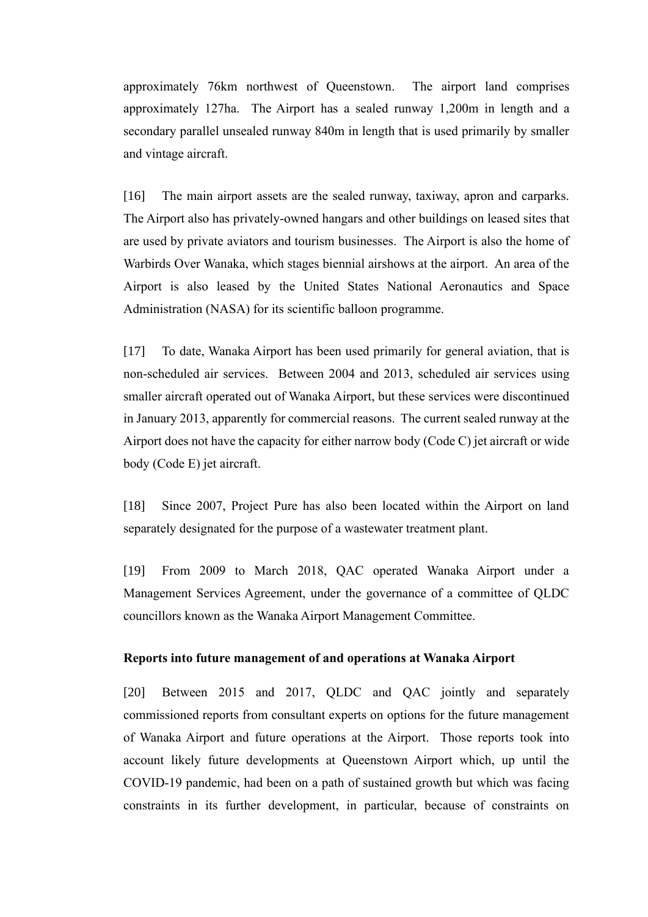approximately 76km northwest of Queenstown. The airport land comprises approximately 127ha. The Airport has a sealed runway 1,200m in length and a secondary parallel unsealed runway 840m in length that is used primarily by smaller and vintage aircraft.

[16] The main airport assets are the sealed runway, taxiway, apron and carparks. The Airport also has privately-owned hangars and other buildings on leased sites that are used by private aviators and tourism businesses. The Airport is also the home of Warbirds Over Wanaka, which stages biennial airshows at the airport. An area of the Airport is also leased by the United States National Aeronautics and Space Administration (NASA) for its scientific balloon programme.

[17] To date, Wanaka Airport has been used primarily for general aviation, that is non-scheduled air services. Between 2004 and 2013, scheduled air services using smaller aircraft operated out of Wanaka Airport, but these services were discontinued in January 2013, apparently for commercial reasons. The current sealed runway at the Airport does not have the capacity for either narrow body (Code C) jet aircraft or wide body (Code E) jet aircraft.

[18] Since 2007, Project Pure has also been located within the Airport on land separately designated for the purpose of a wastewater treatment plant.

[19] From 2009 to March 2018, QAC operated Wanaka Airport under a Management Services Agreement, under the governance of a committee of QLDC councillors known as the Wanaka Airport Management Committee.

### <span id="page-7-0"></span>**Reports into future management of and operations at Wanaka Airport**

[20] Between 2015 and 2017, QLDC and QAC jointly and separately commissioned reports from consultant experts on options for the future management of Wanaka Airport and future operations at the Airport. Those reports took into account likely future developments at Queenstown Airport which, up until the COVID-19 pandemic, had been on a path of sustained growth but which was facing constraints in its further development, in particular, because of constraints on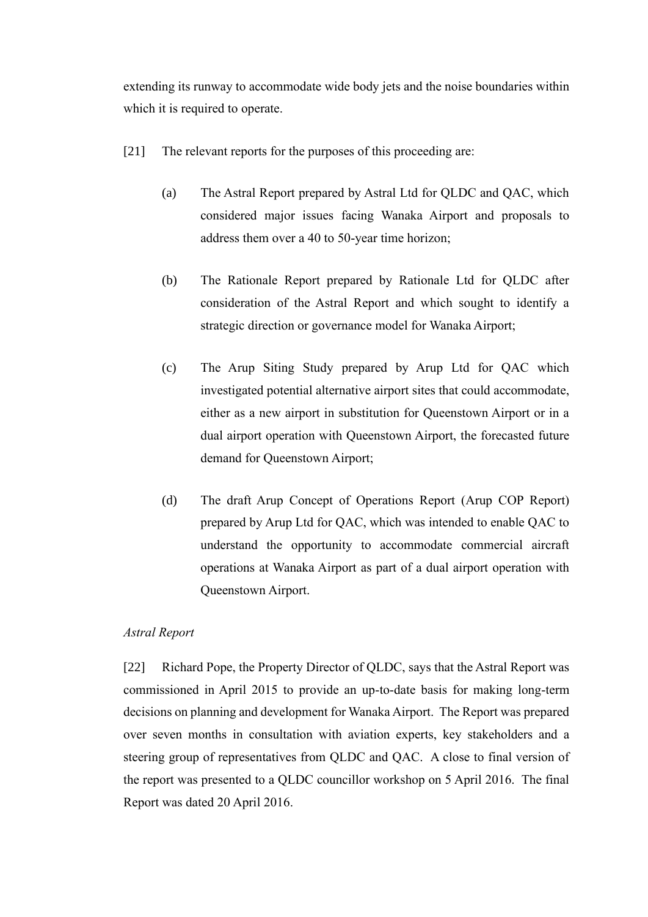extending its runway to accommodate wide body jets and the noise boundaries within which it is required to operate.

- [21] The relevant reports for the purposes of this proceeding are:
	- (a) The Astral Report prepared by Astral Ltd for QLDC and QAC, which considered major issues facing Wanaka Airport and proposals to address them over a 40 to 50-year time horizon;
	- (b) The Rationale Report prepared by Rationale Ltd for QLDC after consideration of the Astral Report and which sought to identify a strategic direction or governance model for Wanaka Airport;
	- (c) The Arup Siting Study prepared by Arup Ltd for QAC which investigated potential alternative airport sites that could accommodate, either as a new airport in substitution for Queenstown Airport or in a dual airport operation with Queenstown Airport, the forecasted future demand for Queenstown Airport;
	- (d) The draft Arup Concept of Operations Report (Arup COP Report) prepared by Arup Ltd for QAC, which was intended to enable QAC to understand the opportunity to accommodate commercial aircraft operations at Wanaka Airport as part of a dual airport operation with Queenstown Airport.

# <span id="page-8-0"></span>*Astral Report*

[22] Richard Pope, the Property Director of QLDC, says that the Astral Report was commissioned in April 2015 to provide an up-to-date basis for making long-term decisions on planning and development for Wanaka Airport. The Report was prepared over seven months in consultation with aviation experts, key stakeholders and a steering group of representatives from QLDC and QAC. A close to final version of the report was presented to a QLDC councillor workshop on 5 April 2016. The final Report was dated 20 April 2016.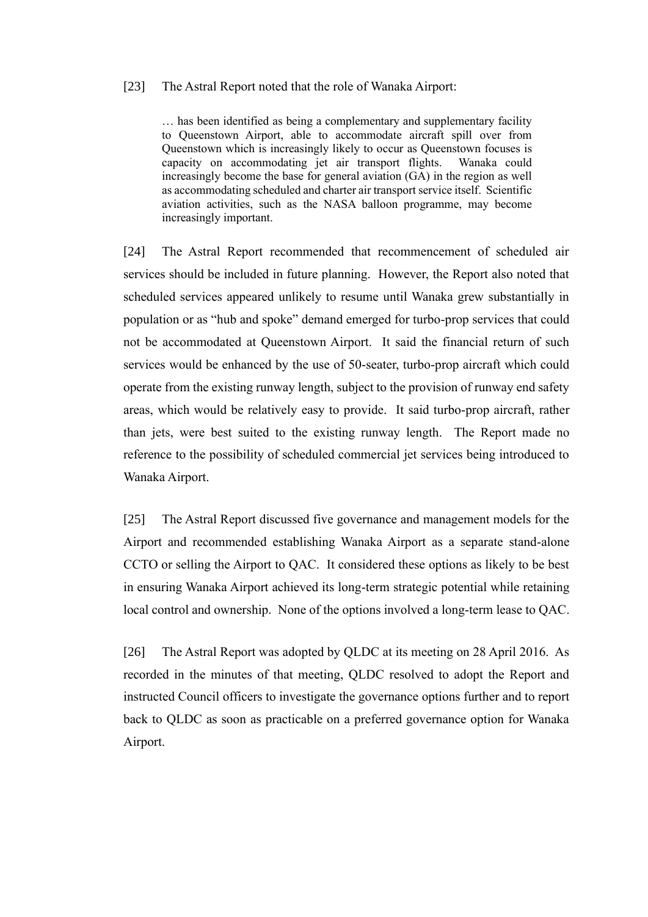#### [23] The Astral Report noted that the role of Wanaka Airport:

… has been identified as being a complementary and supplementary facility to Queenstown Airport, able to accommodate aircraft spill over from Queenstown which is increasingly likely to occur as Queenstown focuses is capacity on accommodating jet air transport flights. Wanaka could increasingly become the base for general aviation (GA) in the region as well as accommodating scheduled and charter air transport service itself. Scientific aviation activities, such as the NASA balloon programme, may become increasingly important.

[24] The Astral Report recommended that recommencement of scheduled air services should be included in future planning. However, the Report also noted that scheduled services appeared unlikely to resume until Wanaka grew substantially in population or as "hub and spoke" demand emerged for turbo-prop services that could not be accommodated at Queenstown Airport. It said the financial return of such services would be enhanced by the use of 50-seater, turbo-prop aircraft which could operate from the existing runway length, subject to the provision of runway end safety areas, which would be relatively easy to provide. It said turbo-prop aircraft, rather than jets, were best suited to the existing runway length. The Report made no reference to the possibility of scheduled commercial jet services being introduced to Wanaka Airport.

[25] The Astral Report discussed five governance and management models for the Airport and recommended establishing Wanaka Airport as a separate stand-alone CCTO or selling the Airport to QAC. It considered these options as likely to be best in ensuring Wanaka Airport achieved its long-term strategic potential while retaining local control and ownership. None of the options involved a long-term lease to QAC.

[26] The Astral Report was adopted by QLDC at its meeting on 28 April 2016. As recorded in the minutes of that meeting, QLDC resolved to adopt the Report and instructed Council officers to investigate the governance options further and to report back to QLDC as soon as practicable on a preferred governance option for Wanaka Airport.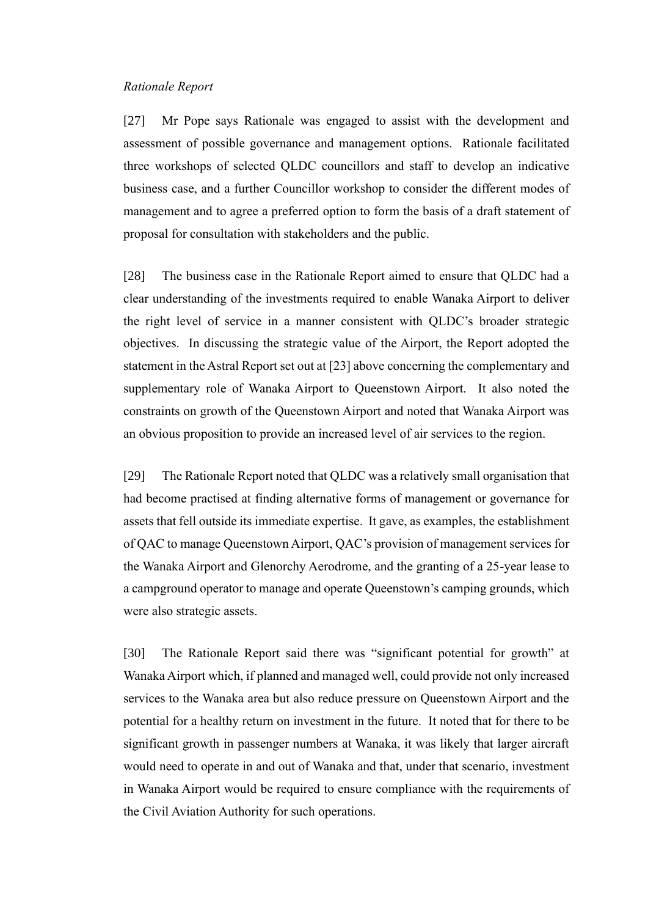### <span id="page-10-0"></span>*Rationale Report*

[27] Mr Pope says Rationale was engaged to assist with the development and assessment of possible governance and management options. Rationale facilitated three workshops of selected QLDC councillors and staff to develop an indicative business case, and a further Councillor workshop to consider the different modes of management and to agree a preferred option to form the basis of a draft statement of proposal for consultation with stakeholders and the public.

[28] The business case in the Rationale Report aimed to ensure that QLDC had a clear understanding of the investments required to enable Wanaka Airport to deliver the right level of service in a manner consistent with QLDC's broader strategic objectives. In discussing the strategic value of the Airport, the Report adopted the statement in the Astral Report set out at [23] above concerning the complementary and supplementary role of Wanaka Airport to Queenstown Airport. It also noted the constraints on growth of the Queenstown Airport and noted that Wanaka Airport was an obvious proposition to provide an increased level of air services to the region.

[29] The Rationale Report noted that QLDC was a relatively small organisation that had become practised at finding alternative forms of management or governance for assets that fell outside its immediate expertise. It gave, as examples, the establishment of QAC to manage Queenstown Airport, QAC's provision of management services for the Wanaka Airport and Glenorchy Aerodrome, and the granting of a 25-year lease to a campground operator to manage and operate Queenstown's camping grounds, which were also strategic assets.

[30] The Rationale Report said there was "significant potential for growth" at Wanaka Airport which, if planned and managed well, could provide not only increased services to the Wanaka area but also reduce pressure on Queenstown Airport and the potential for a healthy return on investment in the future. It noted that for there to be significant growth in passenger numbers at Wanaka, it was likely that larger aircraft would need to operate in and out of Wanaka and that, under that scenario, investment in Wanaka Airport would be required to ensure compliance with the requirements of the Civil Aviation Authority for such operations.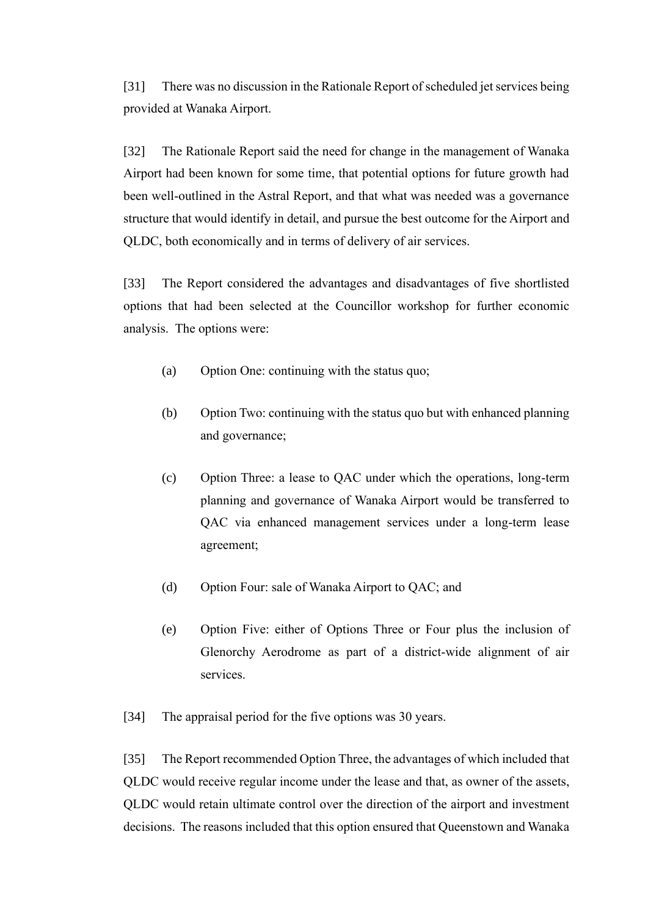[31] There was no discussion in the Rationale Report of scheduled jet services being provided at Wanaka Airport.

[32] The Rationale Report said the need for change in the management of Wanaka Airport had been known for some time, that potential options for future growth had been well-outlined in the Astral Report, and that what was needed was a governance structure that would identify in detail, and pursue the best outcome for the Airport and QLDC, both economically and in terms of delivery of air services.

[33] The Report considered the advantages and disadvantages of five shortlisted options that had been selected at the Councillor workshop for further economic analysis. The options were:

- (a) Option One: continuing with the status quo;
- (b) Option Two: continuing with the status quo but with enhanced planning and governance;
- (c) Option Three: a lease to QAC under which the operations, long-term planning and governance of Wanaka Airport would be transferred to QAC via enhanced management services under a long-term lease agreement;
- (d) Option Four: sale of Wanaka Airport to QAC; and
- (e) Option Five: either of Options Three or Four plus the inclusion of Glenorchy Aerodrome as part of a district-wide alignment of air services.

[34] The appraisal period for the five options was 30 years.

[35] The Report recommended Option Three, the advantages of which included that QLDC would receive regular income under the lease and that, as owner of the assets, QLDC would retain ultimate control over the direction of the airport and investment decisions. The reasons included that this option ensured that Queenstown and Wanaka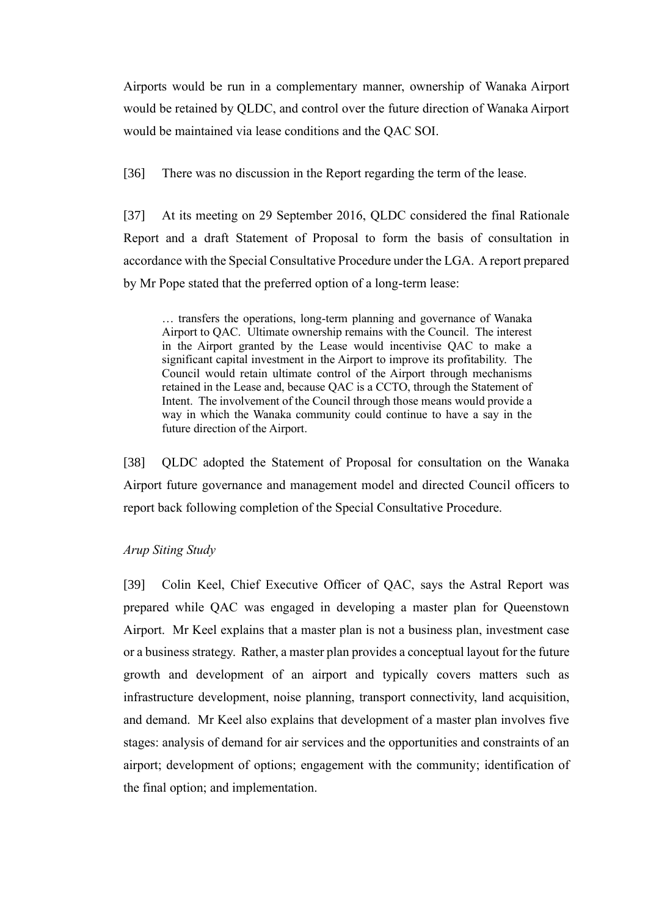Airports would be run in a complementary manner, ownership of Wanaka Airport would be retained by QLDC, and control over the future direction of Wanaka Airport would be maintained via lease conditions and the QAC SOI.

[36] There was no discussion in the Report regarding the term of the lease.

[37] At its meeting on 29 September 2016, QLDC considered the final Rationale Report and a draft Statement of Proposal to form the basis of consultation in accordance with the Special Consultative Procedure under the LGA. A report prepared by Mr Pope stated that the preferred option of a long-term lease:

… transfers the operations, long-term planning and governance of Wanaka Airport to QAC. Ultimate ownership remains with the Council. The interest in the Airport granted by the Lease would incentivise QAC to make a significant capital investment in the Airport to improve its profitability. The Council would retain ultimate control of the Airport through mechanisms retained in the Lease and, because QAC is a CCTO, through the Statement of Intent. The involvement of the Council through those means would provide a way in which the Wanaka community could continue to have a say in the future direction of the Airport.

[38] QLDC adopted the Statement of Proposal for consultation on the Wanaka Airport future governance and management model and directed Council officers to report back following completion of the Special Consultative Procedure.

# <span id="page-12-0"></span>*Arup Siting Study*

[39] Colin Keel, Chief Executive Officer of QAC, says the Astral Report was prepared while QAC was engaged in developing a master plan for Queenstown Airport. Mr Keel explains that a master plan is not a business plan, investment case or a business strategy. Rather, a master plan provides a conceptual layout for the future growth and development of an airport and typically covers matters such as infrastructure development, noise planning, transport connectivity, land acquisition, and demand. Mr Keel also explains that development of a master plan involves five stages: analysis of demand for air services and the opportunities and constraints of an airport; development of options; engagement with the community; identification of the final option; and implementation.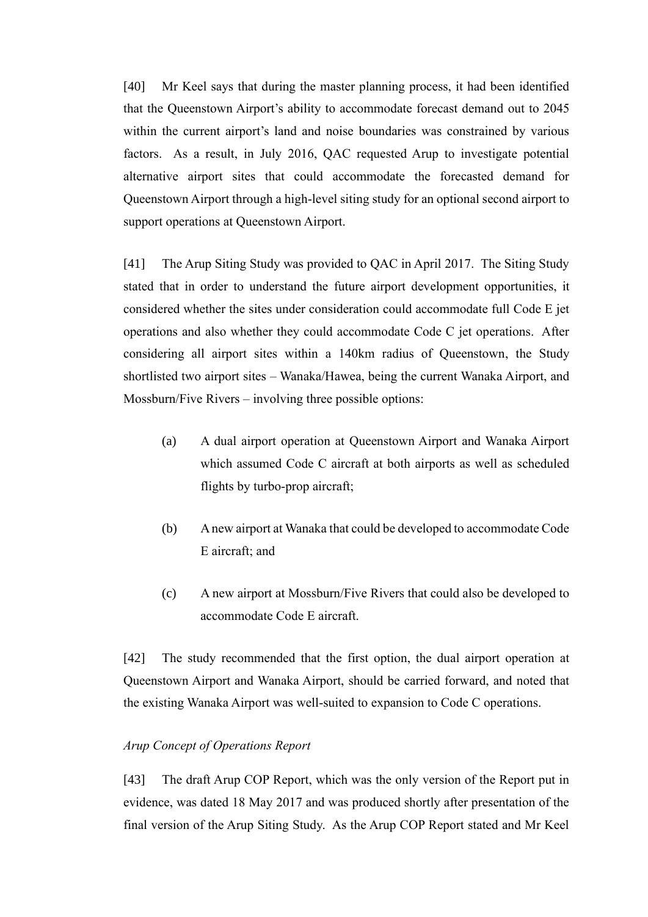[40] Mr Keel says that during the master planning process, it had been identified that the Queenstown Airport's ability to accommodate forecast demand out to 2045 within the current airport's land and noise boundaries was constrained by various factors. As a result, in July 2016, QAC requested Arup to investigate potential alternative airport sites that could accommodate the forecasted demand for Queenstown Airport through a high-level siting study for an optional second airport to support operations at Queenstown Airport.

[41] The Arup Siting Study was provided to QAC in April 2017. The Siting Study stated that in order to understand the future airport development opportunities, it considered whether the sites under consideration could accommodate full Code E jet operations and also whether they could accommodate Code C jet operations. After considering all airport sites within a 140km radius of Queenstown, the Study shortlisted two airport sites – Wanaka/Hawea, being the current Wanaka Airport, and Mossburn/Five Rivers – involving three possible options:

- (a) A dual airport operation at Queenstown Airport and Wanaka Airport which assumed Code C aircraft at both airports as well as scheduled flights by turbo-prop aircraft;
- (b) A new airport at Wanaka that could be developed to accommodate Code E aircraft; and
- (c) A new airport at Mossburn/Five Rivers that could also be developed to accommodate Code E aircraft.

[42] The study recommended that the first option, the dual airport operation at Queenstown Airport and Wanaka Airport, should be carried forward, and noted that the existing Wanaka Airport was well-suited to expansion to Code C operations.

# <span id="page-13-0"></span>*Arup Concept of Operations Report*

[43] The draft Arup COP Report, which was the only version of the Report put in evidence, was dated 18 May 2017 and was produced shortly after presentation of the final version of the Arup Siting Study. As the Arup COP Report stated and Mr Keel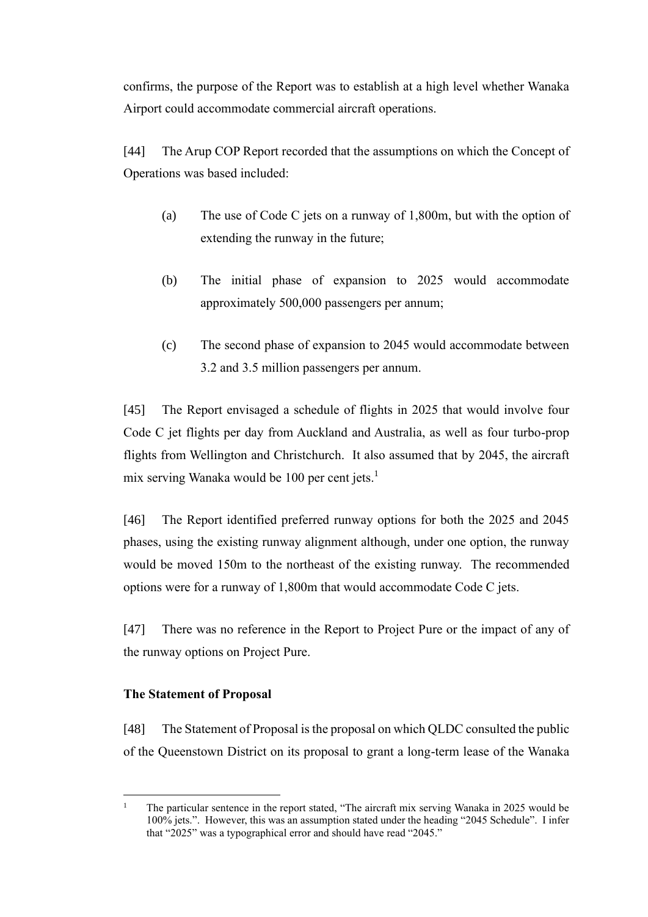confirms, the purpose of the Report was to establish at a high level whether Wanaka Airport could accommodate commercial aircraft operations.

[44] The Arup COP Report recorded that the assumptions on which the Concept of Operations was based included:

- (a) The use of Code C jets on a runway of 1,800m, but with the option of extending the runway in the future;
- (b) The initial phase of expansion to 2025 would accommodate approximately 500,000 passengers per annum;
- (c) The second phase of expansion to 2045 would accommodate between 3.2 and 3.5 million passengers per annum.

[45] The Report envisaged a schedule of flights in 2025 that would involve four Code C jet flights per day from Auckland and Australia, as well as four turbo-prop flights from Wellington and Christchurch. It also assumed that by 2045, the aircraft mix serving Wanaka would be 100 per cent jets.<sup>1</sup>

[46] The Report identified preferred runway options for both the 2025 and 2045 phases, using the existing runway alignment although, under one option, the runway would be moved 150m to the northeast of the existing runway. The recommended options were for a runway of 1,800m that would accommodate Code C jets.

[47] There was no reference in the Report to Project Pure or the impact of any of the runway options on Project Pure.

# <span id="page-14-0"></span>**The Statement of Proposal**

[48] The Statement of Proposal is the proposal on which QLDC consulted the public of the Queenstown District on its proposal to grant a long-term lease of the Wanaka

<sup>&</sup>lt;sup>1</sup> The particular sentence in the report stated, "The aircraft mix serving Wanaka in 2025 would be 100% jets.". However, this was an assumption stated under the heading "2045 Schedule". I infer that "2025" was a typographical error and should have read "2045."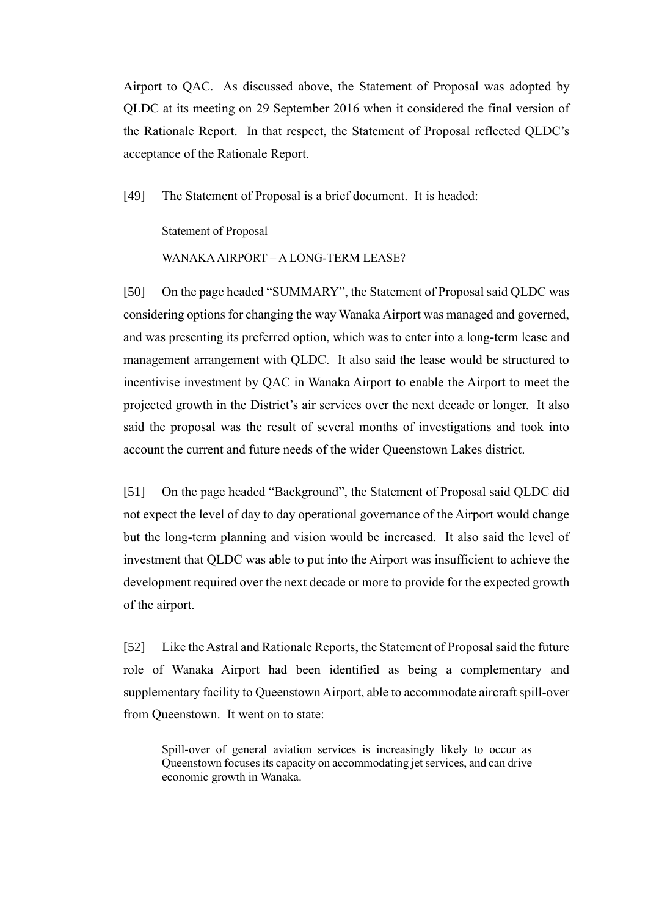Airport to QAC. As discussed above, the Statement of Proposal was adopted by QLDC at its meeting on 29 September 2016 when it considered the final version of the Rationale Report. In that respect, the Statement of Proposal reflected QLDC's acceptance of the Rationale Report.

[49] The Statement of Proposal is a brief document. It is headed:

Statement of Proposal

WANAKA AIRPORT – A LONG-TERM LEASE?

[50] On the page headed "SUMMARY", the Statement of Proposal said QLDC was considering options for changing the way Wanaka Airport was managed and governed, and was presenting its preferred option, which was to enter into a long-term lease and management arrangement with QLDC. It also said the lease would be structured to incentivise investment by QAC in Wanaka Airport to enable the Airport to meet the projected growth in the District's air services over the next decade or longer. It also said the proposal was the result of several months of investigations and took into account the current and future needs of the wider Queenstown Lakes district.

[51] On the page headed "Background", the Statement of Proposal said QLDC did not expect the level of day to day operational governance of the Airport would change but the long-term planning and vision would be increased. It also said the level of investment that QLDC was able to put into the Airport was insufficient to achieve the development required over the next decade or more to provide for the expected growth of the airport.

[52] Like the Astral and Rationale Reports, the Statement of Proposal said the future role of Wanaka Airport had been identified as being a complementary and supplementary facility to Queenstown Airport, able to accommodate aircraft spill-over from Queenstown. It went on to state:

Spill-over of general aviation services is increasingly likely to occur as Queenstown focuses its capacity on accommodating jet services, and can drive economic growth in Wanaka.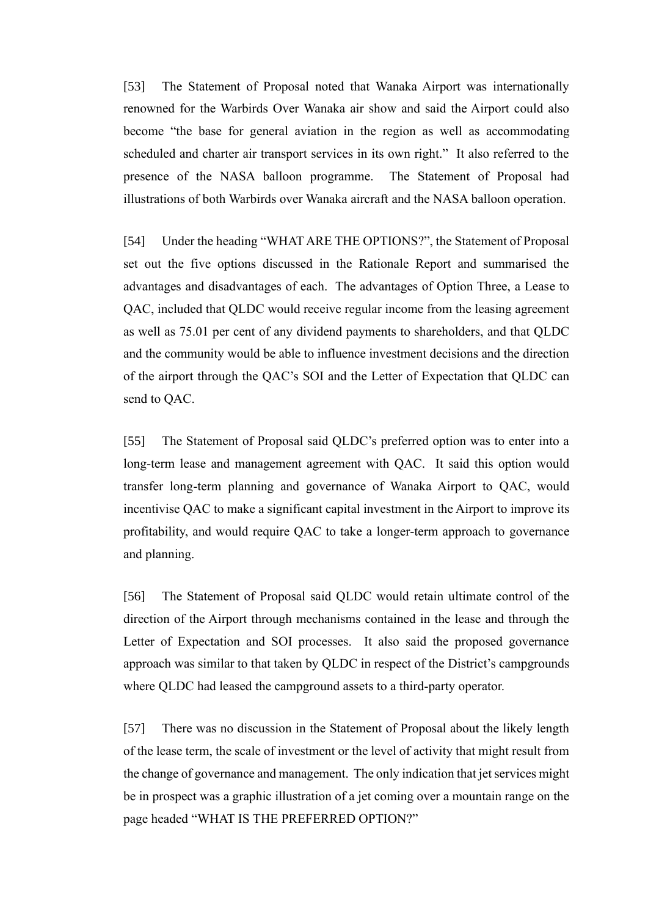[53] The Statement of Proposal noted that Wanaka Airport was internationally renowned for the Warbirds Over Wanaka air show and said the Airport could also become "the base for general aviation in the region as well as accommodating scheduled and charter air transport services in its own right." It also referred to the presence of the NASA balloon programme. The Statement of Proposal had illustrations of both Warbirds over Wanaka aircraft and the NASA balloon operation.

[54] Under the heading "WHAT ARE THE OPTIONS?", the Statement of Proposal set out the five options discussed in the Rationale Report and summarised the advantages and disadvantages of each. The advantages of Option Three, a Lease to QAC, included that QLDC would receive regular income from the leasing agreement as well as 75.01 per cent of any dividend payments to shareholders, and that QLDC and the community would be able to influence investment decisions and the direction of the airport through the QAC's SOI and the Letter of Expectation that QLDC can send to QAC.

[55] The Statement of Proposal said QLDC's preferred option was to enter into a long-term lease and management agreement with QAC. It said this option would transfer long-term planning and governance of Wanaka Airport to QAC, would incentivise QAC to make a significant capital investment in the Airport to improve its profitability, and would require QAC to take a longer-term approach to governance and planning.

[56] The Statement of Proposal said QLDC would retain ultimate control of the direction of the Airport through mechanisms contained in the lease and through the Letter of Expectation and SOI processes. It also said the proposed governance approach was similar to that taken by QLDC in respect of the District's campgrounds where QLDC had leased the campground assets to a third-party operator.

[57] There was no discussion in the Statement of Proposal about the likely length of the lease term, the scale of investment or the level of activity that might result from the change of governance and management. The only indication that jet services might be in prospect was a graphic illustration of a jet coming over a mountain range on the page headed "WHAT IS THE PREFERRED OPTION?"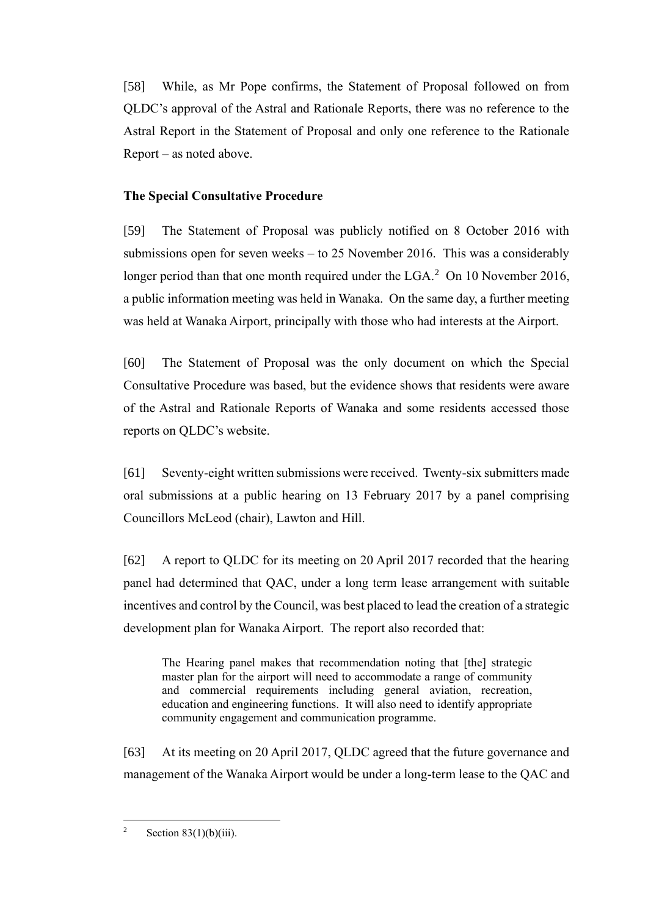[58] While, as Mr Pope confirms, the Statement of Proposal followed on from QLDC's approval of the Astral and Rationale Reports, there was no reference to the Astral Report in the Statement of Proposal and only one reference to the Rationale Report – as noted above.

# <span id="page-17-0"></span>**The Special Consultative Procedure**

[59] The Statement of Proposal was publicly notified on 8 October 2016 with submissions open for seven weeks – to 25 November 2016. This was a considerably longer period than that one month required under the LGA. $^2$  On 10 November 2016, a public information meeting was held in Wanaka. On the same day, a further meeting was held at Wanaka Airport, principally with those who had interests at the Airport.

[60] The Statement of Proposal was the only document on which the Special Consultative Procedure was based, but the evidence shows that residents were aware of the Astral and Rationale Reports of Wanaka and some residents accessed those reports on QLDC's website.

[61] Seventy-eight written submissions were received. Twenty-six submitters made oral submissions at a public hearing on 13 February 2017 by a panel comprising Councillors McLeod (chair), Lawton and Hill.

[62] A report to QLDC for its meeting on 20 April 2017 recorded that the hearing panel had determined that QAC, under a long term lease arrangement with suitable incentives and control by the Council, was best placed to lead the creation of a strategic development plan for Wanaka Airport. The report also recorded that:

The Hearing panel makes that recommendation noting that [the] strategic master plan for the airport will need to accommodate a range of community and commercial requirements including general aviation, recreation, education and engineering functions. It will also need to identify appropriate community engagement and communication programme.

[63] At its meeting on 20 April 2017, QLDC agreed that the future governance and management of the Wanaka Airport would be under a long-term lease to the QAC and

<sup>&</sup>lt;sup>2</sup> Section 83(1)(b)(iii).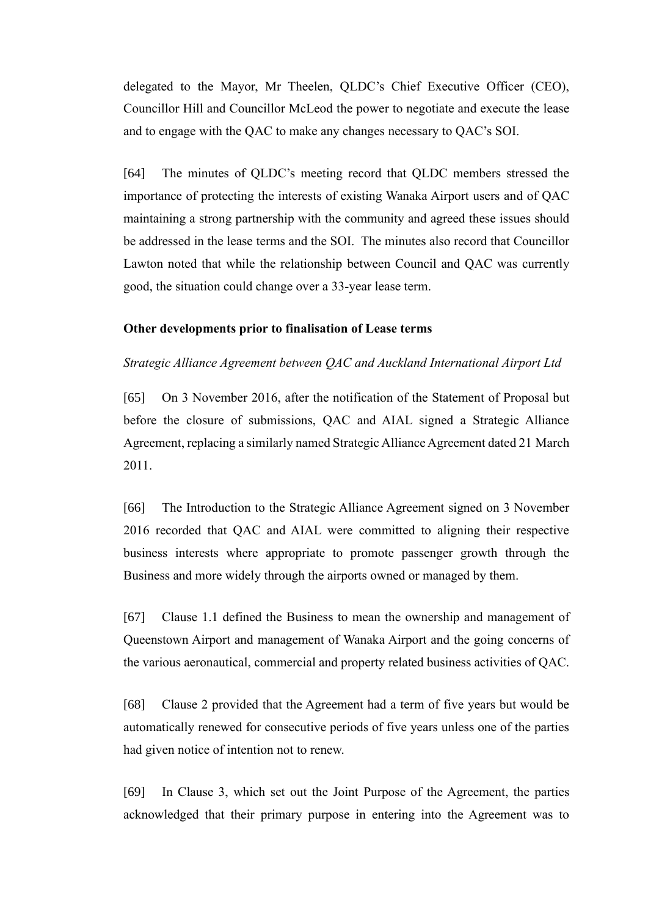delegated to the Mayor, Mr Theelen, QLDC's Chief Executive Officer (CEO), Councillor Hill and Councillor McLeod the power to negotiate and execute the lease and to engage with the QAC to make any changes necessary to QAC's SOI.

[64] The minutes of QLDC's meeting record that QLDC members stressed the importance of protecting the interests of existing Wanaka Airport users and of QAC maintaining a strong partnership with the community and agreed these issues should be addressed in the lease terms and the SOI. The minutes also record that Councillor Lawton noted that while the relationship between Council and QAC was currently good, the situation could change over a 33-year lease term.

#### <span id="page-18-0"></span>**Other developments prior to finalisation of Lease terms**

#### <span id="page-18-1"></span>*Strategic Alliance Agreement between QAC and Auckland International Airport Ltd*

[65] On 3 November 2016, after the notification of the Statement of Proposal but before the closure of submissions, QAC and AIAL signed a Strategic Alliance Agreement, replacing a similarly named Strategic Alliance Agreement dated 21 March 2011.

[66] The Introduction to the Strategic Alliance Agreement signed on 3 November 2016 recorded that QAC and AIAL were committed to aligning their respective business interests where appropriate to promote passenger growth through the Business and more widely through the airports owned or managed by them.

[67] Clause 1.1 defined the Business to mean the ownership and management of Queenstown Airport and management of Wanaka Airport and the going concerns of the various aeronautical, commercial and property related business activities of QAC.

[68] Clause 2 provided that the Agreement had a term of five years but would be automatically renewed for consecutive periods of five years unless one of the parties had given notice of intention not to renew.

[69] In Clause 3, which set out the Joint Purpose of the Agreement, the parties acknowledged that their primary purpose in entering into the Agreement was to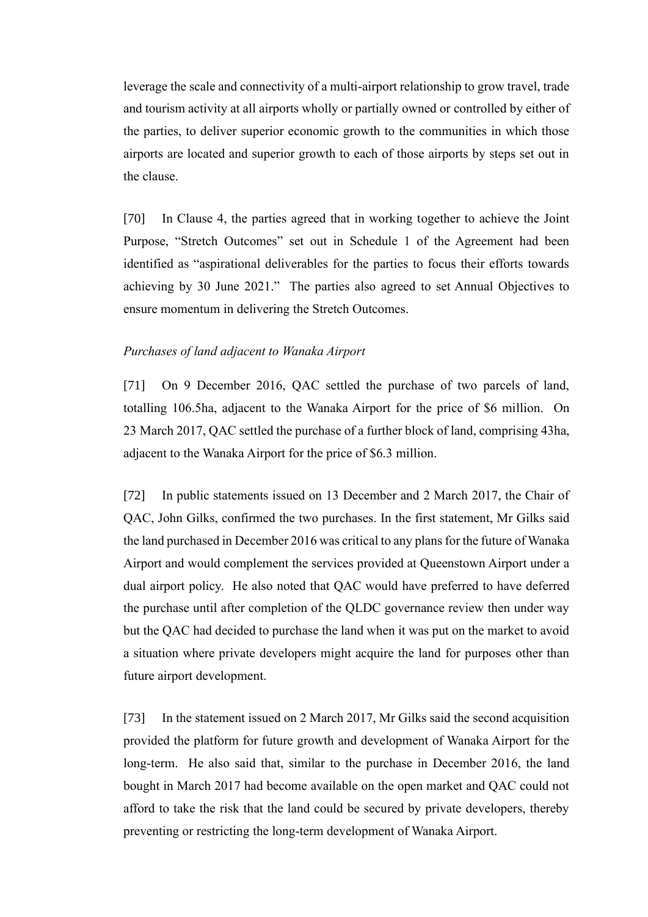leverage the scale and connectivity of a multi-airport relationship to grow travel, trade and tourism activity at all airports wholly or partially owned or controlled by either of the parties, to deliver superior economic growth to the communities in which those airports are located and superior growth to each of those airports by steps set out in the clause.

[70] In Clause 4, the parties agreed that in working together to achieve the Joint Purpose, "Stretch Outcomes" set out in Schedule 1 of the Agreement had been identified as "aspirational deliverables for the parties to focus their efforts towards achieving by 30 June 2021." The parties also agreed to set Annual Objectives to ensure momentum in delivering the Stretch Outcomes.

### <span id="page-19-0"></span>*Purchases of land adjacent to Wanaka Airport*

[71] On 9 December 2016, QAC settled the purchase of two parcels of land, totalling 106.5ha, adjacent to the Wanaka Airport for the price of \$6 million. On 23 March 2017, QAC settled the purchase of a further block of land, comprising 43ha, adjacent to the Wanaka Airport for the price of \$6.3 million.

[72] In public statements issued on 13 December and 2 March 2017, the Chair of QAC, John Gilks, confirmed the two purchases. In the first statement, Mr Gilks said the land purchased in December 2016 was critical to any plans for the future of Wanaka Airport and would complement the services provided at Queenstown Airport under a dual airport policy. He also noted that QAC would have preferred to have deferred the purchase until after completion of the QLDC governance review then under way but the QAC had decided to purchase the land when it was put on the market to avoid a situation where private developers might acquire the land for purposes other than future airport development.

[73] In the statement issued on 2 March 2017, Mr Gilks said the second acquisition provided the platform for future growth and development of Wanaka Airport for the long-term. He also said that, similar to the purchase in December 2016, the land bought in March 2017 had become available on the open market and QAC could not afford to take the risk that the land could be secured by private developers, thereby preventing or restricting the long-term development of Wanaka Airport.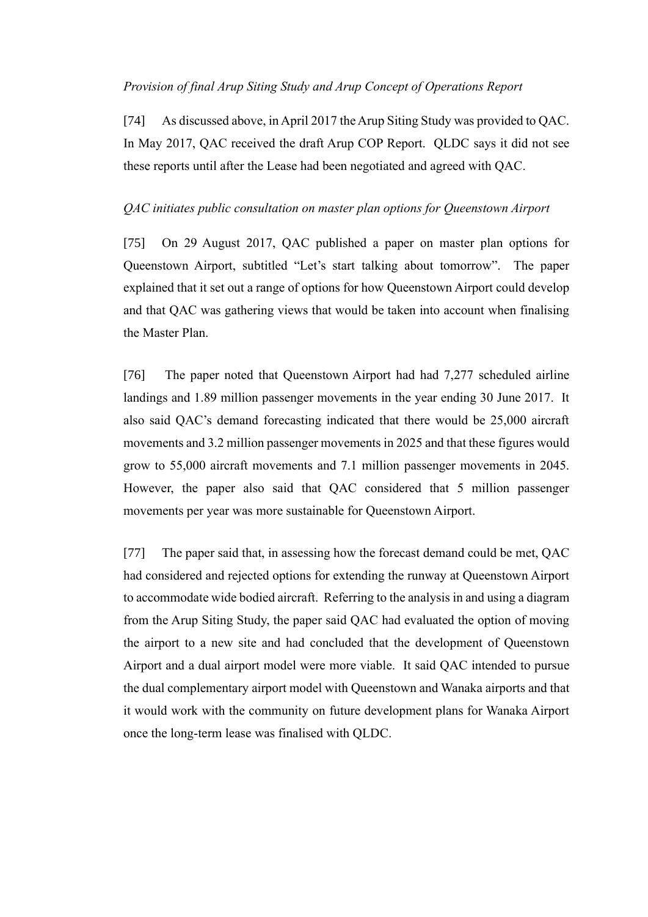# <span id="page-20-0"></span>*Provision of final Arup Siting Study and Arup Concept of Operations Report*

[74] As discussed above, in April 2017 the Arup Siting Study was provided to QAC. In May 2017, QAC received the draft Arup COP Report. QLDC says it did not see these reports until after the Lease had been negotiated and agreed with QAC.

# <span id="page-20-1"></span>*QAC initiates public consultation on master plan options for Queenstown Airport*

[75] On 29 August 2017, QAC published a paper on master plan options for Queenstown Airport, subtitled "Let's start talking about tomorrow". The paper explained that it set out a range of options for how Queenstown Airport could develop and that QAC was gathering views that would be taken into account when finalising the Master Plan.

[76] The paper noted that Queenstown Airport had had 7,277 scheduled airline landings and 1.89 million passenger movements in the year ending 30 June 2017. It also said QAC's demand forecasting indicated that there would be 25,000 aircraft movements and 3.2 million passenger movements in 2025 and that these figures would grow to 55,000 aircraft movements and 7.1 million passenger movements in 2045. However, the paper also said that QAC considered that 5 million passenger movements per year was more sustainable for Queenstown Airport.

[77] The paper said that, in assessing how the forecast demand could be met, QAC had considered and rejected options for extending the runway at Queenstown Airport to accommodate wide bodied aircraft. Referring to the analysis in and using a diagram from the Arup Siting Study, the paper said QAC had evaluated the option of moving the airport to a new site and had concluded that the development of Queenstown Airport and a dual airport model were more viable. It said QAC intended to pursue the dual complementary airport model with Queenstown and Wanaka airports and that it would work with the community on future development plans for Wanaka Airport once the long-term lease was finalised with QLDC.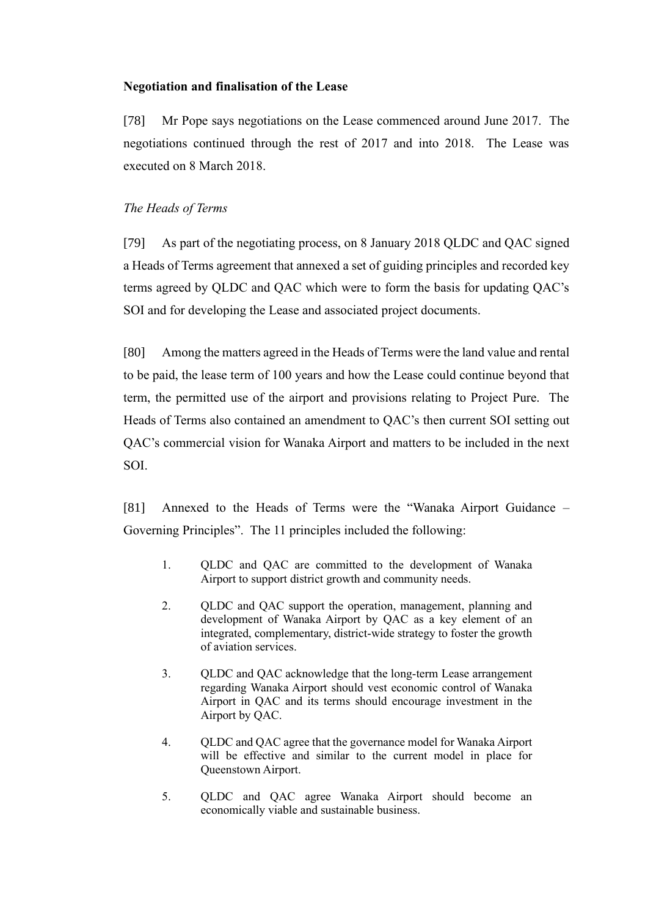# <span id="page-21-0"></span>**Negotiation and finalisation of the Lease**

[78] Mr Pope says negotiations on the Lease commenced around June 2017. The negotiations continued through the rest of 2017 and into 2018. The Lease was executed on 8 March 2018.

# <span id="page-21-1"></span>*The Heads of Terms*

[79] As part of the negotiating process, on 8 January 2018 QLDC and QAC signed a Heads of Terms agreement that annexed a set of guiding principles and recorded key terms agreed by QLDC and QAC which were to form the basis for updating QAC's SOI and for developing the Lease and associated project documents.

[80] Among the matters agreed in the Heads of Terms were the land value and rental to be paid, the lease term of 100 years and how the Lease could continue beyond that term, the permitted use of the airport and provisions relating to Project Pure. The Heads of Terms also contained an amendment to QAC's then current SOI setting out QAC's commercial vision for Wanaka Airport and matters to be included in the next SOI.

[81] Annexed to the Heads of Terms were the "Wanaka Airport Guidance – Governing Principles". The 11 principles included the following:

- 1. QLDC and QAC are committed to the development of Wanaka Airport to support district growth and community needs.
- 2. QLDC and QAC support the operation, management, planning and development of Wanaka Airport by QAC as a key element of an integrated, complementary, district-wide strategy to foster the growth of aviation services.
- 3. QLDC and QAC acknowledge that the long-term Lease arrangement regarding Wanaka Airport should vest economic control of Wanaka Airport in QAC and its terms should encourage investment in the Airport by QAC.
- 4. QLDC and QAC agree that the governance model for Wanaka Airport will be effective and similar to the current model in place for Queenstown Airport.
- 5. QLDC and QAC agree Wanaka Airport should become an economically viable and sustainable business.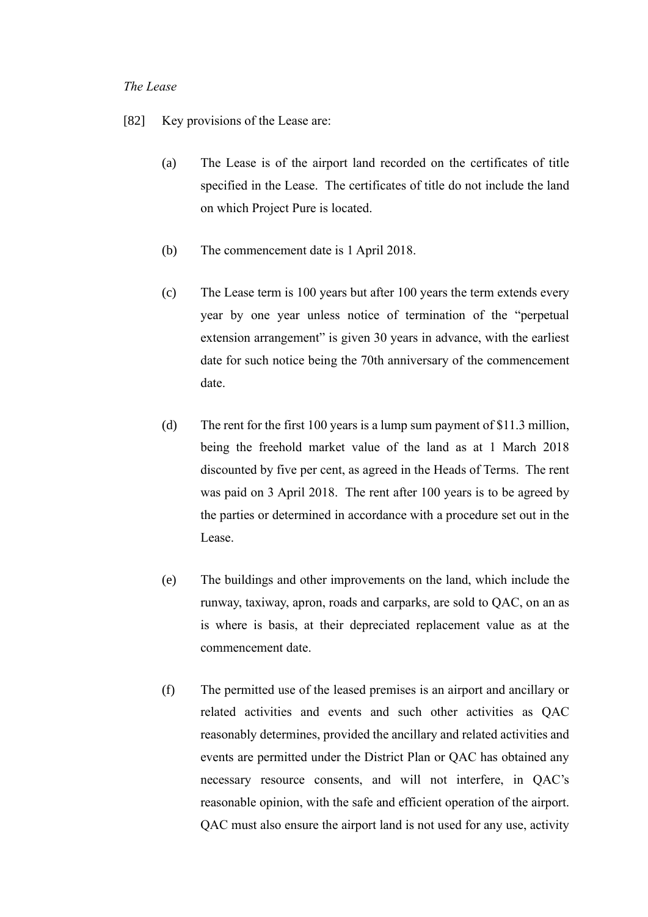#### <span id="page-22-0"></span>*The Lease*

- [82] Key provisions of the Lease are:
	- (a) The Lease is of the airport land recorded on the certificates of title specified in the Lease. The certificates of title do not include the land on which Project Pure is located.
	- (b) The commencement date is 1 April 2018.
	- (c) The Lease term is 100 years but after 100 years the term extends every year by one year unless notice of termination of the "perpetual extension arrangement" is given 30 years in advance, with the earliest date for such notice being the 70th anniversary of the commencement date.
	- (d) The rent for the first 100 years is a lump sum payment of \$11.3 million, being the freehold market value of the land as at 1 March 2018 discounted by five per cent, as agreed in the Heads of Terms. The rent was paid on 3 April 2018. The rent after 100 years is to be agreed by the parties or determined in accordance with a procedure set out in the Lease.
	- (e) The buildings and other improvements on the land, which include the runway, taxiway, apron, roads and carparks, are sold to QAC, on an as is where is basis, at their depreciated replacement value as at the commencement date.
	- (f) The permitted use of the leased premises is an airport and ancillary or related activities and events and such other activities as QAC reasonably determines, provided the ancillary and related activities and events are permitted under the District Plan or QAC has obtained any necessary resource consents, and will not interfere, in QAC's reasonable opinion, with the safe and efficient operation of the airport. QAC must also ensure the airport land is not used for any use, activity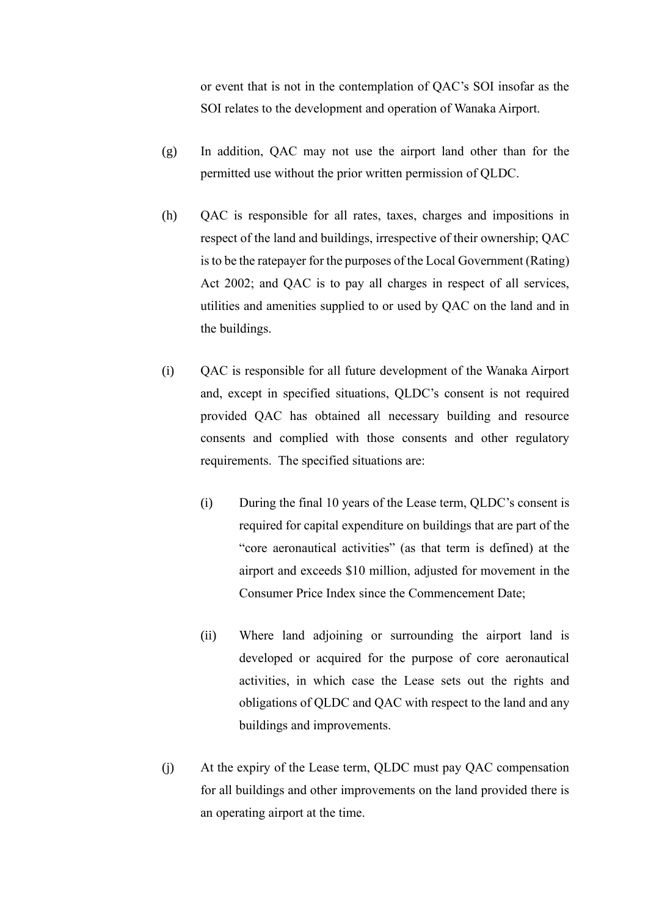or event that is not in the contemplation of QAC's SOI insofar as the SOI relates to the development and operation of Wanaka Airport.

- (g) In addition, QAC may not use the airport land other than for the permitted use without the prior written permission of QLDC.
- (h) QAC is responsible for all rates, taxes, charges and impositions in respect of the land and buildings, irrespective of their ownership; QAC is to be the ratepayer for the purposes of the Local Government (Rating) Act 2002; and QAC is to pay all charges in respect of all services, utilities and amenities supplied to or used by QAC on the land and in the buildings.
- (i) QAC is responsible for all future development of the Wanaka Airport and, except in specified situations, QLDC's consent is not required provided QAC has obtained all necessary building and resource consents and complied with those consents and other regulatory requirements. The specified situations are:
	- (i) During the final 10 years of the Lease term, QLDC's consent is required for capital expenditure on buildings that are part of the "core aeronautical activities" (as that term is defined) at the airport and exceeds \$10 million, adjusted for movement in the Consumer Price Index since the Commencement Date;
	- (ii) Where land adjoining or surrounding the airport land is developed or acquired for the purpose of core aeronautical activities, in which case the Lease sets out the rights and obligations of QLDC and QAC with respect to the land and any buildings and improvements.
- (j) At the expiry of the Lease term, QLDC must pay QAC compensation for all buildings and other improvements on the land provided there is an operating airport at the time.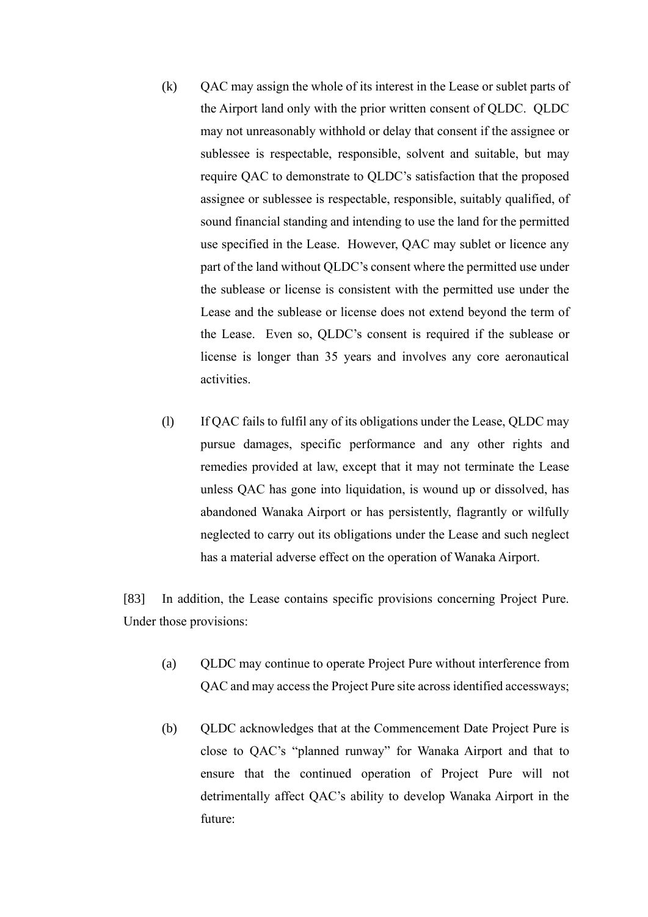- (k) QAC may assign the whole of its interest in the Lease or sublet parts of the Airport land only with the prior written consent of QLDC. QLDC may not unreasonably withhold or delay that consent if the assignee or sublessee is respectable, responsible, solvent and suitable, but may require QAC to demonstrate to QLDC's satisfaction that the proposed assignee or sublessee is respectable, responsible, suitably qualified, of sound financial standing and intending to use the land for the permitted use specified in the Lease. However, QAC may sublet or licence any part of the land without QLDC's consent where the permitted use under the sublease or license is consistent with the permitted use under the Lease and the sublease or license does not extend beyond the term of the Lease. Even so, QLDC's consent is required if the sublease or license is longer than 35 years and involves any core aeronautical activities.
- (l) If QAC fails to fulfil any of its obligations under the Lease, QLDC may pursue damages, specific performance and any other rights and remedies provided at law, except that it may not terminate the Lease unless QAC has gone into liquidation, is wound up or dissolved, has abandoned Wanaka Airport or has persistently, flagrantly or wilfully neglected to carry out its obligations under the Lease and such neglect has a material adverse effect on the operation of Wanaka Airport.

[83] In addition, the Lease contains specific provisions concerning Project Pure. Under those provisions:

- (a) QLDC may continue to operate Project Pure without interference from QAC and may access the Project Pure site across identified accessways;
- (b) QLDC acknowledges that at the Commencement Date Project Pure is close to QAC's "planned runway" for Wanaka Airport and that to ensure that the continued operation of Project Pure will not detrimentally affect QAC's ability to develop Wanaka Airport in the future: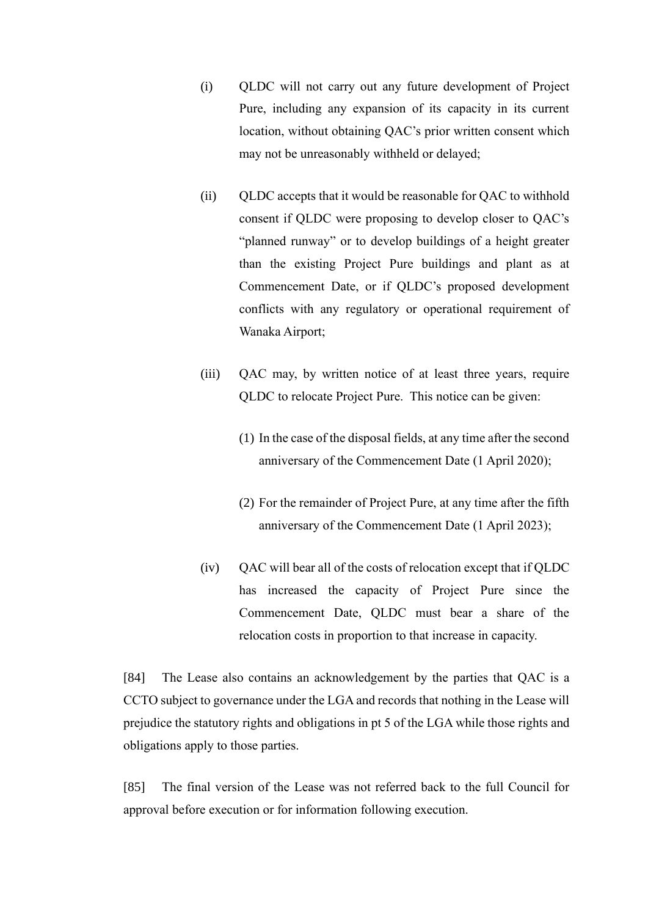- (i) QLDC will not carry out any future development of Project Pure, including any expansion of its capacity in its current location, without obtaining QAC's prior written consent which may not be unreasonably withheld or delayed;
- (ii) QLDC accepts that it would be reasonable for QAC to withhold consent if QLDC were proposing to develop closer to QAC's "planned runway" or to develop buildings of a height greater than the existing Project Pure buildings and plant as at Commencement Date, or if QLDC's proposed development conflicts with any regulatory or operational requirement of Wanaka Airport;
- (iii) QAC may, by written notice of at least three years, require QLDC to relocate Project Pure. This notice can be given:
	- (1) In the case of the disposal fields, at any time after the second anniversary of the Commencement Date (1 April 2020);
	- (2) For the remainder of Project Pure, at any time after the fifth anniversary of the Commencement Date (1 April 2023);
- (iv) QAC will bear all of the costs of relocation except that if QLDC has increased the capacity of Project Pure since the Commencement Date, QLDC must bear a share of the relocation costs in proportion to that increase in capacity.

[84] The Lease also contains an acknowledgement by the parties that QAC is a CCTO subject to governance under the LGA and records that nothing in the Lease will prejudice the statutory rights and obligations in pt 5 of the LGA while those rights and obligations apply to those parties.

[85] The final version of the Lease was not referred back to the full Council for approval before execution or for information following execution.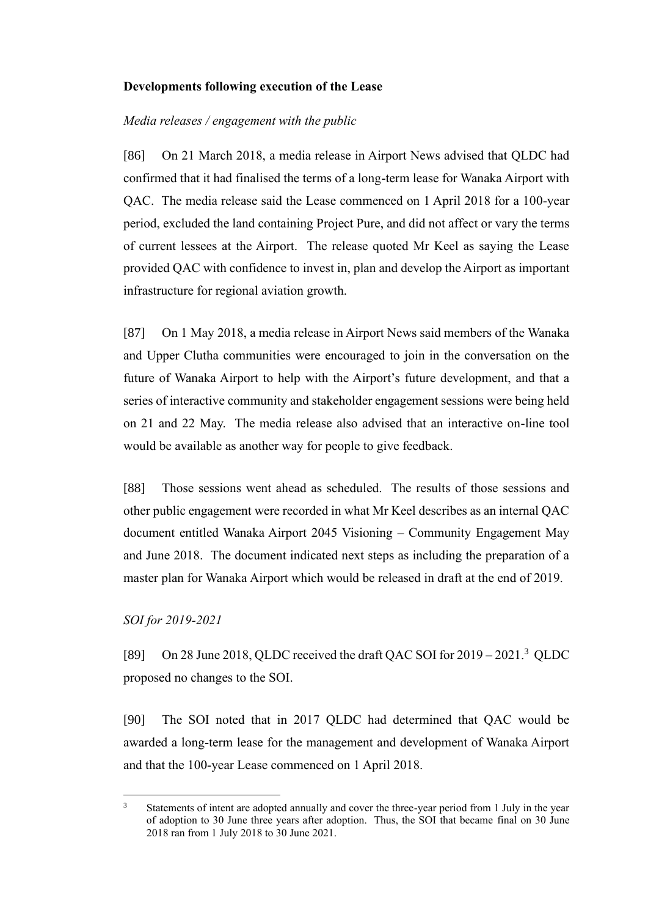#### <span id="page-26-0"></span>**Developments following execution of the Lease**

#### <span id="page-26-1"></span>*Media releases / engagement with the public*

[86] On 21 March 2018, a media release in Airport News advised that QLDC had confirmed that it had finalised the terms of a long-term lease for Wanaka Airport with QAC. The media release said the Lease commenced on 1 April 2018 for a 100-year period, excluded the land containing Project Pure, and did not affect or vary the terms of current lessees at the Airport. The release quoted Mr Keel as saying the Lease provided QAC with confidence to invest in, plan and develop the Airport as important infrastructure for regional aviation growth.

[87] On 1 May 2018, a media release in Airport News said members of the Wanaka and Upper Clutha communities were encouraged to join in the conversation on the future of Wanaka Airport to help with the Airport's future development, and that a series of interactive community and stakeholder engagement sessions were being held on 21 and 22 May. The media release also advised that an interactive on-line tool would be available as another way for people to give feedback.

[88] Those sessions went ahead as scheduled. The results of those sessions and other public engagement were recorded in what Mr Keel describes as an internal QAC document entitled Wanaka Airport 2045 Visioning – Community Engagement May and June 2018. The document indicated next steps as including the preparation of a master plan for Wanaka Airport which would be released in draft at the end of 2019.

#### <span id="page-26-2"></span>*SOI for 2019-2021*

[89] On 28 June 2018, QLDC received the draft QAC SOI for  $2019 - 2021$ .<sup>3</sup> QLDC proposed no changes to the SOI.

[90] The SOI noted that in 2017 QLDC had determined that QAC would be awarded a long-term lease for the management and development of Wanaka Airport and that the 100-year Lease commenced on 1 April 2018.

<sup>&</sup>lt;sup>3</sup> Statements of intent are adopted annually and cover the three-year period from 1 July in the year of adoption to 30 June three years after adoption. Thus, the SOI that became final on 30 June 2018 ran from 1 July 2018 to 30 June 2021.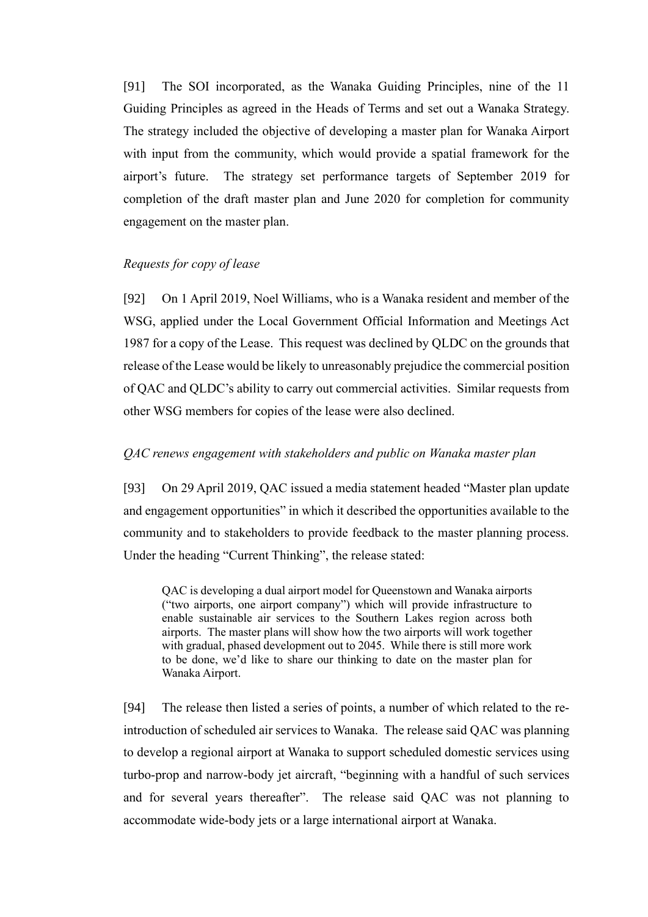[91] The SOI incorporated, as the Wanaka Guiding Principles, nine of the 11 Guiding Principles as agreed in the Heads of Terms and set out a Wanaka Strategy. The strategy included the objective of developing a master plan for Wanaka Airport with input from the community, which would provide a spatial framework for the airport's future. The strategy set performance targets of September 2019 for completion of the draft master plan and June 2020 for completion for community engagement on the master plan.

# <span id="page-27-0"></span>*Requests for copy of lease*

[92] On 1 April 2019, Noel Williams, who is a Wanaka resident and member of the WSG, applied under the Local Government Official Information and Meetings Act 1987 for a copy of the Lease. This request was declined by QLDC on the grounds that release of the Lease would be likely to unreasonably prejudice the commercial position of QAC and QLDC's ability to carry out commercial activities. Similar requests from other WSG members for copies of the lease were also declined.

#### <span id="page-27-1"></span>*QAC renews engagement with stakeholders and public on Wanaka master plan*

[93] On 29 April 2019, QAC issued a media statement headed "Master plan update and engagement opportunities" in which it described the opportunities available to the community and to stakeholders to provide feedback to the master planning process. Under the heading "Current Thinking", the release stated:

QAC is developing a dual airport model for Queenstown and Wanaka airports ("two airports, one airport company") which will provide infrastructure to enable sustainable air services to the Southern Lakes region across both airports. The master plans will show how the two airports will work together with gradual, phased development out to 2045. While there is still more work to be done, we'd like to share our thinking to date on the master plan for Wanaka Airport.

[94] The release then listed a series of points, a number of which related to the reintroduction of scheduled air services to Wanaka. The release said QAC was planning to develop a regional airport at Wanaka to support scheduled domestic services using turbo-prop and narrow-body jet aircraft, "beginning with a handful of such services and for several years thereafter". The release said QAC was not planning to accommodate wide-body jets or a large international airport at Wanaka.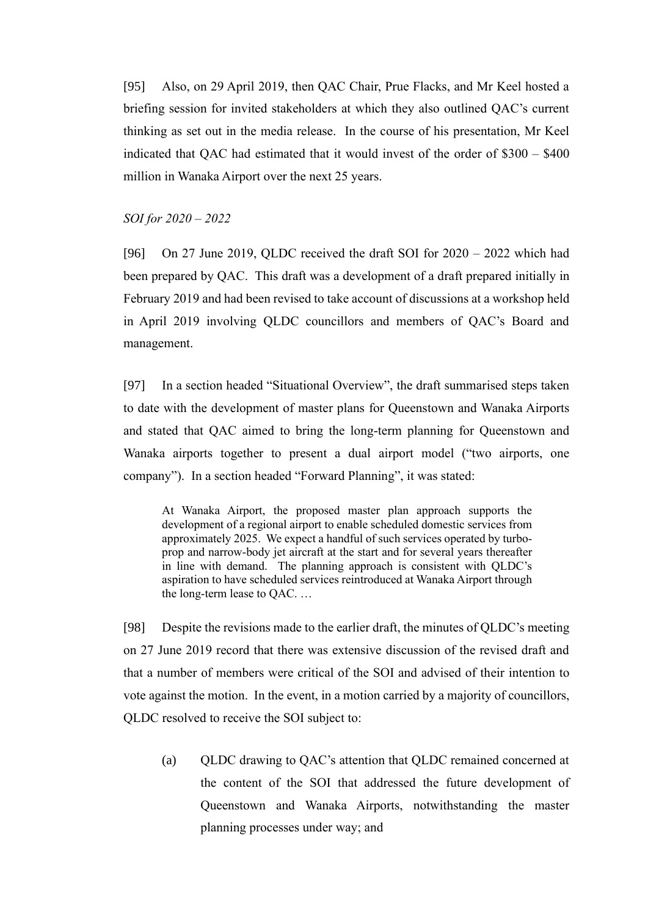[95] Also, on 29 April 2019, then QAC Chair, Prue Flacks, and Mr Keel hosted a briefing session for invited stakeholders at which they also outlined QAC's current thinking as set out in the media release. In the course of his presentation, Mr Keel indicated that QAC had estimated that it would invest of the order of \$300 – \$400 million in Wanaka Airport over the next 25 years.

<span id="page-28-0"></span>*SOI for 2020 – 2022*

[96] On 27 June 2019, QLDC received the draft SOI for  $2020 - 2022$  which had been prepared by QAC. This draft was a development of a draft prepared initially in February 2019 and had been revised to take account of discussions at a workshop held in April 2019 involving QLDC councillors and members of QAC's Board and management.

[97] In a section headed "Situational Overview", the draft summarised steps taken to date with the development of master plans for Queenstown and Wanaka Airports and stated that QAC aimed to bring the long-term planning for Queenstown and Wanaka airports together to present a dual airport model ("two airports, one company"). In a section headed "Forward Planning", it was stated:

At Wanaka Airport, the proposed master plan approach supports the development of a regional airport to enable scheduled domestic services from approximately 2025. We expect a handful of such services operated by turboprop and narrow-body jet aircraft at the start and for several years thereafter in line with demand. The planning approach is consistent with QLDC's aspiration to have scheduled services reintroduced at Wanaka Airport through the long-term lease to QAC. …

[98] Despite the revisions made to the earlier draft, the minutes of QLDC's meeting on 27 June 2019 record that there was extensive discussion of the revised draft and that a number of members were critical of the SOI and advised of their intention to vote against the motion. In the event, in a motion carried by a majority of councillors, QLDC resolved to receive the SOI subject to:

(a) QLDC drawing to QAC's attention that QLDC remained concerned at the content of the SOI that addressed the future development of Queenstown and Wanaka Airports, notwithstanding the master planning processes under way; and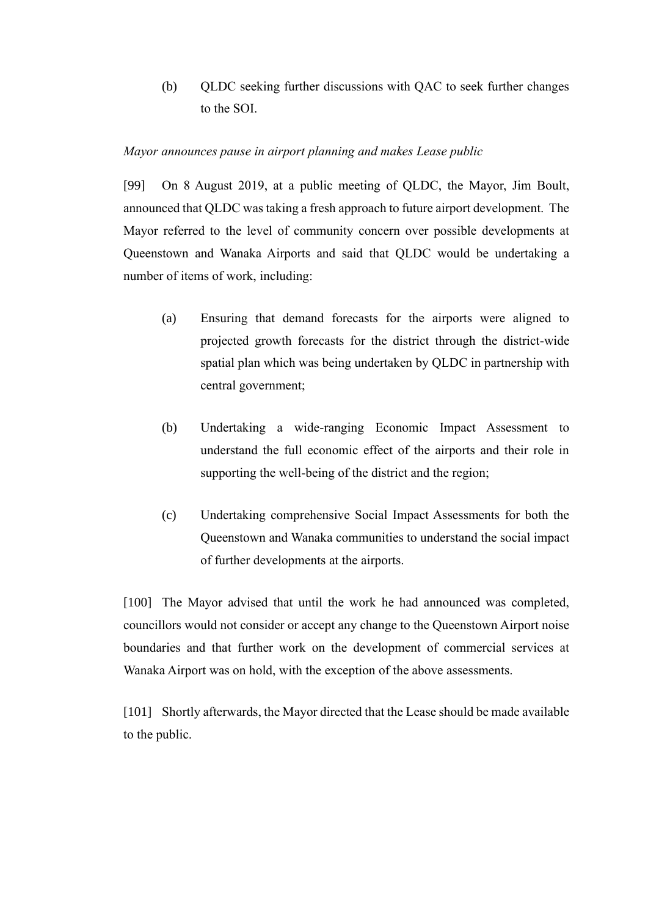(b) QLDC seeking further discussions with QAC to seek further changes to the SOI.

# <span id="page-29-0"></span>*Mayor announces pause in airport planning and makes Lease public*

[99] On 8 August 2019, at a public meeting of QLDC, the Mayor, Jim Boult, announced that QLDC was taking a fresh approach to future airport development. The Mayor referred to the level of community concern over possible developments at Queenstown and Wanaka Airports and said that QLDC would be undertaking a number of items of work, including:

- (a) Ensuring that demand forecasts for the airports were aligned to projected growth forecasts for the district through the district-wide spatial plan which was being undertaken by QLDC in partnership with central government;
- (b) Undertaking a wide-ranging Economic Impact Assessment to understand the full economic effect of the airports and their role in supporting the well-being of the district and the region;
- (c) Undertaking comprehensive Social Impact Assessments for both the Queenstown and Wanaka communities to understand the social impact of further developments at the airports.

[100] The Mayor advised that until the work he had announced was completed, councillors would not consider or accept any change to the Queenstown Airport noise boundaries and that further work on the development of commercial services at Wanaka Airport was on hold, with the exception of the above assessments.

[101] Shortly afterwards, the Mayor directed that the Lease should be made available to the public.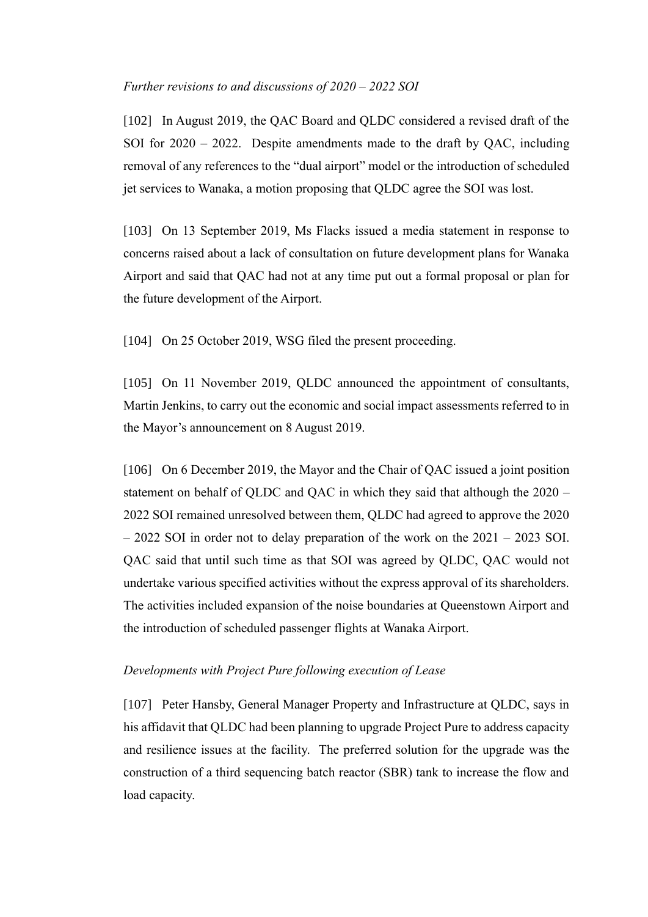#### <span id="page-30-0"></span>*Further revisions to and discussions of 2020 – 2022 SOI*

[102] In August 2019, the QAC Board and QLDC considered a revised draft of the SOI for  $2020 - 2022$ . Despite amendments made to the draft by OAC, including removal of any references to the "dual airport" model or the introduction of scheduled jet services to Wanaka, a motion proposing that QLDC agree the SOI was lost.

[103] On 13 September 2019, Ms Flacks issued a media statement in response to concerns raised about a lack of consultation on future development plans for Wanaka Airport and said that QAC had not at any time put out a formal proposal or plan for the future development of the Airport.

[104] On 25 October 2019, WSG filed the present proceeding.

[105] On 11 November 2019, QLDC announced the appointment of consultants, Martin Jenkins, to carry out the economic and social impact assessments referred to in the Mayor's announcement on 8 August 2019.

[106] On 6 December 2019, the Mayor and the Chair of QAC issued a joint position statement on behalf of QLDC and QAC in which they said that although the 2020 – 2022 SOI remained unresolved between them, QLDC had agreed to approve the 2020 – 2022 SOI in order not to delay preparation of the work on the 2021 – 2023 SOI. QAC said that until such time as that SOI was agreed by QLDC, QAC would not undertake various specified activities without the express approval of its shareholders. The activities included expansion of the noise boundaries at Queenstown Airport and the introduction of scheduled passenger flights at Wanaka Airport.

# <span id="page-30-1"></span>*Developments with Project Pure following execution of Lease*

[107] Peter Hansby, General Manager Property and Infrastructure at QLDC, says in his affidavit that QLDC had been planning to upgrade Project Pure to address capacity and resilience issues at the facility. The preferred solution for the upgrade was the construction of a third sequencing batch reactor (SBR) tank to increase the flow and load capacity.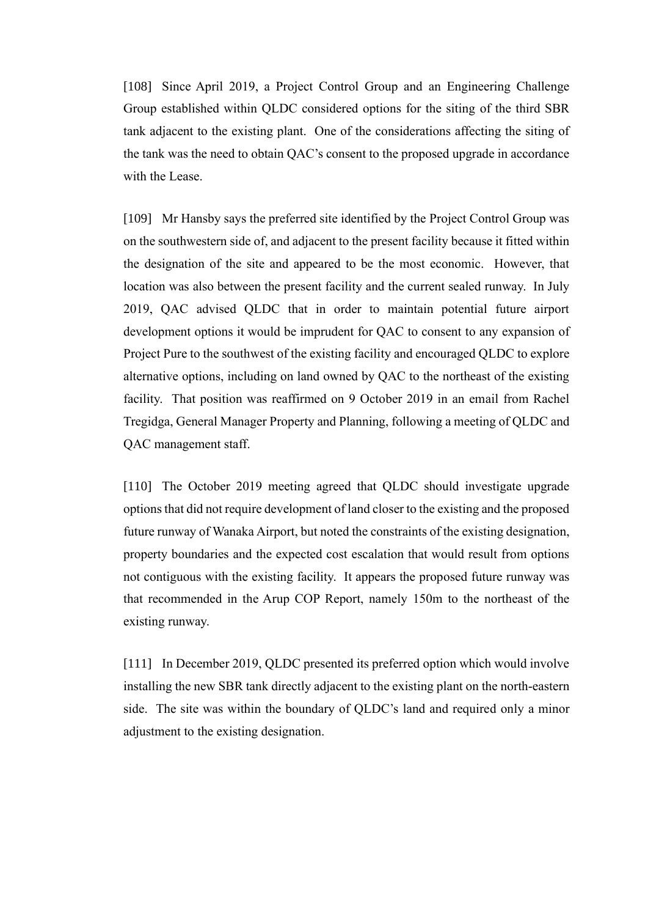[108] Since April 2019, a Project Control Group and an Engineering Challenge Group established within QLDC considered options for the siting of the third SBR tank adjacent to the existing plant. One of the considerations affecting the siting of the tank was the need to obtain QAC's consent to the proposed upgrade in accordance with the Lease.

[109] Mr Hansby says the preferred site identified by the Project Control Group was on the southwestern side of, and adjacent to the present facility because it fitted within the designation of the site and appeared to be the most economic. However, that location was also between the present facility and the current sealed runway. In July 2019, QAC advised QLDC that in order to maintain potential future airport development options it would be imprudent for QAC to consent to any expansion of Project Pure to the southwest of the existing facility and encouraged QLDC to explore alternative options, including on land owned by QAC to the northeast of the existing facility. That position was reaffirmed on 9 October 2019 in an email from Rachel Tregidga, General Manager Property and Planning, following a meeting of QLDC and QAC management staff.

[110] The October 2019 meeting agreed that QLDC should investigate upgrade options that did not require development of land closer to the existing and the proposed future runway of Wanaka Airport, but noted the constraints of the existing designation, property boundaries and the expected cost escalation that would result from options not contiguous with the existing facility. It appears the proposed future runway was that recommended in the Arup COP Report, namely 150m to the northeast of the existing runway.

[111] In December 2019, QLDC presented its preferred option which would involve installing the new SBR tank directly adjacent to the existing plant on the north-eastern side. The site was within the boundary of QLDC's land and required only a minor adjustment to the existing designation.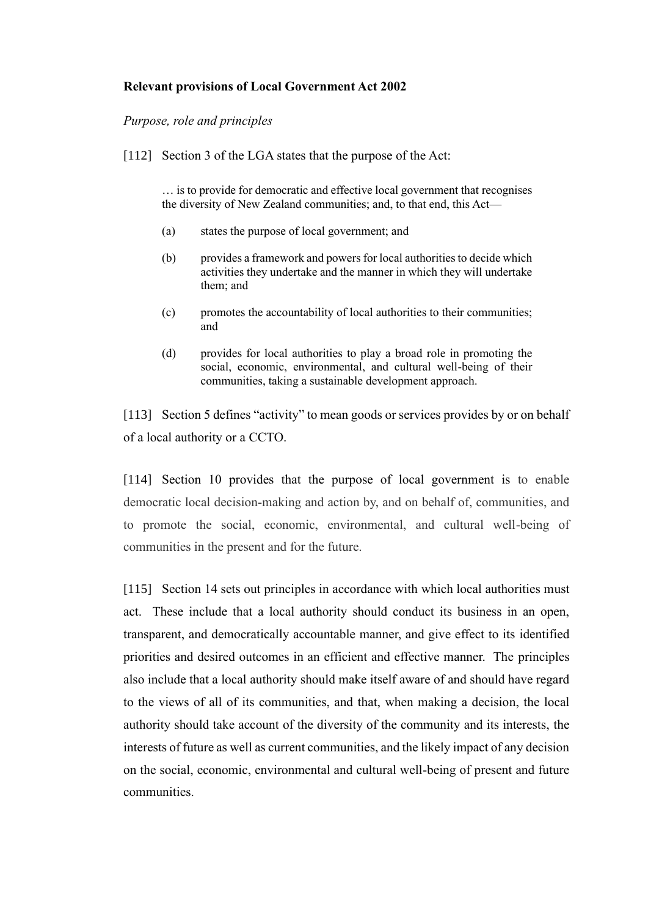# <span id="page-32-0"></span>**Relevant provisions of Local Government Act 2002**

# <span id="page-32-1"></span>*Purpose, role and principles*

[112] Section 3 of the LGA states that the purpose of the Act:

… is to provide for democratic and effective local government that recognises the diversity of New Zealand communities; and, to that end, this Act—

- (a) states the purpose of local government; and
- (b) provides a framework and powers for local authorities to decide which activities they undertake and the manner in which they will undertake them; and
- (c) promotes the accountability of local authorities to their communities; and
- (d) provides for local authorities to play a broad role in promoting the social, economic, environmental, and cultural well-being of their communities, taking a sustainable development approach.

[113] Section 5 defines "activity" to mean goods or services provides by or on behalf of a local authority or a CCTO.

[114] Section 10 provides that the purpose of local government is to enable democratic local decision-making and action by, and on behalf of, communities, and to promote the social, economic, environmental, and cultural well-being of communities in the present and for the future.

[115] Section 14 sets out principles in accordance with which local authorities must act. These include that a local authority should conduct its business in an open, transparent, and democratically accountable manner, and give effect to its identified priorities and desired outcomes in an efficient and effective manner. The principles also include that a local authority should make itself aware of and should have regard to the views of all of its communities, and that, when making a decision, the local authority should take account of the diversity of the community and its interests, the interests of future as well as current communities, and the likely impact of any decision on the social, economic, environmental and cultural well-being of present and future communities.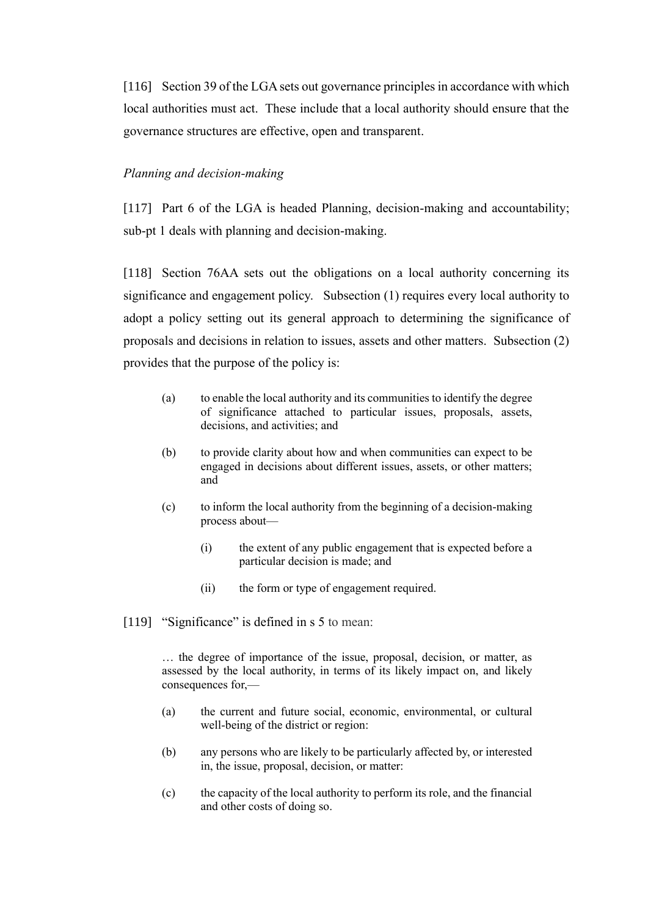[116] Section 39 of the LGA sets out governance principles in accordance with which local authorities must act. These include that a local authority should ensure that the governance structures are effective, open and transparent.

#### <span id="page-33-0"></span>*Planning and decision-making*

[117] Part 6 of the LGA is headed Planning, decision-making and accountability; sub-pt 1 deals with planning and decision-making.

[118] Section 76AA sets out the obligations on a local authority concerning its significance and engagement policy. Subsection (1) requires every local authority to adopt a policy setting out its general approach to determining the significance of proposals and decisions in relation to issues, assets and other matters. Subsection (2) provides that the purpose of the policy is:

- (a) to enable the local authority and its communities to identify the degree of significance attached to particular issues, proposals, assets, decisions, and activities; and
- (b) to provide clarity about how and when communities can expect to be engaged in decisions about different issues, assets, or other matters; and
- (c) to inform the local authority from the beginning of a decision-making process about—
	- (i) the extent of any public engagement that is expected before a particular decision is made; and
	- (ii) the form or type of engagement required.
- [119] "Significance" is defined in s 5 to mean:

… the degree of importance of the issue, proposal, decision, or matter, as assessed by the local authority, in terms of its likely impact on, and likely consequences for,—

- (a) the current and future social, economic, environmental, or cultural well-being of the district or region:
- (b) any persons who are likely to be particularly affected by, or interested in, the issue, proposal, decision, or matter:
- (c) the capacity of the local authority to perform its role, and the financial and other costs of doing so.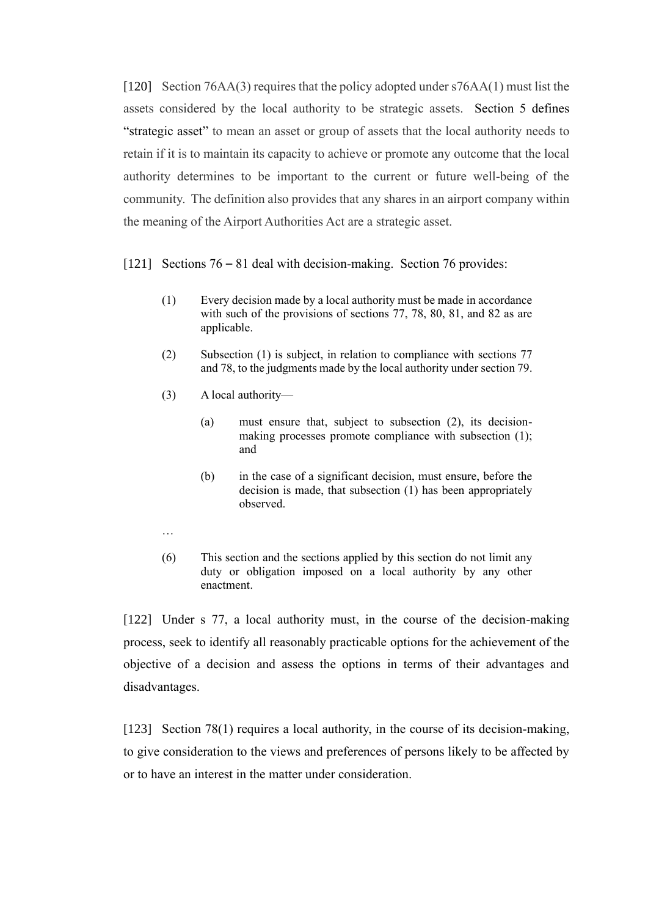[120] Section 76AA(3) requires that the policy adopted under s76AA(1) must list the assets considered by the local authority to be strategic assets. Section 5 defines "strategic asset" to mean an asset or group of assets that the local authority needs to retain if it is to maintain its capacity to achieve or promote any outcome that the local authority determines to be important to the current or future well-being of the community. The definition also provides that any shares in an airport company within the meaning of the Airport Authorities Act are a strategic asset.

### [121] Sections 76 – 81 deal with decision-making. Section 76 provides:

- (1) Every decision made by a local authority must be made in accordance with such of the provisions of [sections 77,](https://www.legislation.govt.nz/act/public/2002/0084/latest/link.aspx?search=ad_act__Local+Government____25_ac%40bn%40rn%40dn%40apub%40aloc%40apri%40apro%40aimp%40bgov%40bloc%40bpri%40bmem%40rpub%40rimp_ac%40ainf%40anif%40bcur%40rinf%40rnif_a_aw_se&p=1&id=DLM172320#DLM172320) [78,](https://www.legislation.govt.nz/act/public/2002/0084/latest/link.aspx?search=ad_act__Local+Government____25_ac%40bn%40rn%40dn%40apub%40aloc%40apri%40apro%40aimp%40bgov%40bloc%40bpri%40bmem%40rpub%40rimp_ac%40ainf%40anif%40bcur%40rinf%40rnif_a_aw_se&p=1&id=DLM172321#DLM172321) [80,](https://www.legislation.govt.nz/act/public/2002/0084/latest/link.aspx?search=ad_act__Local+Government____25_ac%40bn%40rn%40dn%40apub%40aloc%40apri%40apro%40aimp%40bgov%40bloc%40bpri%40bmem%40rpub%40rimp_ac%40ainf%40anif%40bcur%40rinf%40rnif_a_aw_se&p=1&id=DLM172324#DLM172324) [81,](https://www.legislation.govt.nz/act/public/2002/0084/latest/link.aspx?search=ad_act__Local+Government____25_ac%40bn%40rn%40dn%40apub%40aloc%40apri%40apro%40aimp%40bgov%40bloc%40bpri%40bmem%40rpub%40rimp_ac%40ainf%40anif%40bcur%40rinf%40rnif_a_aw_se&p=1&id=DLM172325#DLM172325) and [82](https://www.legislation.govt.nz/act/public/2002/0084/latest/link.aspx?search=ad_act__Local+Government____25_ac%40bn%40rn%40dn%40apub%40aloc%40apri%40apro%40aimp%40bgov%40bloc%40bpri%40bmem%40rpub%40rimp_ac%40ainf%40anif%40bcur%40rinf%40rnif_a_aw_se&p=1&id=DLM172327#DLM172327) as are applicable.
- (2) Subsection (1) is subject, in relation to compliance with [sections 77](https://www.legislation.govt.nz/act/public/2002/0084/latest/link.aspx?search=ad_act__Local+Government____25_ac%40bn%40rn%40dn%40apub%40aloc%40apri%40apro%40aimp%40bgov%40bloc%40bpri%40bmem%40rpub%40rimp_ac%40ainf%40anif%40bcur%40rinf%40rnif_a_aw_se&p=1&id=DLM172320#DLM172320) an[d 78,](https://www.legislation.govt.nz/act/public/2002/0084/latest/link.aspx?search=ad_act__Local+Government____25_ac%40bn%40rn%40dn%40apub%40aloc%40apri%40apro%40aimp%40bgov%40bloc%40bpri%40bmem%40rpub%40rimp_ac%40ainf%40anif%40bcur%40rinf%40rnif_a_aw_se&p=1&id=DLM172321#DLM172321) to the judgments made by the local authority unde[r section 79.](https://www.legislation.govt.nz/act/public/2002/0084/latest/link.aspx?search=ad_act__Local+Government____25_ac%40bn%40rn%40dn%40apub%40aloc%40apri%40apro%40aimp%40bgov%40bloc%40bpri%40bmem%40rpub%40rimp_ac%40ainf%40anif%40bcur%40rinf%40rnif_a_aw_se&p=1&id=DLM172322#DLM172322)
- (3) A local authority—
	- (a) must ensure that, subject to subsection (2), its decisionmaking processes promote compliance with subsection (1); and
	- (b) in the case of a significant decision, must ensure, before the decision is made, that subsection (1) has been appropriately observed.
- …
- (6) This section and the sections applied by this section do not limit any duty or obligation imposed on a local authority by any other enactment.

[122] Under s 77, a local authority must, in the course of the decision-making process, seek to identify all reasonably practicable options for the achievement of the objective of a decision and assess the options in terms of their advantages and disadvantages.

[123] Section 78(1) requires a local authority, in the course of its decision-making, to give consideration to the views and preferences of persons likely to be affected by or to have an interest in the matter under consideration.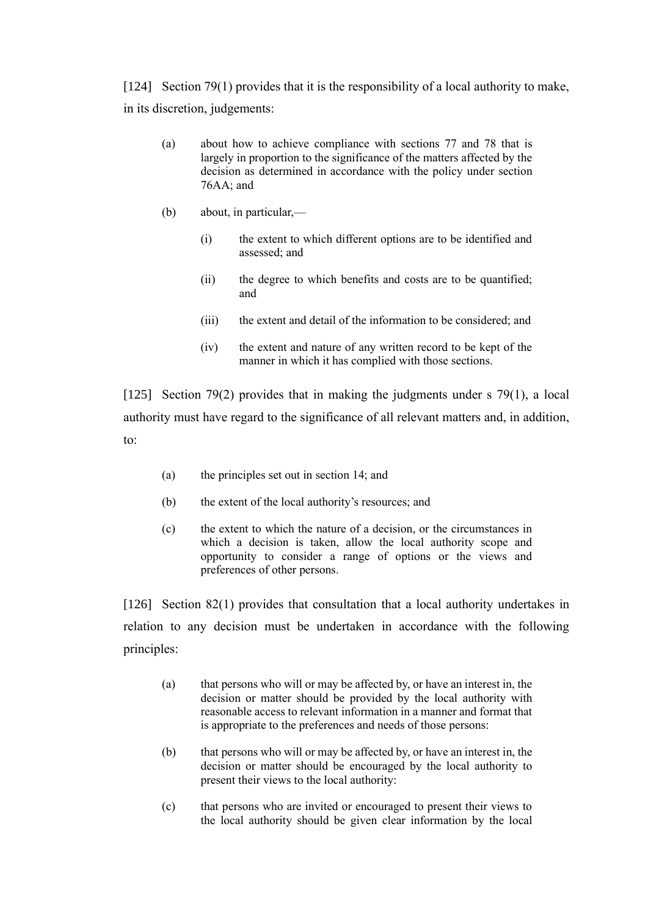[124] Section 79(1) provides that it is the responsibility of a local authority to make, in its discretion, judgements:

- (a) about how to achieve compliance with [sections 77](https://www.legislation.govt.nz/act/public/2002/0084/latest/link.aspx?search=ad_act__Local+Government____25_ac%40bn%40rn%40dn%40apub%40aloc%40apri%40apro%40aimp%40bgov%40bloc%40bpri%40bmem%40rpub%40rimp_ac%40ainf%40anif%40bcur%40rinf%40rnif_a_aw_se&p=1&id=DLM172320#DLM172320) and [78](https://www.legislation.govt.nz/act/public/2002/0084/latest/link.aspx?search=ad_act__Local+Government____25_ac%40bn%40rn%40dn%40apub%40aloc%40apri%40apro%40aimp%40bgov%40bloc%40bpri%40bmem%40rpub%40rimp_ac%40ainf%40anif%40bcur%40rinf%40rnif_a_aw_se&p=1&id=DLM172321#DLM172321) that is largely in proportion to the significance of the matters affected by the decision as determined in accordance with the policy under [section](https://www.legislation.govt.nz/act/public/2002/0084/latest/link.aspx?search=ad_act__Local+Government____25_ac%40bn%40rn%40dn%40apub%40aloc%40apri%40apro%40aimp%40bgov%40bloc%40bpri%40bmem%40rpub%40rimp_ac%40ainf%40anif%40bcur%40rinf%40rnif_a_aw_se&p=1&id=DLM6236805#DLM6236805)  [76AA;](https://www.legislation.govt.nz/act/public/2002/0084/latest/link.aspx?search=ad_act__Local+Government____25_ac%40bn%40rn%40dn%40apub%40aloc%40apri%40apro%40aimp%40bgov%40bloc%40bpri%40bmem%40rpub%40rimp_ac%40ainf%40anif%40bcur%40rinf%40rnif_a_aw_se&p=1&id=DLM6236805#DLM6236805) and
- (b) about, in particular,—
	- (i) the extent to which different options are to be identified and assessed; and
	- (ii) the degree to which benefits and costs are to be quantified; and
	- (iii) the extent and detail of the information to be considered; and
	- (iv) the extent and nature of any written record to be kept of the manner in which it has complied with those sections.

[125] Section 79(2) provides that in making the judgments under s 79(1), a local authority must have regard to the significance of all relevant matters and, in addition, to:

- (a) the principles set out i[n section 14;](https://www.legislation.govt.nz/act/public/2002/0084/latest/link.aspx?search=ad_act__Local+Government____25_ac%40bn%40rn%40dn%40apub%40aloc%40apri%40apro%40aimp%40bgov%40bloc%40bpri%40bmem%40rpub%40rimp_ac%40ainf%40anif%40bcur%40rinf%40rnif_a_aw_se&p=1&id=DLM171810#DLM171810) and
- (b) the extent of the local authority's resources; and
- (c) the extent to which the nature of a decision, or the circumstances in which a decision is taken, allow the local authority scope and opportunity to consider a range of options or the views and preferences of other persons.

[126] Section 82(1) provides that consultation that a local authority undertakes in relation to any decision must be undertaken in accordance with the following principles:

- (a) that persons who will or may be affected by, or have an interest in, the decision or matter should be provided by the local authority with reasonable access to relevant information in a manner and format that is appropriate to the preferences and needs of those persons:
- (b) that persons who will or may be affected by, or have an interest in, the decision or matter should be encouraged by the local authority to present their views to the local authority:
- (c) that persons who are invited or encouraged to present their views to the local authority should be given clear information by the local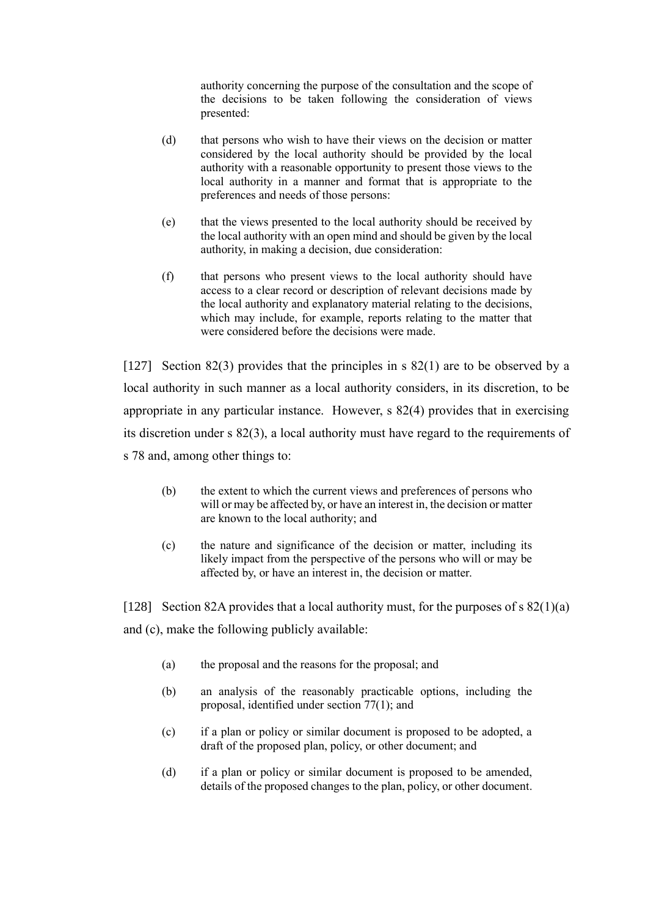authority concerning the purpose of the consultation and the scope of the decisions to be taken following the consideration of views presented:

- (d) that persons who wish to have their views on the decision or matter considered by the local authority should be provided by the local authority with a reasonable opportunity to present those views to the local authority in a manner and format that is appropriate to the preferences and needs of those persons:
- (e) that the views presented to the local authority should be received by the local authority with an open mind and should be given by the local authority, in making a decision, due consideration:
- (f) that persons who present views to the local authority should have access to a clear record or description of relevant decisions made by the local authority and explanatory material relating to the decisions, which may include, for example, reports relating to the matter that were considered before the decisions were made.

[127] Section 82(3) provides that the principles in s 82(1) are to be observed by a local authority in such manner as a local authority considers, in its discretion, to be appropriate in any particular instance. However, s 82(4) provides that in exercising its discretion under s 82(3), a local authority must have regard to the requirements of s 78 and, among other things to:

- (b) the extent to which the current views and preferences of persons who will or may be affected by, or have an interest in, the decision or matter are known to the local authority; and
- (c) the nature and significance of the decision or matter, including its likely impact from the perspective of the persons who will or may be affected by, or have an interest in, the decision or matter.

[128] Section 82A provides that a local authority must, for the purposes of s  $82(1)(a)$ and (c), make the following publicly available:

- (a) the proposal and the reasons for the proposal; and
- (b) an analysis of the reasonably practicable options, including the proposal, identified under [section 77\(1\);](https://www.legislation.govt.nz/act/public/2002/0084/latest/link.aspx?search=ad_act__Local+Government____25_ac%40bn%40rn%40dn%40apub%40aloc%40apri%40apro%40aimp%40bgov%40bloc%40bpri%40bmem%40rpub%40rimp_ac%40ainf%40anif%40bcur%40rinf%40rnif_a_aw_se&p=1&id=DLM172320#DLM172320) and
- (c) if a plan or policy or similar document is proposed to be adopted, a draft of the proposed plan, policy, or other document; and
- (d) if a plan or policy or similar document is proposed to be amended, details of the proposed changes to the plan, policy, or other document.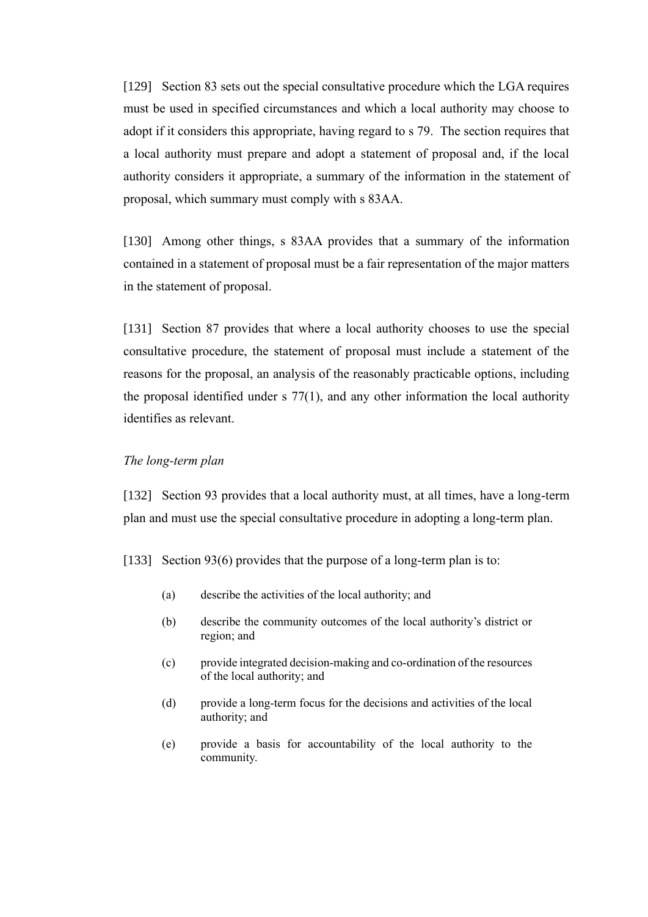[129] Section 83 sets out the special consultative procedure which the LGA requires must be used in specified circumstances and which a local authority may choose to adopt if it considers this appropriate, having regard to s 79. The section requires that a local authority must prepare and adopt a statement of proposal and, if the local authority considers it appropriate, a summary of the information in the statement of proposal, which summary must comply with s 83AA.

[130] Among other things, s 83AA provides that a summary of the information contained in a statement of proposal must be a fair representation of the major matters in the statement of proposal.

[131] Section 87 provides that where a local authority chooses to use the special consultative procedure, the statement of proposal must include a statement of the reasons for the proposal, an analysis of the reasonably practicable options, including the proposal identified under s 77(1), and any other information the local authority identifies as relevant.

# <span id="page-37-0"></span>*The long-term plan*

[132] Section 93 provides that a local authority must, at all times, have a long-term plan and must use the special consultative procedure in adopting a long-term plan.

[133] Section 93(6) provides that the purpose of a long-term plan is to:

- (a) describe the activities of the local authority; and
- (b) describe the community outcomes of the local authority's district or region; and
- (c) provide integrated decision-making and co-ordination of the resources of the local authority; and
- (d) provide a long-term focus for the decisions and activities of the local authority; and
- (e) provide a basis for accountability of the local authority to the community.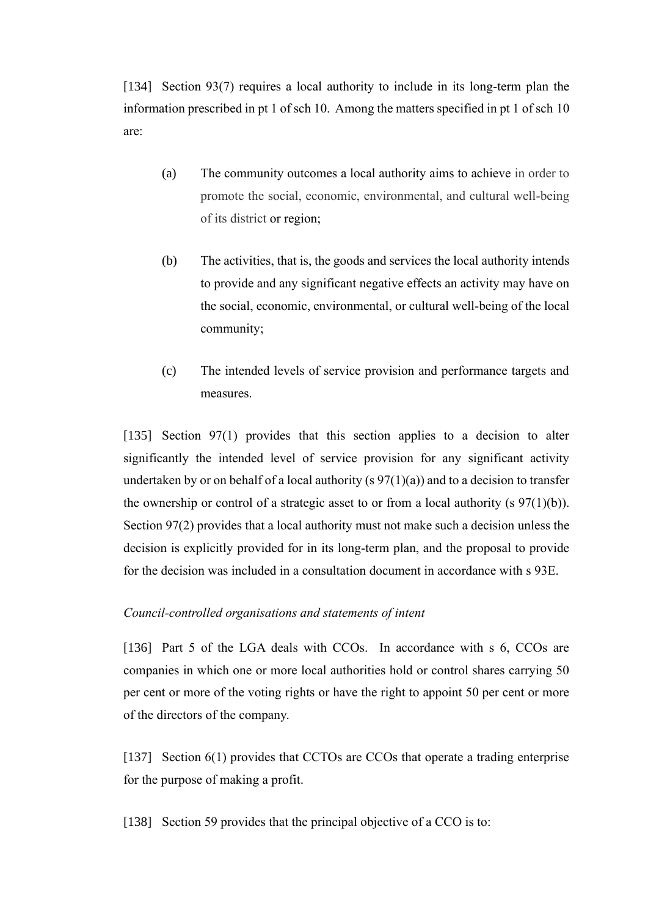[134] Section 93(7) requires a local authority to include in its long-term plan the information prescribed in pt 1 of sch 10. Among the matters specified in pt 1 of sch 10 are:

- (a) The community outcomes a local authority aims to achieve in order to promote the social, economic, environmental, and cultural well-being of its district or region;
- (b) The activities, that is, the goods and services the local authority intends to provide and any significant negative effects an activity may have on the social, economic, environmental, or cultural well-being of the local community;
- (c) The intended levels of service provision and performance targets and measures.

[135] Section 97(1) provides that this section applies to a decision to alter significantly the intended level of service provision for any significant activity undertaken by or on behalf of a local authority (s  $97(1)(a)$ ) and to a decision to transfer the ownership or control of a strategic asset to or from a local authority (s  $97(1)(b)$ ). Section 97(2) provides that a local authority must not make such a decision unless the decision is explicitly provided for in its long-term plan, and the proposal to provide for the decision was included in a consultation document in accordance with [s 93E.](https://www.legislation.govt.nz/act/public/2002/0084/latest/link.aspx?search=ad_act__Local+Government____25_ac%40bn%40rn%40dn%40apub%40aloc%40apri%40apro%40aimp%40bgov%40bloc%40bpri%40bmem%40rpub%40rimp_ac%40ainf%40anif%40bcur%40rinf%40rnif_a_aw_se&p=1&id=DLM6236842#DLM6236842)

### <span id="page-38-0"></span>*Council-controlled organisations and statements of intent*

[136] Part 5 of the LGA deals with CCOs. In accordance with s 6, CCOs are companies in which one or more local authorities hold or control shares carrying 50 per cent or more of the voting rights or have the right to appoint 50 per cent or more of the directors of the company.

[137] Section 6(1) provides that CCTOs are CCOs that operate a trading enterprise for the purpose of making a profit.

[138] Section 59 provides that the principal objective of a CCO is to: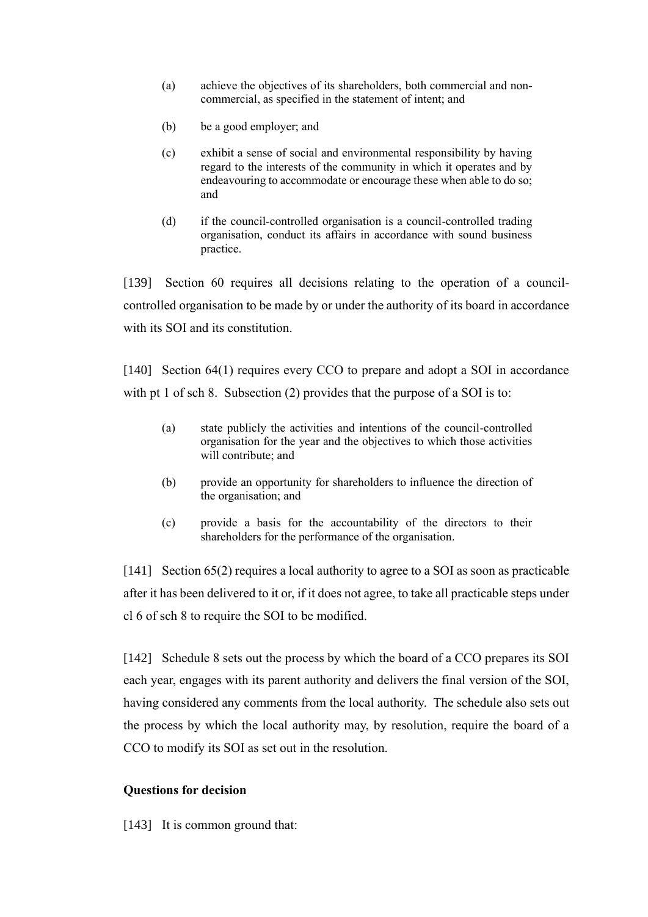- (a) achieve the objectives of its shareholders, both commercial and noncommercial, as specified in the statement of intent; and
- (b) be a good employer; and
- (c) exhibit a sense of social and environmental responsibility by having regard to the interests of the community in which it operates and by endeavouring to accommodate or encourage these when able to do so; and
- (d) if the council-controlled organisation is a council-controlled trading organisation, conduct its affairs in accordance with sound business practice.

[139] Section 60 requires all decisions relating to the operation of a councilcontrolled organisation to be made by or under the authority of its board in accordance with its SOI and its constitution.

[140] Section 64(1) requires every CCO to prepare and adopt a SOI in accordance with pt 1 of sch 8. Subsection (2) provides that the purpose of a SOI is to:

- (a) state publicly the activities and intentions of the council-controlled organisation for the year and the objectives to which those activities will contribute; and
- (b) provide an opportunity for shareholders to influence the direction of the organisation; and
- (c) provide a basis for the accountability of the directors to their shareholders for the performance of the organisation.

[141] Section 65(2) requires a local authority to agree to a SOI as soon as practicable after it has been delivered to it or, if it does not agree, to take all practicable steps under cl 6 of sch 8 to require the SOI to be modified.

[142] Schedule 8 sets out the process by which the board of a CCO prepares its SOI each year, engages with its parent authority and delivers the final version of the SOI, having considered any comments from the local authority. The schedule also sets out the process by which the local authority may, by resolution, require the board of a CCO to modify its SOI as set out in the resolution.

# <span id="page-39-0"></span>**Questions for decision**

[143] It is common ground that: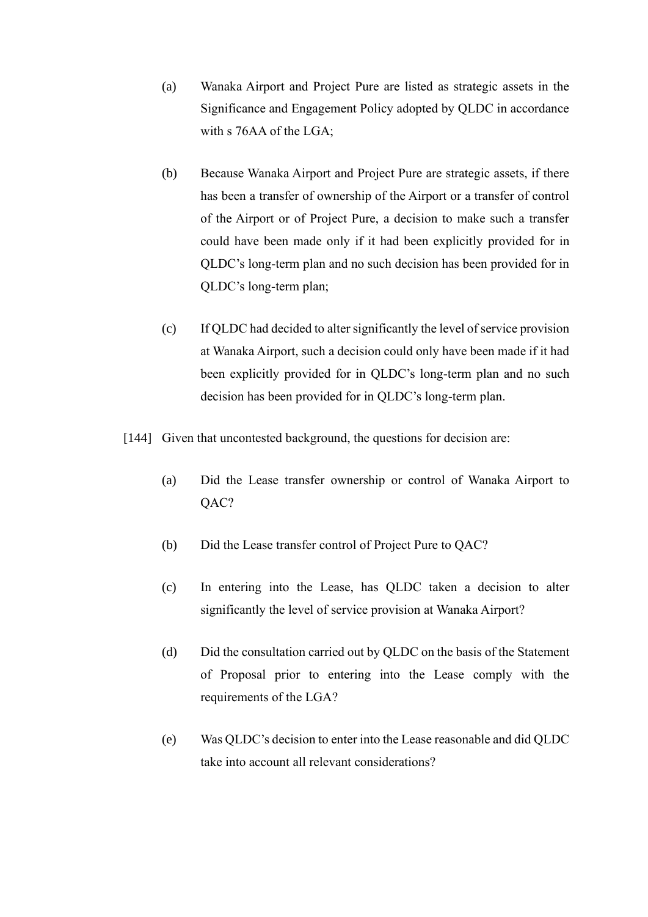- (a) Wanaka Airport and Project Pure are listed as strategic assets in the Significance and Engagement Policy adopted by QLDC in accordance with s 76AA of the LGA;
- (b) Because Wanaka Airport and Project Pure are strategic assets, if there has been a transfer of ownership of the Airport or a transfer of control of the Airport or of Project Pure, a decision to make such a transfer could have been made only if it had been explicitly provided for in QLDC's long-term plan and no such decision has been provided for in QLDC's long-term plan;
- (c) If QLDC had decided to alter significantly the level of service provision at Wanaka Airport, such a decision could only have been made if it had been explicitly provided for in QLDC's long-term plan and no such decision has been provided for in QLDC's long-term plan.
- [144] Given that uncontested background, the questions for decision are:
	- (a) Did the Lease transfer ownership or control of Wanaka Airport to QAC?
	- (b) Did the Lease transfer control of Project Pure to QAC?
	- (c) In entering into the Lease, has QLDC taken a decision to alter significantly the level of service provision at Wanaka Airport?
	- (d) Did the consultation carried out by QLDC on the basis of the Statement of Proposal prior to entering into the Lease comply with the requirements of the LGA?
	- (e) Was QLDC's decision to enter into the Lease reasonable and did QLDC take into account all relevant considerations?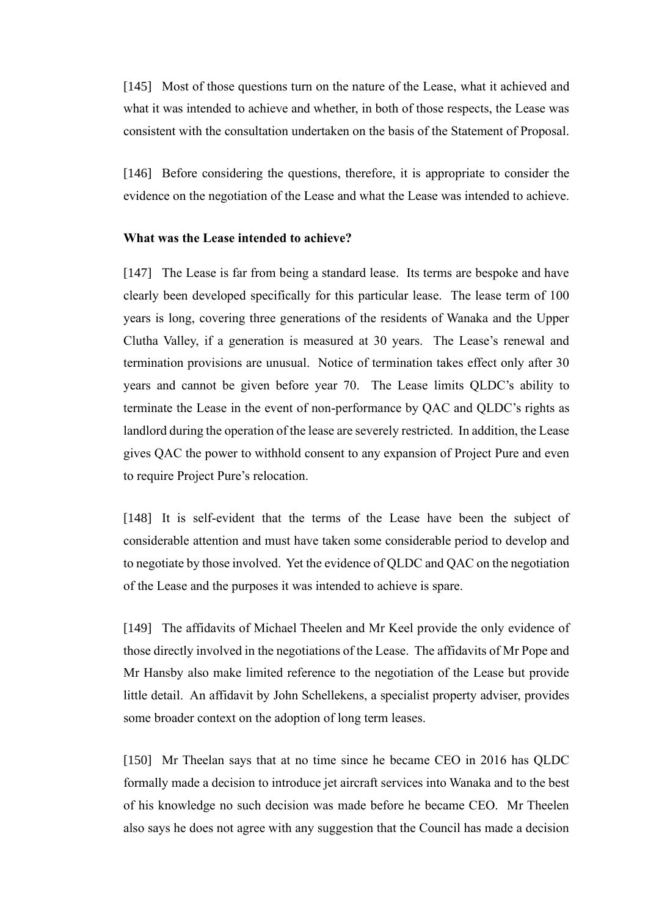[145] Most of those questions turn on the nature of the Lease, what it achieved and what it was intended to achieve and whether, in both of those respects, the Lease was consistent with the consultation undertaken on the basis of the Statement of Proposal.

[146] Before considering the questions, therefore, it is appropriate to consider the evidence on the negotiation of the Lease and what the Lease was intended to achieve.

#### <span id="page-41-0"></span>**What was the Lease intended to achieve?**

[147] The Lease is far from being a standard lease. Its terms are bespoke and have clearly been developed specifically for this particular lease. The lease term of 100 years is long, covering three generations of the residents of Wanaka and the Upper Clutha Valley, if a generation is measured at 30 years. The Lease's renewal and termination provisions are unusual. Notice of termination takes effect only after 30 years and cannot be given before year 70. The Lease limits QLDC's ability to terminate the Lease in the event of non-performance by QAC and QLDC's rights as landlord during the operation of the lease are severely restricted. In addition, the Lease gives QAC the power to withhold consent to any expansion of Project Pure and even to require Project Pure's relocation.

[148] It is self-evident that the terms of the Lease have been the subject of considerable attention and must have taken some considerable period to develop and to negotiate by those involved. Yet the evidence of QLDC and QAC on the negotiation of the Lease and the purposes it was intended to achieve is spare.

[149] The affidavits of Michael Theelen and Mr Keel provide the only evidence of those directly involved in the negotiations of the Lease. The affidavits of Mr Pope and Mr Hansby also make limited reference to the negotiation of the Lease but provide little detail. An affidavit by John Schellekens, a specialist property adviser, provides some broader context on the adoption of long term leases.

[150] Mr Theelan says that at no time since he became CEO in 2016 has QLDC formally made a decision to introduce jet aircraft services into Wanaka and to the best of his knowledge no such decision was made before he became CEO. Mr Theelen also says he does not agree with any suggestion that the Council has made a decision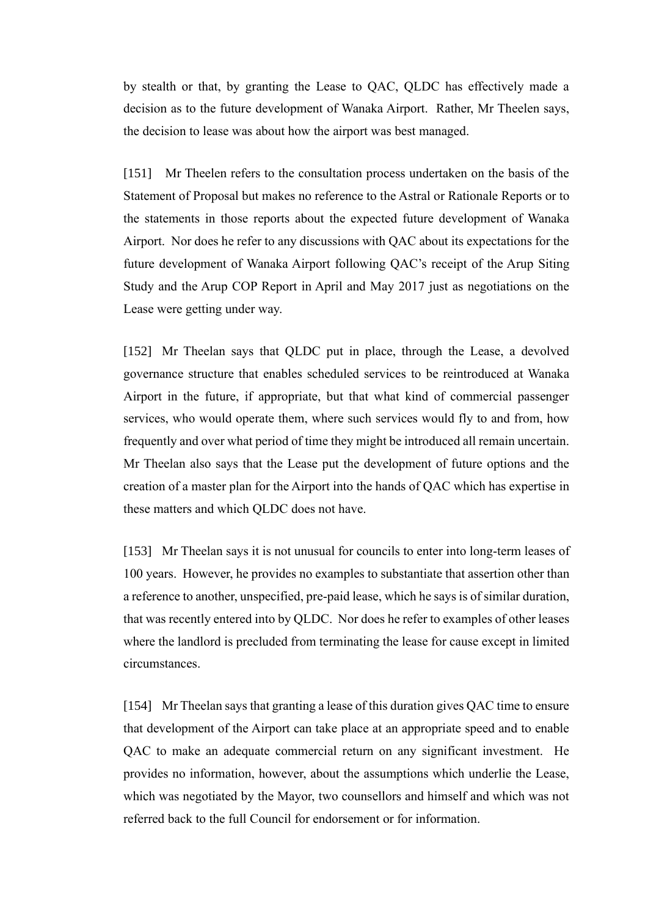by stealth or that, by granting the Lease to QAC, QLDC has effectively made a decision as to the future development of Wanaka Airport. Rather, Mr Theelen says, the decision to lease was about how the airport was best managed.

[151] Mr Theelen refers to the consultation process undertaken on the basis of the Statement of Proposal but makes no reference to the Astral or Rationale Reports or to the statements in those reports about the expected future development of Wanaka Airport. Nor does he refer to any discussions with QAC about its expectations for the future development of Wanaka Airport following QAC's receipt of the Arup Siting Study and the Arup COP Report in April and May 2017 just as negotiations on the Lease were getting under way.

[152] Mr Theelan says that QLDC put in place, through the Lease, a devolved governance structure that enables scheduled services to be reintroduced at Wanaka Airport in the future, if appropriate, but that what kind of commercial passenger services, who would operate them, where such services would fly to and from, how frequently and over what period of time they might be introduced all remain uncertain. Mr Theelan also says that the Lease put the development of future options and the creation of a master plan for the Airport into the hands of QAC which has expertise in these matters and which QLDC does not have.

[153] Mr Theelan says it is not unusual for councils to enter into long-term leases of 100 years. However, he provides no examples to substantiate that assertion other than a reference to another, unspecified, pre-paid lease, which he says is of similar duration, that was recently entered into by QLDC. Nor does he refer to examples of other leases where the landlord is precluded from terminating the lease for cause except in limited circumstances.

[154] Mr Theelan says that granting a lease of this duration gives QAC time to ensure that development of the Airport can take place at an appropriate speed and to enable QAC to make an adequate commercial return on any significant investment. He provides no information, however, about the assumptions which underlie the Lease, which was negotiated by the Mayor, two counsellors and himself and which was not referred back to the full Council for endorsement or for information.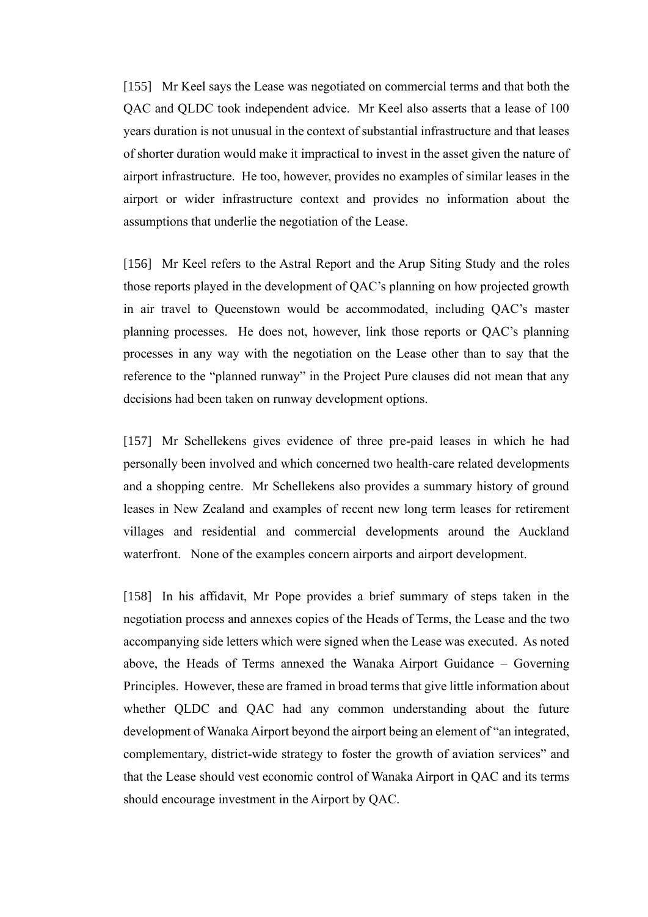[155] Mr Keel says the Lease was negotiated on commercial terms and that both the QAC and QLDC took independent advice. Mr Keel also asserts that a lease of 100 years duration is not unusual in the context of substantial infrastructure and that leases of shorter duration would make it impractical to invest in the asset given the nature of airport infrastructure. He too, however, provides no examples of similar leases in the airport or wider infrastructure context and provides no information about the assumptions that underlie the negotiation of the Lease.

[156] Mr Keel refers to the Astral Report and the Arup Siting Study and the roles those reports played in the development of QAC's planning on how projected growth in air travel to Queenstown would be accommodated, including QAC's master planning processes. He does not, however, link those reports or QAC's planning processes in any way with the negotiation on the Lease other than to say that the reference to the "planned runway" in the Project Pure clauses did not mean that any decisions had been taken on runway development options.

[157] Mr Schellekens gives evidence of three pre-paid leases in which he had personally been involved and which concerned two health-care related developments and a shopping centre. Mr Schellekens also provides a summary history of ground leases in New Zealand and examples of recent new long term leases for retirement villages and residential and commercial developments around the Auckland waterfront. None of the examples concern airports and airport development.

[158] In his affidavit, Mr Pope provides a brief summary of steps taken in the negotiation process and annexes copies of the Heads of Terms, the Lease and the two accompanying side letters which were signed when the Lease was executed. As noted above, the Heads of Terms annexed the Wanaka Airport Guidance – Governing Principles. However, these are framed in broad terms that give little information about whether QLDC and QAC had any common understanding about the future development of Wanaka Airport beyond the airport being an element of "an integrated, complementary, district-wide strategy to foster the growth of aviation services" and that the Lease should vest economic control of Wanaka Airport in QAC and its terms should encourage investment in the Airport by QAC.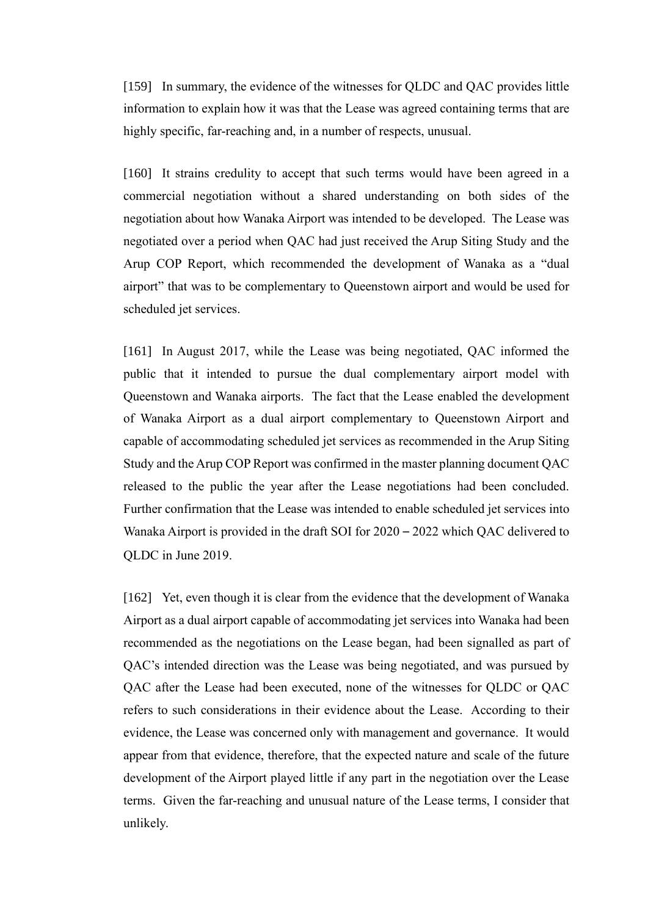[159] In summary, the evidence of the witnesses for QLDC and QAC provides little information to explain how it was that the Lease was agreed containing terms that are highly specific, far-reaching and, in a number of respects, unusual.

[160] It strains credulity to accept that such terms would have been agreed in a commercial negotiation without a shared understanding on both sides of the negotiation about how Wanaka Airport was intended to be developed. The Lease was negotiated over a period when QAC had just received the Arup Siting Study and the Arup COP Report, which recommended the development of Wanaka as a "dual airport" that was to be complementary to Queenstown airport and would be used for scheduled jet services.

[161] In August 2017, while the Lease was being negotiated, QAC informed the public that it intended to pursue the dual complementary airport model with Queenstown and Wanaka airports. The fact that the Lease enabled the development of Wanaka Airport as a dual airport complementary to Queenstown Airport and capable of accommodating scheduled jet services as recommended in the Arup Siting Study and the Arup COP Report was confirmed in the master planning document QAC released to the public the year after the Lease negotiations had been concluded. Further confirmation that the Lease was intended to enable scheduled jet services into Wanaka Airport is provided in the draft SOI for 2020 – 2022 which QAC delivered to QLDC in June 2019.

[162] Yet, even though it is clear from the evidence that the development of Wanaka Airport as a dual airport capable of accommodating jet services into Wanaka had been recommended as the negotiations on the Lease began, had been signalled as part of QAC's intended direction was the Lease was being negotiated, and was pursued by QAC after the Lease had been executed, none of the witnesses for QLDC or QAC refers to such considerations in their evidence about the Lease. According to their evidence, the Lease was concerned only with management and governance. It would appear from that evidence, therefore, that the expected nature and scale of the future development of the Airport played little if any part in the negotiation over the Lease terms. Given the far-reaching and unusual nature of the Lease terms, I consider that unlikely.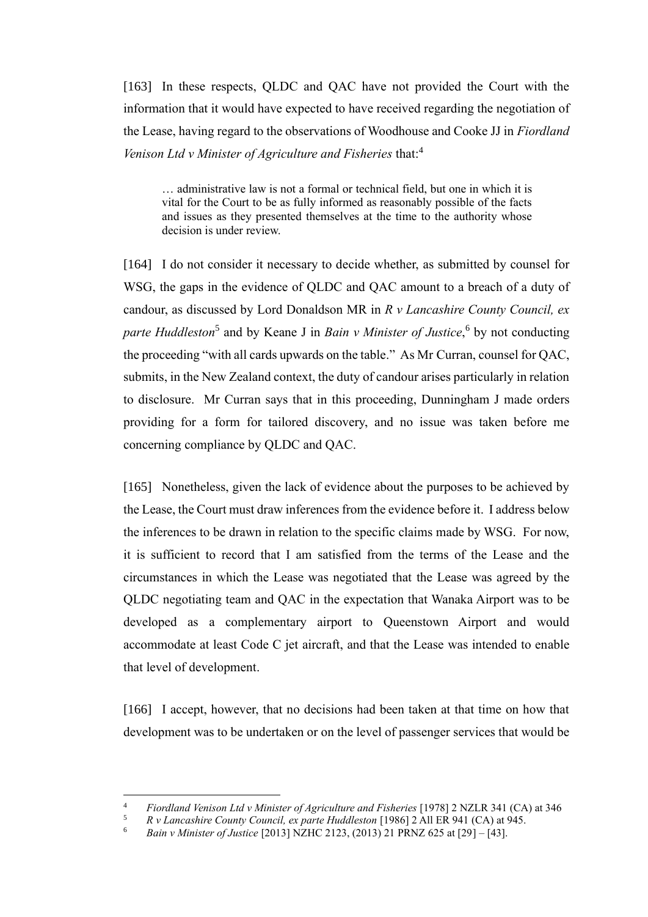[163] In these respects, QLDC and QAC have not provided the Court with the information that it would have expected to have received regarding the negotiation of the Lease, having regard to the observations of Woodhouse and Cooke JJ in *Fiordland Venison Ltd v Minister of Agriculture and Fisheries* that:<sup>4</sup>

… administrative law is not a formal or technical field, but one in which it is vital for the Court to be as fully informed as reasonably possible of the facts and issues as they presented themselves at the time to the authority whose decision is under review.

[164] I do not consider it necessary to decide whether, as submitted by counsel for WSG, the gaps in the evidence of QLDC and QAC amount to a breach of a duty of candour, as discussed by Lord Donaldson MR in *R v Lancashire County Council, ex*  parte Huddleston<sup>5</sup> and by Keane J in *Bain v Minister of Justice*,<sup>6</sup> by not conducting the proceeding "with all cards upwards on the table."As Mr Curran, counsel for QAC, submits, in the New Zealand context, the duty of candour arises particularly in relation to disclosure. Mr Curran says that in this proceeding, Dunningham J made orders providing for a form for tailored discovery, and no issue was taken before me concerning compliance by QLDC and QAC.

[165] Nonetheless, given the lack of evidence about the purposes to be achieved by the Lease, the Court must draw inferences from the evidence before it. I address below the inferences to be drawn in relation to the specific claims made by WSG. For now, it is sufficient to record that I am satisfied from the terms of the Lease and the circumstances in which the Lease was negotiated that the Lease was agreed by the QLDC negotiating team and QAC in the expectation that Wanaka Airport was to be developed as a complementary airport to Queenstown Airport and would accommodate at least Code C jet aircraft, and that the Lease was intended to enable that level of development.

[166] I accept, however, that no decisions had been taken at that time on how that development was to be undertaken or on the level of passenger services that would be

<sup>4</sup> *Fiordland Venison Ltd v Minister of Agriculture and Fisheries* [1978] 2 NZLR 341 (CA) at 346

<sup>5</sup> *R v Lancashire County Council, ex parte Huddleston* [1986] 2 All ER 941 (CA) at 945.

<sup>6</sup> *Bain v Minister of Justice* [2013] NZHC 2123, (2013) 21 PRNZ 625 at [29] – [43].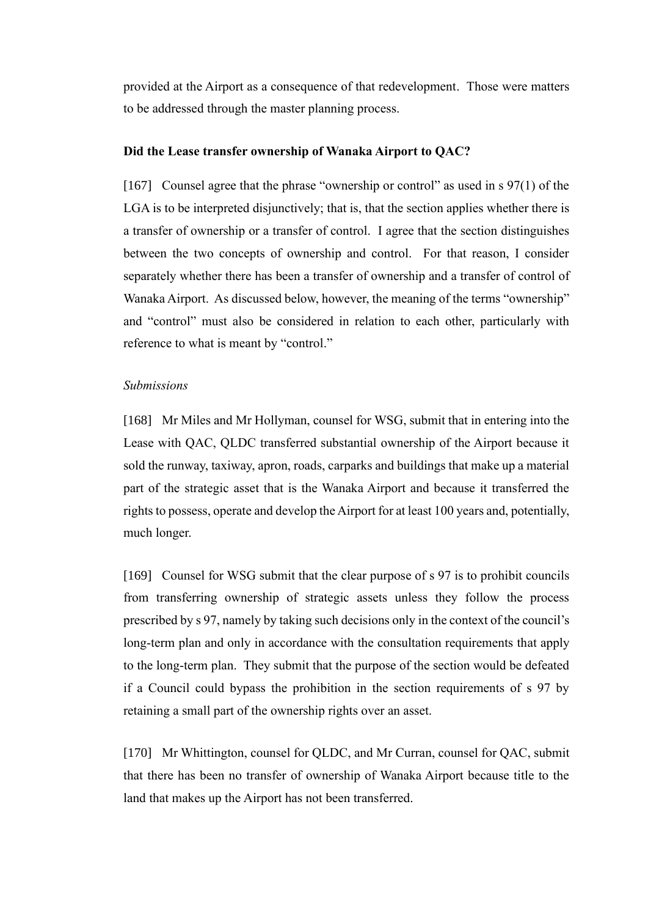provided at the Airport as a consequence of that redevelopment. Those were matters to be addressed through the master planning process.

#### <span id="page-46-0"></span>**Did the Lease transfer ownership of Wanaka Airport to QAC?**

[167] Counsel agree that the phrase "ownership or control" as used in s 97(1) of the LGA is to be interpreted disjunctively; that is, that the section applies whether there is a transfer of ownership or a transfer of control. I agree that the section distinguishes between the two concepts of ownership and control. For that reason, I consider separately whether there has been a transfer of ownership and a transfer of control of Wanaka Airport. As discussed below, however, the meaning of the terms "ownership" and "control" must also be considered in relation to each other, particularly with reference to what is meant by "control."

#### <span id="page-46-1"></span>*Submissions*

[168] Mr Miles and Mr Hollyman, counsel for WSG, submit that in entering into the Lease with QAC, QLDC transferred substantial ownership of the Airport because it sold the runway, taxiway, apron, roads, carparks and buildings that make up a material part of the strategic asset that is the Wanaka Airport and because it transferred the rights to possess, operate and develop the Airport for at least 100 years and, potentially, much longer.

[169] Counsel for WSG submit that the clear purpose of s 97 is to prohibit councils from transferring ownership of strategic assets unless they follow the process prescribed by s 97, namely by taking such decisions only in the context of the council's long-term plan and only in accordance with the consultation requirements that apply to the long-term plan. They submit that the purpose of the section would be defeated if a Council could bypass the prohibition in the section requirements of s 97 by retaining a small part of the ownership rights over an asset.

[170] Mr Whittington, counsel for QLDC, and Mr Curran, counsel for QAC, submit that there has been no transfer of ownership of Wanaka Airport because title to the land that makes up the Airport has not been transferred.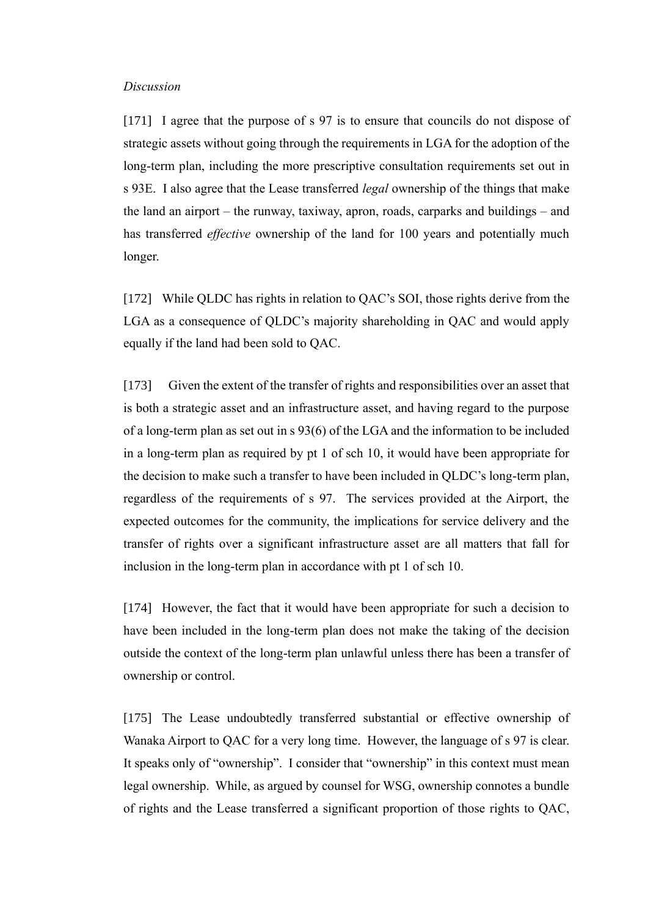#### <span id="page-47-0"></span>*Discussion*

[171] I agree that the purpose of s 97 is to ensure that councils do not dispose of strategic assets without going through the requirements in LGA for the adoption of the long-term plan, including the more prescriptive consultation requirements set out in s 93E. I also agree that the Lease transferred *legal* ownership of the things that make the land an airport – the runway, taxiway, apron, roads, carparks and buildings – and has transferred *effective* ownership of the land for 100 years and potentially much longer.

[172] While QLDC has rights in relation to QAC's SOI, those rights derive from the LGA as a consequence of QLDC's majority shareholding in QAC and would apply equally if the land had been sold to QAC.

[173] Given the extent of the transfer of rights and responsibilities over an asset that is both a strategic asset and an infrastructure asset, and having regard to the purpose of a long-term plan as set out in s 93(6) of the LGA and the information to be included in a long-term plan as required by pt 1 of sch 10, it would have been appropriate for the decision to make such a transfer to have been included in QLDC's long-term plan, regardless of the requirements of s 97. The services provided at the Airport, the expected outcomes for the community, the implications for service delivery and the transfer of rights over a significant infrastructure asset are all matters that fall for inclusion in the long-term plan in accordance with pt 1 of sch 10.

[174] However, the fact that it would have been appropriate for such a decision to have been included in the long-term plan does not make the taking of the decision outside the context of the long-term plan unlawful unless there has been a transfer of ownership or control.

[175] The Lease undoubtedly transferred substantial or effective ownership of Wanaka Airport to QAC for a very long time. However, the language of s 97 is clear. It speaks only of "ownership". I consider that "ownership" in this context must mean legal ownership. While, as argued by counsel for WSG, ownership connotes a bundle of rights and the Lease transferred a significant proportion of those rights to QAC,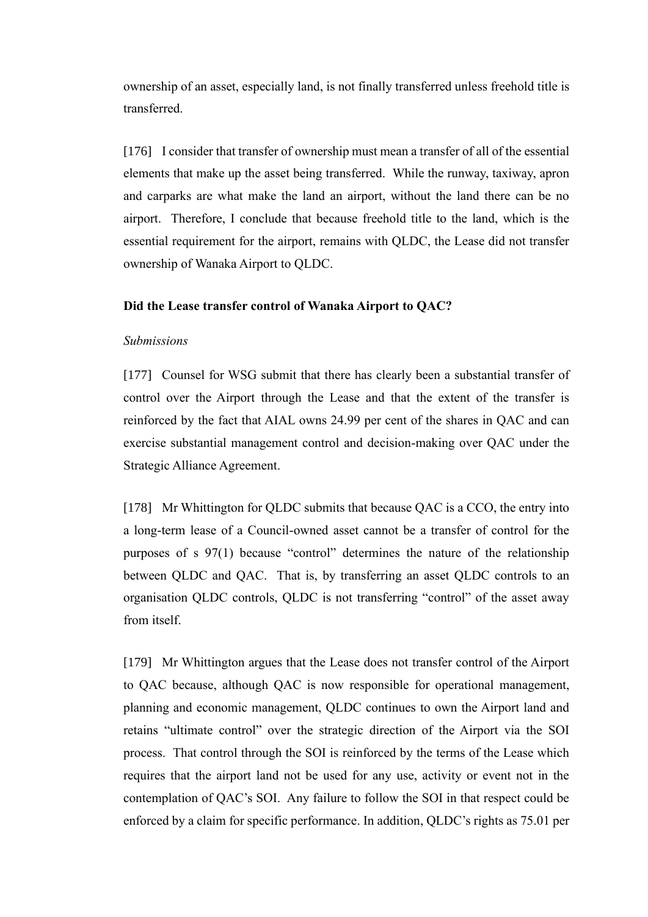ownership of an asset, especially land, is not finally transferred unless freehold title is transferred.

[176] I consider that transfer of ownership must mean a transfer of all of the essential elements that make up the asset being transferred. While the runway, taxiway, apron and carparks are what make the land an airport, without the land there can be no airport. Therefore, I conclude that because freehold title to the land, which is the essential requirement for the airport, remains with QLDC, the Lease did not transfer ownership of Wanaka Airport to QLDC.

### <span id="page-48-0"></span>**Did the Lease transfer control of Wanaka Airport to QAC?**

#### <span id="page-48-1"></span>*Submissions*

[177] Counsel for WSG submit that there has clearly been a substantial transfer of control over the Airport through the Lease and that the extent of the transfer is reinforced by the fact that AIAL owns 24.99 per cent of the shares in QAC and can exercise substantial management control and decision-making over QAC under the Strategic Alliance Agreement.

[178] Mr Whittington for QLDC submits that because QAC is a CCO, the entry into a long-term lease of a Council-owned asset cannot be a transfer of control for the purposes of s 97(1) because "control" determines the nature of the relationship between QLDC and QAC. That is, by transferring an asset QLDC controls to an organisation QLDC controls, QLDC is not transferring "control" of the asset away from itself.

[179] Mr Whittington argues that the Lease does not transfer control of the Airport to QAC because, although QAC is now responsible for operational management, planning and economic management, QLDC continues to own the Airport land and retains "ultimate control" over the strategic direction of the Airport via the SOI process. That control through the SOI is reinforced by the terms of the Lease which requires that the airport land not be used for any use, activity or event not in the contemplation of QAC's SOI. Any failure to follow the SOI in that respect could be enforced by a claim for specific performance. In addition, QLDC's rights as 75.01 per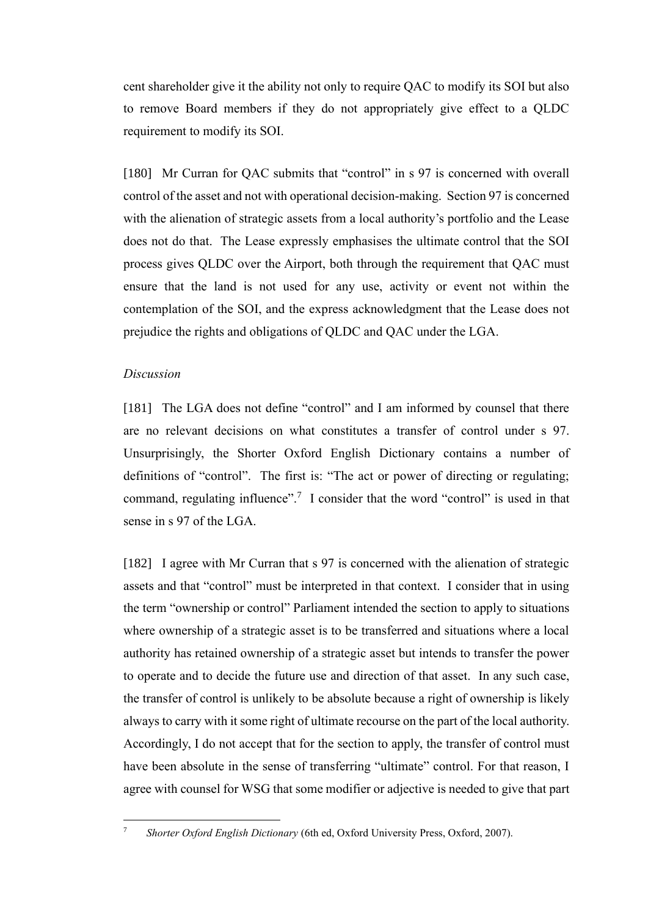cent shareholder give it the ability not only to require QAC to modify its SOI but also to remove Board members if they do not appropriately give effect to a QLDC requirement to modify its SOI.

[180] Mr Curran for QAC submits that "control" in s 97 is concerned with overall control of the asset and not with operational decision-making. Section 97 is concerned with the alienation of strategic assets from a local authority's portfolio and the Lease does not do that. The Lease expressly emphasises the ultimate control that the SOI process gives QLDC over the Airport, both through the requirement that QAC must ensure that the land is not used for any use, activity or event not within the contemplation of the SOI, and the express acknowledgment that the Lease does not prejudice the rights and obligations of QLDC and QAC under the LGA.

#### <span id="page-49-0"></span>*Discussion*

[181] The LGA does not define "control" and I am informed by counsel that there are no relevant decisions on what constitutes a transfer of control under s 97. Unsurprisingly, the Shorter Oxford English Dictionary contains a number of definitions of "control". The first is: "The act or power of directing or regulating; command, regulating influence".<sup>7</sup> I consider that the word "control" is used in that sense in s 97 of the LGA.

[182] I agree with Mr Curran that s 97 is concerned with the alienation of strategic assets and that "control" must be interpreted in that context. I consider that in using the term "ownership or control" Parliament intended the section to apply to situations where ownership of a strategic asset is to be transferred and situations where a local authority has retained ownership of a strategic asset but intends to transfer the power to operate and to decide the future use and direction of that asset. In any such case, the transfer of control is unlikely to be absolute because a right of ownership is likely always to carry with it some right of ultimate recourse on the part of the local authority. Accordingly, I do not accept that for the section to apply, the transfer of control must have been absolute in the sense of transferring "ultimate" control. For that reason, I agree with counsel for WSG that some modifier or adjective is needed to give that part

<sup>7</sup> *Shorter Oxford English Dictionary* (6th ed, Oxford University Press, Oxford, 2007).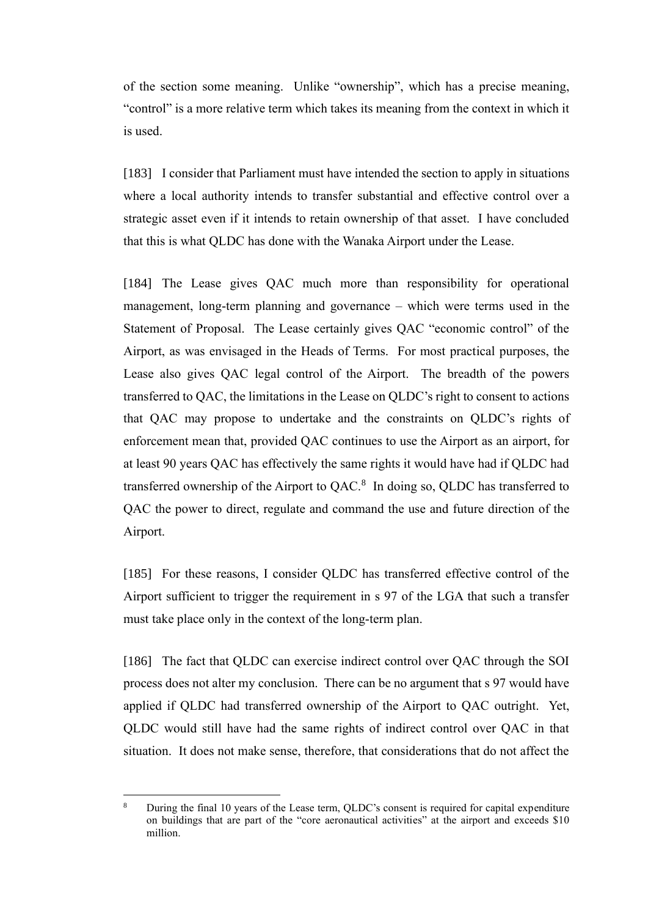of the section some meaning. Unlike "ownership", which has a precise meaning, "control" is a more relative term which takes its meaning from the context in which it is used.

[183] I consider that Parliament must have intended the section to apply in situations where a local authority intends to transfer substantial and effective control over a strategic asset even if it intends to retain ownership of that asset. I have concluded that this is what QLDC has done with the Wanaka Airport under the Lease.

[184] The Lease gives QAC much more than responsibility for operational management, long-term planning and governance – which were terms used in the Statement of Proposal. The Lease certainly gives QAC "economic control" of the Airport, as was envisaged in the Heads of Terms. For most practical purposes, the Lease also gives QAC legal control of the Airport. The breadth of the powers transferred to QAC, the limitations in the Lease on QLDC's right to consent to actions that QAC may propose to undertake and the constraints on QLDC's rights of enforcement mean that, provided QAC continues to use the Airport as an airport, for at least 90 years QAC has effectively the same rights it would have had if QLDC had transferred ownership of the Airport to  $QAC$ .<sup>8</sup> In doing so,  $QLDC$  has transferred to QAC the power to direct, regulate and command the use and future direction of the Airport.

[185] For these reasons, I consider QLDC has transferred effective control of the Airport sufficient to trigger the requirement in s 97 of the LGA that such a transfer must take place only in the context of the long-term plan.

[186] The fact that QLDC can exercise indirect control over QAC through the SOI process does not alter my conclusion. There can be no argument that s 97 would have applied if QLDC had transferred ownership of the Airport to QAC outright. Yet, QLDC would still have had the same rights of indirect control over QAC in that situation. It does not make sense, therefore, that considerations that do not affect the

<sup>8</sup> During the final 10 years of the Lease term, QLDC's consent is required for capital expenditure on buildings that are part of the "core aeronautical activities" at the airport and exceeds \$10 million.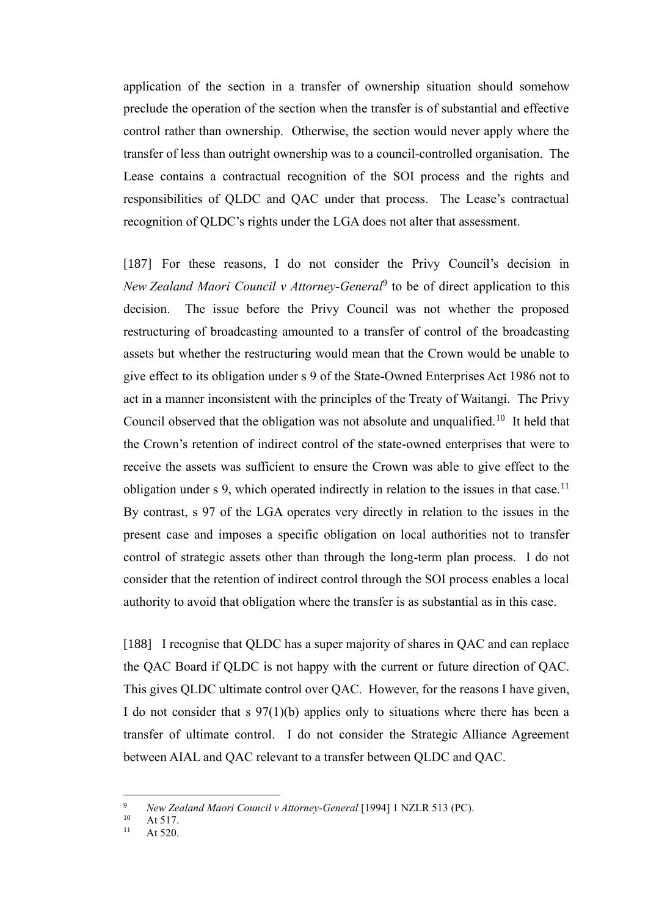application of the section in a transfer of ownership situation should somehow preclude the operation of the section when the transfer is of substantial and effective control rather than ownership. Otherwise, the section would never apply where the transfer of less than outright ownership was to a council-controlled organisation. The Lease contains a contractual recognition of the SOI process and the rights and responsibilities of QLDC and QAC under that process. The Lease's contractual recognition of QLDC's rights under the LGA does not alter that assessment.

[187] For these reasons, I do not consider the Privy Council's decision in *New Zealand Maori Council v Attorney-General*<sup>9</sup> to be of direct application to this decision. The issue before the Privy Council was not whether the proposed restructuring of broadcasting amounted to a transfer of control of the broadcasting assets but whether the restructuring would mean that the Crown would be unable to give effect to its obligation under s 9 of the State-Owned Enterprises Act 1986 not to act in a manner inconsistent with the principles of the Treaty of Waitangi. The Privy Council observed that the obligation was not absolute and unqualified.<sup>10</sup> It held that the Crown's retention of indirect control of the state-owned enterprises that were to receive the assets was sufficient to ensure the Crown was able to give effect to the obligation under s 9, which operated indirectly in relation to the issues in that case.<sup>11</sup> By contrast, s 97 of the LGA operates very directly in relation to the issues in the present case and imposes a specific obligation on local authorities not to transfer control of strategic assets other than through the long-term plan process. I do not consider that the retention of indirect control through the SOI process enables a local authority to avoid that obligation where the transfer is as substantial as in this case.

[188] I recognise that QLDC has a super majority of shares in QAC and can replace the QAC Board if QLDC is not happy with the current or future direction of QAC. This gives QLDC ultimate control over QAC. However, for the reasons I have given, I do not consider that s 97(1)(b) applies only to situations where there has been a transfer of ultimate control. I do not consider the Strategic Alliance Agreement between AIAL and QAC relevant to a transfer between QLDC and QAC.

<sup>&</sup>lt;sup>9</sup> *New Zealand Maori Council v Attorney-General* [1994] 1 NZLR 513 (PC).

 $10$  At 517.<br> $11$  At 520

At 520.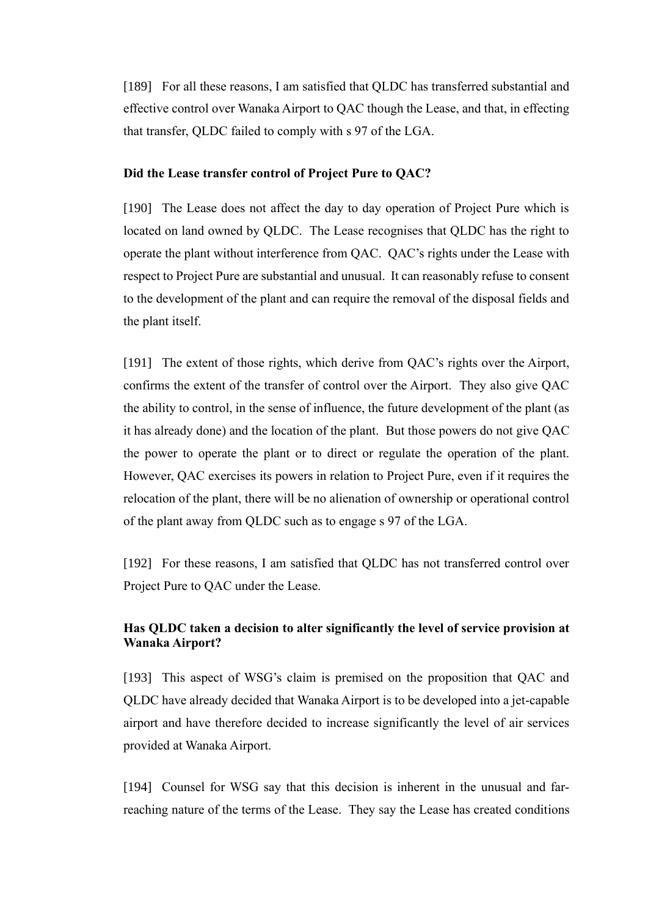[189] For all these reasons, I am satisfied that QLDC has transferred substantial and effective control over Wanaka Airport to QAC though the Lease, and that, in effecting that transfer, QLDC failed to comply with s 97 of the LGA.

#### <span id="page-52-0"></span>**Did the Lease transfer control of Project Pure to QAC?**

[190] The Lease does not affect the day to day operation of Project Pure which is located on land owned by QLDC. The Lease recognises that QLDC has the right to operate the plant without interference from QAC. QAC's rights under the Lease with respect to Project Pure are substantial and unusual. It can reasonably refuse to consent to the development of the plant and can require the removal of the disposal fields and the plant itself.

[191] The extent of those rights, which derive from QAC's rights over the Airport, confirms the extent of the transfer of control over the Airport. They also give QAC the ability to control, in the sense of influence, the future development of the plant (as it has already done) and the location of the plant. But those powers do not give QAC the power to operate the plant or to direct or regulate the operation of the plant. However, QAC exercises its powers in relation to Project Pure, even if it requires the relocation of the plant, there will be no alienation of ownership or operational control of the plant away from QLDC such as to engage s 97 of the LGA.

[192] For these reasons, I am satisfied that QLDC has not transferred control over Project Pure to QAC under the Lease.

# <span id="page-52-1"></span>**Has QLDC taken a decision to alter significantly the level of service provision at Wanaka Airport?**

[193] This aspect of WSG's claim is premised on the proposition that QAC and QLDC have already decided that Wanaka Airport is to be developed into a jet-capable airport and have therefore decided to increase significantly the level of air services provided at Wanaka Airport.

[194] Counsel for WSG say that this decision is inherent in the unusual and farreaching nature of the terms of the Lease. They say the Lease has created conditions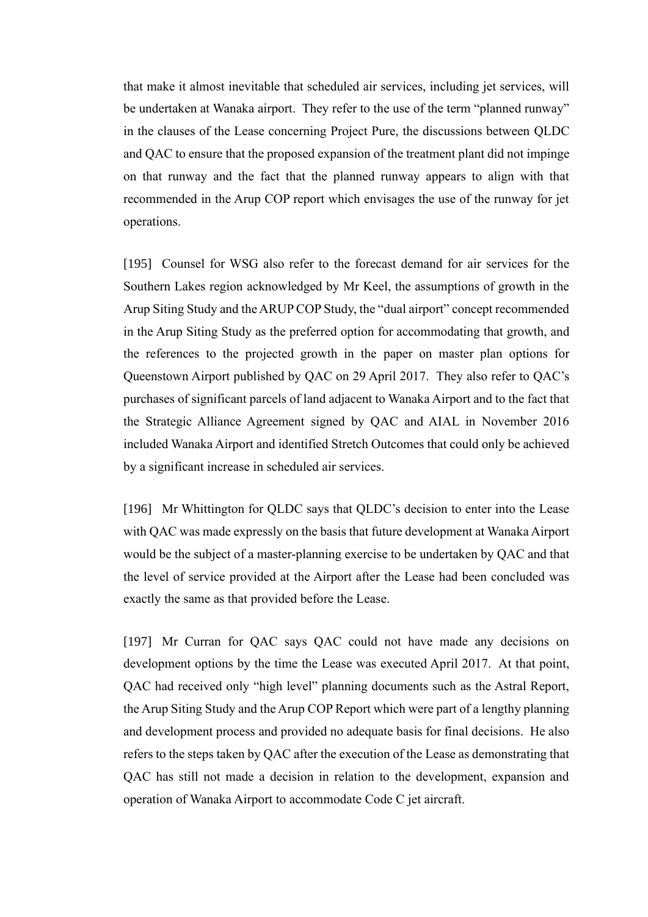that make it almost inevitable that scheduled air services, including jet services, will be undertaken at Wanaka airport. They refer to the use of the term "planned runway" in the clauses of the Lease concerning Project Pure, the discussions between QLDC and QAC to ensure that the proposed expansion of the treatment plant did not impinge on that runway and the fact that the planned runway appears to align with that recommended in the Arup COP report which envisages the use of the runway for jet operations.

[195] Counsel for WSG also refer to the forecast demand for air services for the Southern Lakes region acknowledged by Mr Keel, the assumptions of growth in the Arup Siting Study and the ARUP COP Study, the "dual airport" concept recommended in the Arup Siting Study as the preferred option for accommodating that growth, and the references to the projected growth in the paper on master plan options for Queenstown Airport published by QAC on 29 April 2017. They also refer to QAC's purchases of significant parcels of land adjacent to Wanaka Airport and to the fact that the Strategic Alliance Agreement signed by QAC and AIAL in November 2016 included Wanaka Airport and identified Stretch Outcomes that could only be achieved by a significant increase in scheduled air services.

[196] Mr Whittington for QLDC says that QLDC's decision to enter into the Lease with QAC was made expressly on the basis that future development at Wanaka Airport would be the subject of a master-planning exercise to be undertaken by QAC and that the level of service provided at the Airport after the Lease had been concluded was exactly the same as that provided before the Lease.

[197] Mr Curran for QAC says QAC could not have made any decisions on development options by the time the Lease was executed April 2017. At that point, QAC had received only "high level" planning documents such as the Astral Report, the Arup Siting Study and the Arup COP Report which were part of a lengthy planning and development process and provided no adequate basis for final decisions. He also refers to the steps taken by QAC after the execution of the Lease as demonstrating that QAC has still not made a decision in relation to the development, expansion and operation of Wanaka Airport to accommodate Code C jet aircraft.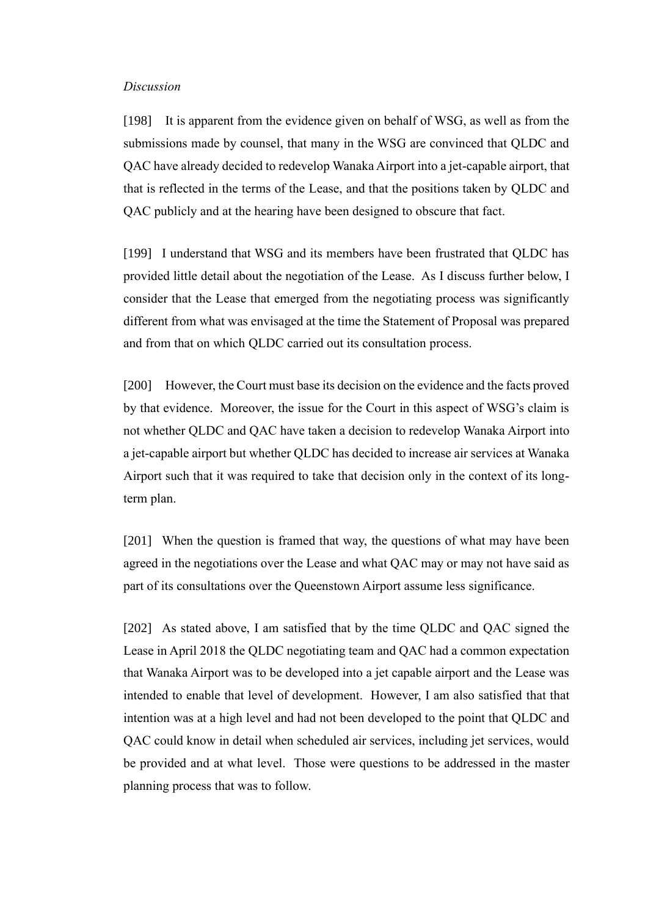#### <span id="page-54-0"></span>*Discussion*

[198] It is apparent from the evidence given on behalf of WSG, as well as from the submissions made by counsel, that many in the WSG are convinced that QLDC and QAC have already decided to redevelop Wanaka Airport into a jet-capable airport, that that is reflected in the terms of the Lease, and that the positions taken by QLDC and QAC publicly and at the hearing have been designed to obscure that fact.

[199] I understand that WSG and its members have been frustrated that QLDC has provided little detail about the negotiation of the Lease. As I discuss further below, I consider that the Lease that emerged from the negotiating process was significantly different from what was envisaged at the time the Statement of Proposal was prepared and from that on which QLDC carried out its consultation process.

[200] However, the Court must base its decision on the evidence and the facts proved by that evidence. Moreover, the issue for the Court in this aspect of WSG's claim is not whether QLDC and QAC have taken a decision to redevelop Wanaka Airport into a jet-capable airport but whether QLDC has decided to increase air services at Wanaka Airport such that it was required to take that decision only in the context of its longterm plan.

[201] When the question is framed that way, the questions of what may have been agreed in the negotiations over the Lease and what QAC may or may not have said as part of its consultations over the Queenstown Airport assume less significance.

[202] As stated above, I am satisfied that by the time QLDC and QAC signed the Lease in April 2018 the QLDC negotiating team and QAC had a common expectation that Wanaka Airport was to be developed into a jet capable airport and the Lease was intended to enable that level of development. However, I am also satisfied that that intention was at a high level and had not been developed to the point that QLDC and QAC could know in detail when scheduled air services, including jet services, would be provided and at what level. Those were questions to be addressed in the master planning process that was to follow.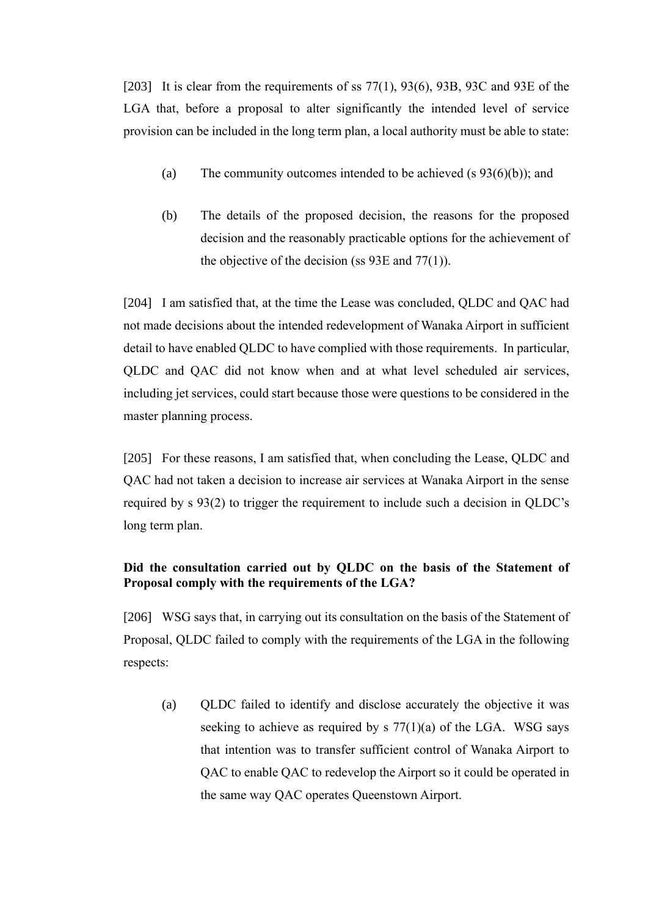[203] It is clear from the requirements of ss  $77(1)$ ,  $93(6)$ ,  $93B$ ,  $93C$  and  $93E$  of the LGA that, before a proposal to alter significantly the intended level of service provision can be included in the long term plan, a local authority must be able to state:

- (a) The community outcomes intended to be achieved (s  $93(6)(b)$ ); and
- (b) The details of the proposed decision, the reasons for the proposed decision and the reasonably practicable options for the achievement of the objective of the decision (ss  $93E$  and  $77(1)$ ).

[204] I am satisfied that, at the time the Lease was concluded, QLDC and QAC had not made decisions about the intended redevelopment of Wanaka Airport in sufficient detail to have enabled QLDC to have complied with those requirements. In particular, QLDC and QAC did not know when and at what level scheduled air services, including jet services, could start because those were questions to be considered in the master planning process.

[205] For these reasons, I am satisfied that, when concluding the Lease, QLDC and QAC had not taken a decision to increase air services at Wanaka Airport in the sense required by s 93(2) to trigger the requirement to include such a decision in QLDC's long term plan.

# <span id="page-55-0"></span>**Did the consultation carried out by QLDC on the basis of the Statement of Proposal comply with the requirements of the LGA?**

[206] WSG says that, in carrying out its consultation on the basis of the Statement of Proposal, QLDC failed to comply with the requirements of the LGA in the following respects:

(a) QLDC failed to identify and disclose accurately the objective it was seeking to achieve as required by s  $77(1)(a)$  of the LGA. WSG says that intention was to transfer sufficient control of Wanaka Airport to QAC to enable QAC to redevelop the Airport so it could be operated in the same way QAC operates Queenstown Airport.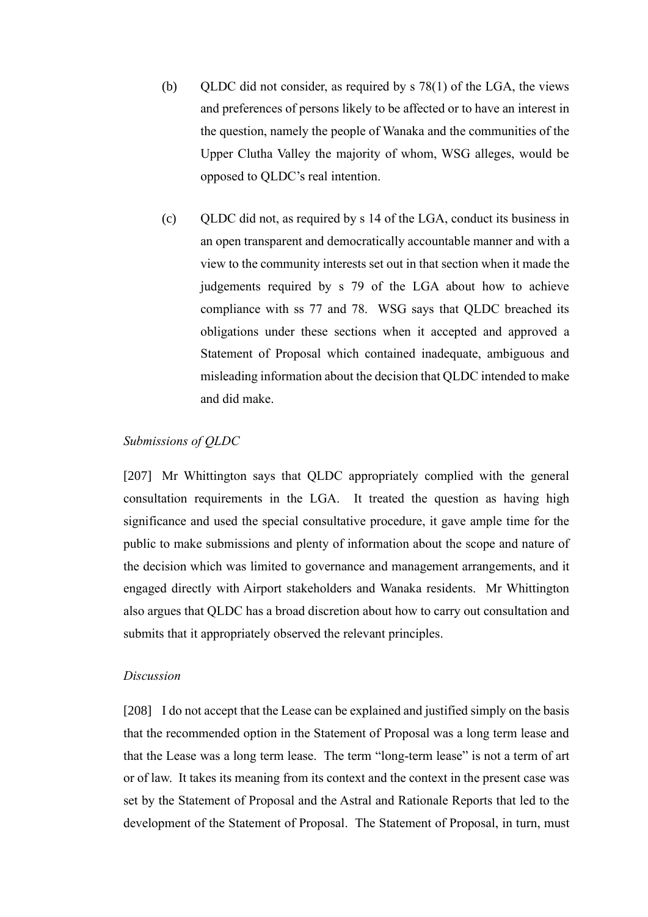- (b) QLDC did not consider, as required by  $s$  78(1) of the LGA, the views and preferences of persons likely to be affected or to have an interest in the question, namely the people of Wanaka and the communities of the Upper Clutha Valley the majority of whom, WSG alleges, would be opposed to QLDC's real intention.
- (c) QLDC did not, as required by s 14 of the LGA, conduct its business in an open transparent and democratically accountable manner and with a view to the community interests set out in that section when it made the judgements required by s 79 of the LGA about how to achieve compliance with ss 77 and 78. WSG says that QLDC breached its obligations under these sections when it accepted and approved a Statement of Proposal which contained inadequate, ambiguous and misleading information about the decision that QLDC intended to make and did make.

#### <span id="page-56-0"></span>*Submissions of QLDC*

[207] Mr Whittington says that QLDC appropriately complied with the general consultation requirements in the LGA. It treated the question as having high significance and used the special consultative procedure, it gave ample time for the public to make submissions and plenty of information about the scope and nature of the decision which was limited to governance and management arrangements, and it engaged directly with Airport stakeholders and Wanaka residents. Mr Whittington also argues that QLDC has a broad discretion about how to carry out consultation and submits that it appropriately observed the relevant principles.

# <span id="page-56-1"></span>*Discussion*

[208] I do not accept that the Lease can be explained and justified simply on the basis that the recommended option in the Statement of Proposal was a long term lease and that the Lease was a long term lease. The term "long-term lease" is not a term of art or of law. It takes its meaning from its context and the context in the present case was set by the Statement of Proposal and the Astral and Rationale Reports that led to the development of the Statement of Proposal. The Statement of Proposal, in turn, must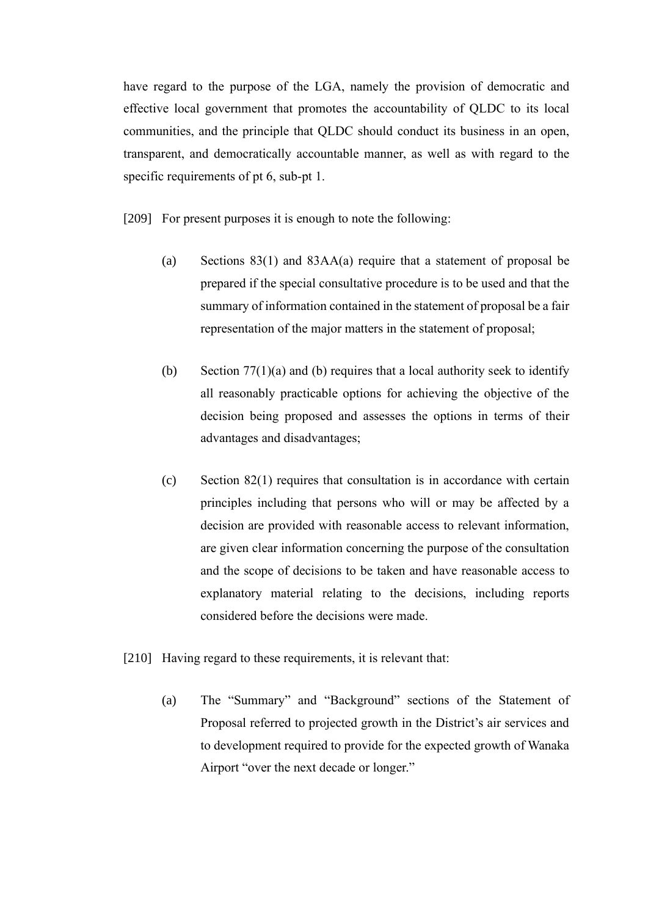have regard to the purpose of the LGA, namely the provision of democratic and effective local government that promotes the accountability of QLDC to its local communities, and the principle that QLDC should conduct its business in an open, transparent, and democratically accountable manner, as well as with regard to the specific requirements of pt 6, sub-pt 1.

[209] For present purposes it is enough to note the following:

- (a) Sections 83(1) and 83AA(a) require that a statement of proposal be prepared if the special consultative procedure is to be used and that the summary of information contained in the statement of proposal be a fair representation of the major matters in the statement of proposal;
- (b) Section  $77(1)(a)$  and (b) requires that a local authority seek to identify all reasonably practicable options for achieving the objective of the decision being proposed and assesses the options in terms of their advantages and disadvantages;
- (c) Section 82(1) requires that consultation is in accordance with certain principles including that persons who will or may be affected by a decision are provided with reasonable access to relevant information, are given clear information concerning the purpose of the consultation and the scope of decisions to be taken and have reasonable access to explanatory material relating to the decisions, including reports considered before the decisions were made.
- [210] Having regard to these requirements, it is relevant that:
	- (a) The "Summary" and "Background" sections of the Statement of Proposal referred to projected growth in the District's air services and to development required to provide for the expected growth of Wanaka Airport "over the next decade or longer."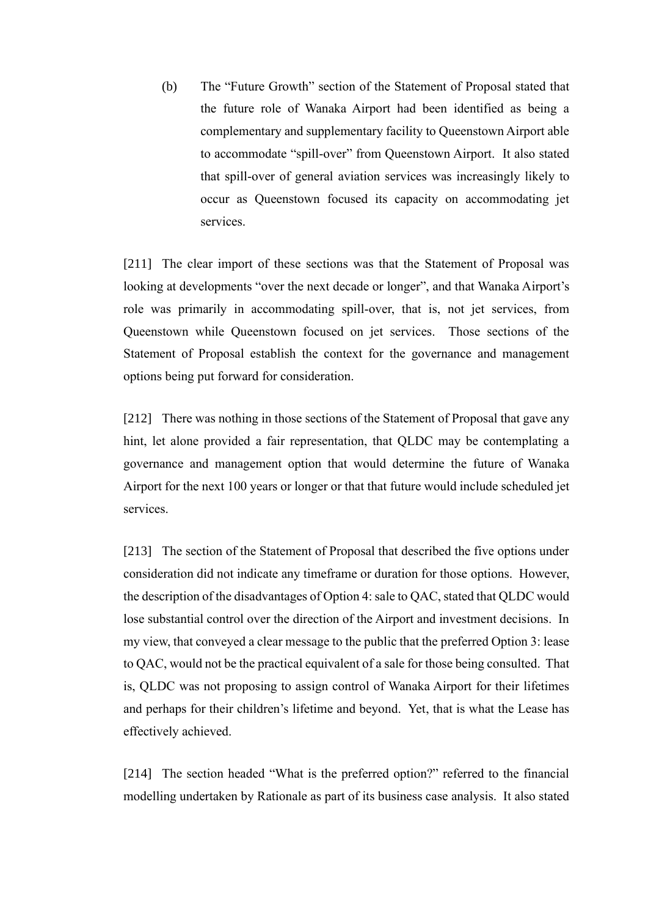(b) The "Future Growth" section of the Statement of Proposal stated that the future role of Wanaka Airport had been identified as being a complementary and supplementary facility to Queenstown Airport able to accommodate "spill-over" from Queenstown Airport. It also stated that spill-over of general aviation services was increasingly likely to occur as Queenstown focused its capacity on accommodating jet services.

[211] The clear import of these sections was that the Statement of Proposal was looking at developments "over the next decade or longer", and that Wanaka Airport's role was primarily in accommodating spill-over, that is, not jet services, from Queenstown while Queenstown focused on jet services. Those sections of the Statement of Proposal establish the context for the governance and management options being put forward for consideration.

[212] There was nothing in those sections of the Statement of Proposal that gave any hint, let alone provided a fair representation, that QLDC may be contemplating a governance and management option that would determine the future of Wanaka Airport for the next 100 years or longer or that that future would include scheduled jet services.

[213] The section of the Statement of Proposal that described the five options under consideration did not indicate any timeframe or duration for those options. However, the description of the disadvantages of Option 4: sale to QAC, stated that QLDC would lose substantial control over the direction of the Airport and investment decisions. In my view, that conveyed a clear message to the public that the preferred Option 3: lease to QAC, would not be the practical equivalent of a sale for those being consulted. That is, QLDC was not proposing to assign control of Wanaka Airport for their lifetimes and perhaps for their children's lifetime and beyond. Yet, that is what the Lease has effectively achieved.

[214] The section headed "What is the preferred option?" referred to the financial modelling undertaken by Rationale as part of its business case analysis. It also stated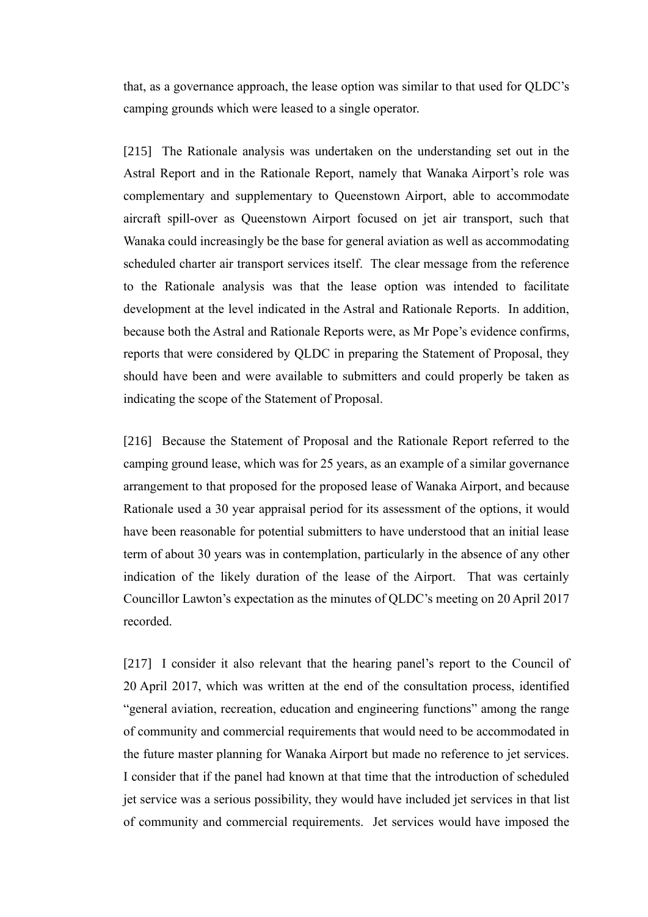that, as a governance approach, the lease option was similar to that used for QLDC's camping grounds which were leased to a single operator.

[215] The Rationale analysis was undertaken on the understanding set out in the Astral Report and in the Rationale Report, namely that Wanaka Airport's role was complementary and supplementary to Queenstown Airport, able to accommodate aircraft spill-over as Queenstown Airport focused on jet air transport, such that Wanaka could increasingly be the base for general aviation as well as accommodating scheduled charter air transport services itself. The clear message from the reference to the Rationale analysis was that the lease option was intended to facilitate development at the level indicated in the Astral and Rationale Reports. In addition, because both the Astral and Rationale Reports were, as Mr Pope's evidence confirms, reports that were considered by QLDC in preparing the Statement of Proposal, they should have been and were available to submitters and could properly be taken as indicating the scope of the Statement of Proposal.

[216] Because the Statement of Proposal and the Rationale Report referred to the camping ground lease, which was for 25 years, as an example of a similar governance arrangement to that proposed for the proposed lease of Wanaka Airport, and because Rationale used a 30 year appraisal period for its assessment of the options, it would have been reasonable for potential submitters to have understood that an initial lease term of about 30 years was in contemplation, particularly in the absence of any other indication of the likely duration of the lease of the Airport. That was certainly Councillor Lawton's expectation as the minutes of QLDC's meeting on 20 April 2017 recorded.

[217] I consider it also relevant that the hearing panel's report to the Council of 20 April 2017, which was written at the end of the consultation process, identified "general aviation, recreation, education and engineering functions" among the range of community and commercial requirements that would need to be accommodated in the future master planning for Wanaka Airport but made no reference to jet services. I consider that if the panel had known at that time that the introduction of scheduled jet service was a serious possibility, they would have included jet services in that list of community and commercial requirements. Jet services would have imposed the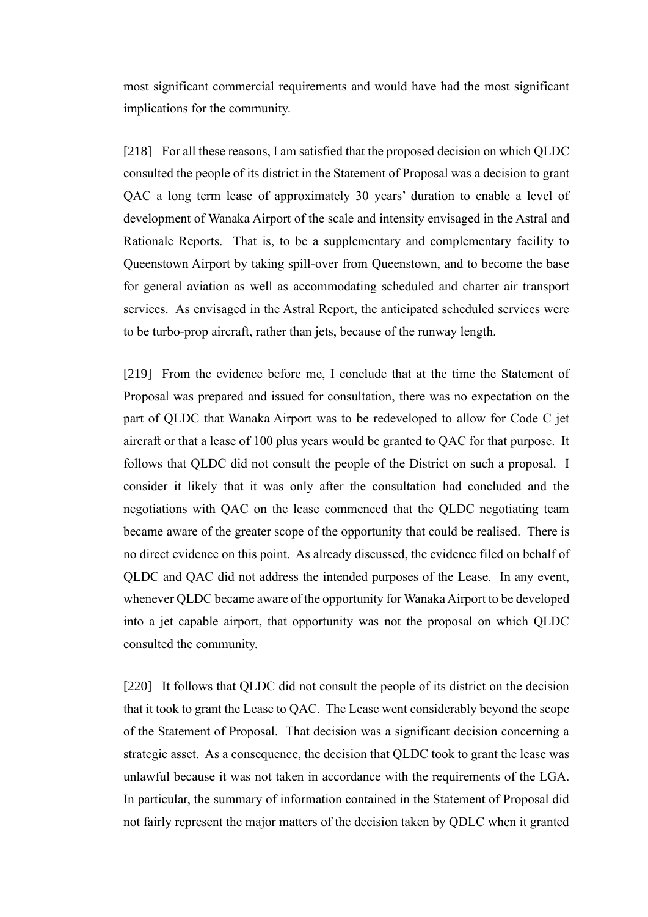most significant commercial requirements and would have had the most significant implications for the community.

[218] For all these reasons, I am satisfied that the proposed decision on which QLDC consulted the people of its district in the Statement of Proposal was a decision to grant QAC a long term lease of approximately 30 years' duration to enable a level of development of Wanaka Airport of the scale and intensity envisaged in the Astral and Rationale Reports. That is, to be a supplementary and complementary facility to Queenstown Airport by taking spill-over from Queenstown, and to become the base for general aviation as well as accommodating scheduled and charter air transport services. As envisaged in the Astral Report, the anticipated scheduled services were to be turbo-prop aircraft, rather than jets, because of the runway length.

[219] From the evidence before me, I conclude that at the time the Statement of Proposal was prepared and issued for consultation, there was no expectation on the part of QLDC that Wanaka Airport was to be redeveloped to allow for Code C jet aircraft or that a lease of 100 plus years would be granted to QAC for that purpose. It follows that QLDC did not consult the people of the District on such a proposal. I consider it likely that it was only after the consultation had concluded and the negotiations with QAC on the lease commenced that the QLDC negotiating team became aware of the greater scope of the opportunity that could be realised. There is no direct evidence on this point. As already discussed, the evidence filed on behalf of QLDC and QAC did not address the intended purposes of the Lease. In any event, whenever QLDC became aware of the opportunity for Wanaka Airport to be developed into a jet capable airport, that opportunity was not the proposal on which QLDC consulted the community.

[220] It follows that QLDC did not consult the people of its district on the decision that it took to grant the Lease to QAC. The Lease went considerably beyond the scope of the Statement of Proposal. That decision was a significant decision concerning a strategic asset. As a consequence, the decision that QLDC took to grant the lease was unlawful because it was not taken in accordance with the requirements of the LGA. In particular, the summary of information contained in the Statement of Proposal did not fairly represent the major matters of the decision taken by QDLC when it granted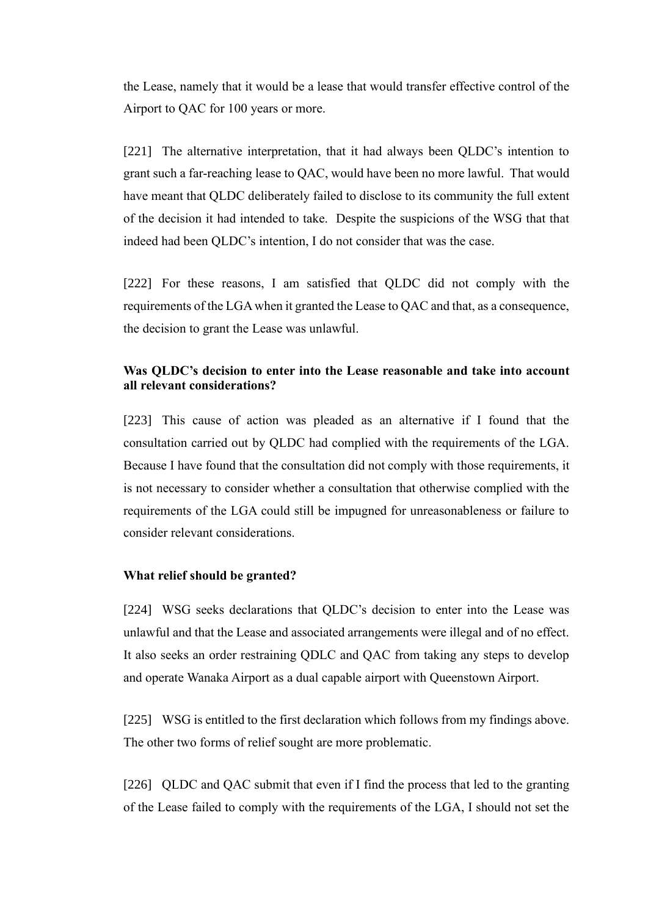the Lease, namely that it would be a lease that would transfer effective control of the Airport to QAC for 100 years or more.

[221] The alternative interpretation, that it had always been QLDC's intention to grant such a far-reaching lease to QAC, would have been no more lawful. That would have meant that QLDC deliberately failed to disclose to its community the full extent of the decision it had intended to take. Despite the suspicions of the WSG that that indeed had been QLDC's intention, I do not consider that was the case.

[222] For these reasons, I am satisfied that QLDC did not comply with the requirements of the LGA when it granted the Lease to QAC and that, as a consequence, the decision to grant the Lease was unlawful.

# <span id="page-61-0"></span>**Was QLDC's decision to enter into the Lease reasonable and take into account all relevant considerations?**

[223] This cause of action was pleaded as an alternative if I found that the consultation carried out by QLDC had complied with the requirements of the LGA. Because I have found that the consultation did not comply with those requirements, it is not necessary to consider whether a consultation that otherwise complied with the requirements of the LGA could still be impugned for unreasonableness or failure to consider relevant considerations.

# <span id="page-61-1"></span>**What relief should be granted?**

[224] WSG seeks declarations that QLDC's decision to enter into the Lease was unlawful and that the Lease and associated arrangements were illegal and of no effect. It also seeks an order restraining QDLC and QAC from taking any steps to develop and operate Wanaka Airport as a dual capable airport with Queenstown Airport.

[225] WSG is entitled to the first declaration which follows from my findings above. The other two forms of relief sought are more problematic.

[226] QLDC and QAC submit that even if I find the process that led to the granting of the Lease failed to comply with the requirements of the LGA, I should not set the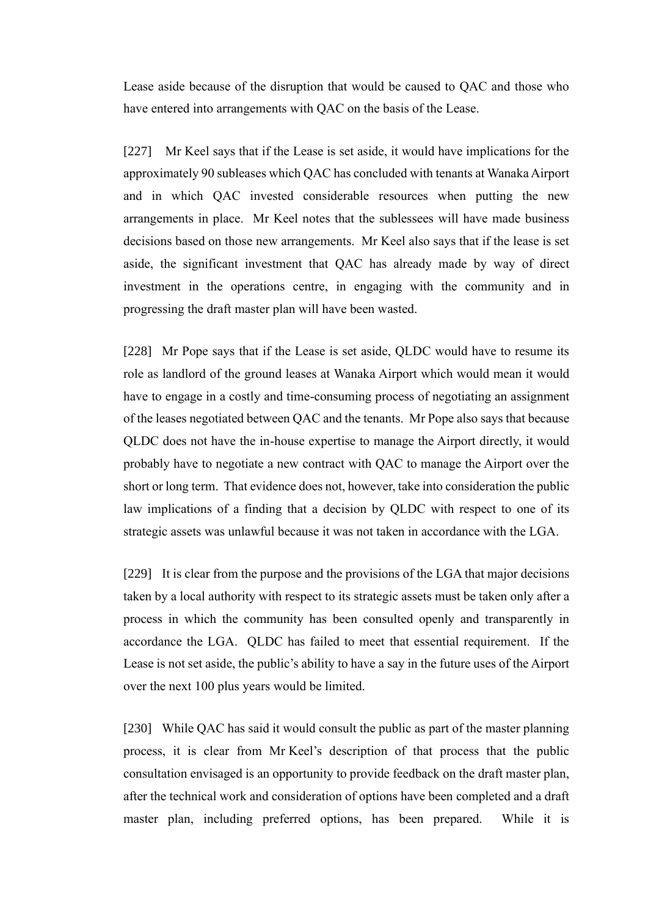Lease aside because of the disruption that would be caused to QAC and those who have entered into arrangements with QAC on the basis of the Lease.

[227] Mr Keel says that if the Lease is set aside, it would have implications for the approximately 90 subleases which QAC has concluded with tenants at Wanaka Airport and in which QAC invested considerable resources when putting the new arrangements in place. Mr Keel notes that the sublessees will have made business decisions based on those new arrangements. Mr Keel also says that if the lease is set aside, the significant investment that QAC has already made by way of direct investment in the operations centre, in engaging with the community and in progressing the draft master plan will have been wasted.

[228] Mr Pope says that if the Lease is set aside, QLDC would have to resume its role as landlord of the ground leases at Wanaka Airport which would mean it would have to engage in a costly and time-consuming process of negotiating an assignment of the leases negotiated between QAC and the tenants. Mr Pope also says that because QLDC does not have the in-house expertise to manage the Airport directly, it would probably have to negotiate a new contract with QAC to manage the Airport over the short or long term. That evidence does not, however, take into consideration the public law implications of a finding that a decision by QLDC with respect to one of its strategic assets was unlawful because it was not taken in accordance with the LGA.

[229] It is clear from the purpose and the provisions of the LGA that major decisions taken by a local authority with respect to its strategic assets must be taken only after a process in which the community has been consulted openly and transparently in accordance the LGA. QLDC has failed to meet that essential requirement. If the Lease is not set aside, the public's ability to have a say in the future uses of the Airport over the next 100 plus years would be limited.

[230] While QAC has said it would consult the public as part of the master planning process, it is clear from Mr Keel's description of that process that the public consultation envisaged is an opportunity to provide feedback on the draft master plan, after the technical work and consideration of options have been completed and a draft master plan, including preferred options, has been prepared. While it is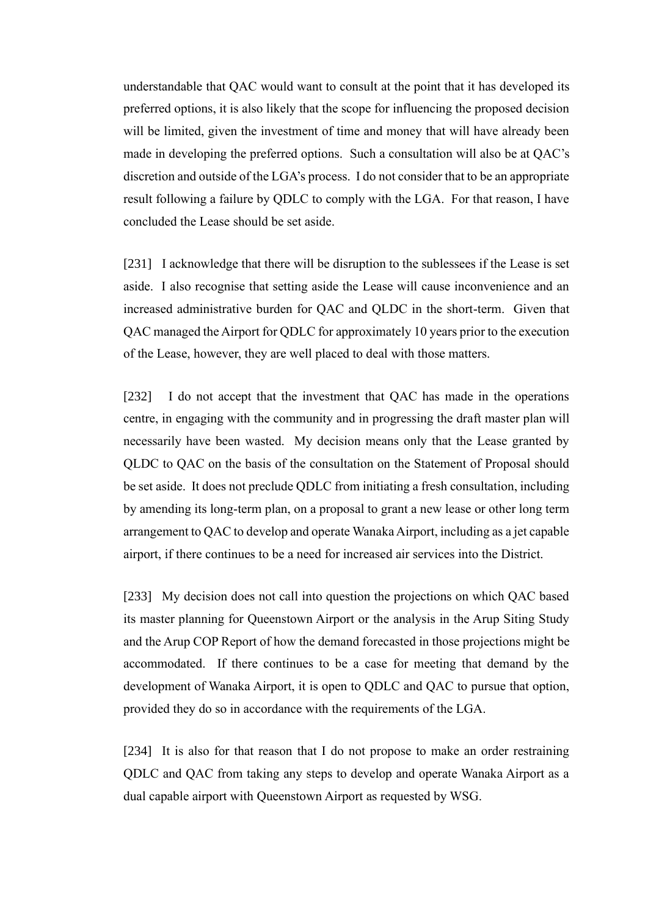understandable that QAC would want to consult at the point that it has developed its preferred options, it is also likely that the scope for influencing the proposed decision will be limited, given the investment of time and money that will have already been made in developing the preferred options. Such a consultation will also be at QAC's discretion and outside of the LGA's process. I do not consider that to be an appropriate result following a failure by QDLC to comply with the LGA. For that reason, I have concluded the Lease should be set aside.

[231] I acknowledge that there will be disruption to the sublessees if the Lease is set aside. I also recognise that setting aside the Lease will cause inconvenience and an increased administrative burden for QAC and QLDC in the short-term. Given that QAC managed the Airport for QDLC for approximately 10 years prior to the execution of the Lease, however, they are well placed to deal with those matters.

[232] I do not accept that the investment that QAC has made in the operations centre, in engaging with the community and in progressing the draft master plan will necessarily have been wasted. My decision means only that the Lease granted by QLDC to QAC on the basis of the consultation on the Statement of Proposal should be set aside. It does not preclude QDLC from initiating a fresh consultation, including by amending its long-term plan, on a proposal to grant a new lease or other long term arrangement to QAC to develop and operate Wanaka Airport, including as a jet capable airport, if there continues to be a need for increased air services into the District.

[233] My decision does not call into question the projections on which QAC based its master planning for Queenstown Airport or the analysis in the Arup Siting Study and the Arup COP Report of how the demand forecasted in those projections might be accommodated. If there continues to be a case for meeting that demand by the development of Wanaka Airport, it is open to QDLC and QAC to pursue that option, provided they do so in accordance with the requirements of the LGA.

[234] It is also for that reason that I do not propose to make an order restraining QDLC and QAC from taking any steps to develop and operate Wanaka Airport as a dual capable airport with Queenstown Airport as requested by WSG.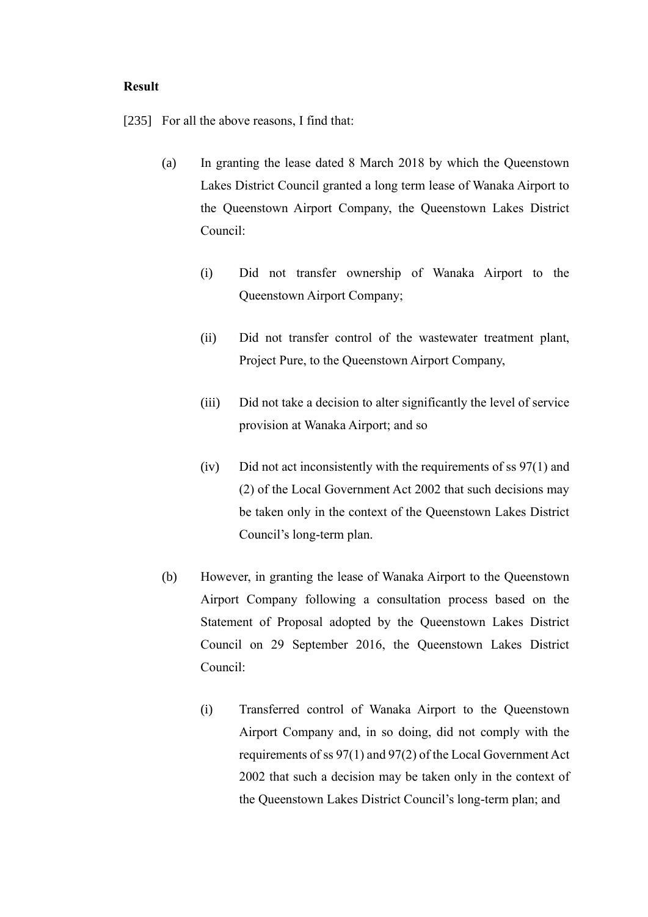#### <span id="page-64-0"></span>**Result**

[235] For all the above reasons, I find that:

- (a) In granting the lease dated 8 March 2018 by which the Queenstown Lakes District Council granted a long term lease of Wanaka Airport to the Queenstown Airport Company, the Queenstown Lakes District Council:
	- (i) Did not transfer ownership of Wanaka Airport to the Queenstown Airport Company;
	- (ii) Did not transfer control of the wastewater treatment plant, Project Pure, to the Queenstown Airport Company,
	- (iii) Did not take a decision to alter significantly the level of service provision at Wanaka Airport; and so
	- (iv) Did not act inconsistently with the requirements of ss  $97(1)$  and (2) of the Local Government Act 2002 that such decisions may be taken only in the context of the Queenstown Lakes District Council's long-term plan.
- (b) However, in granting the lease of Wanaka Airport to the Queenstown Airport Company following a consultation process based on the Statement of Proposal adopted by the Queenstown Lakes District Council on 29 September 2016, the Queenstown Lakes District Council:
	- (i) Transferred control of Wanaka Airport to the Queenstown Airport Company and, in so doing, did not comply with the requirements of ss 97(1) and 97(2) of the Local Government Act 2002 that such a decision may be taken only in the context of the Queenstown Lakes District Council's long-term plan; and